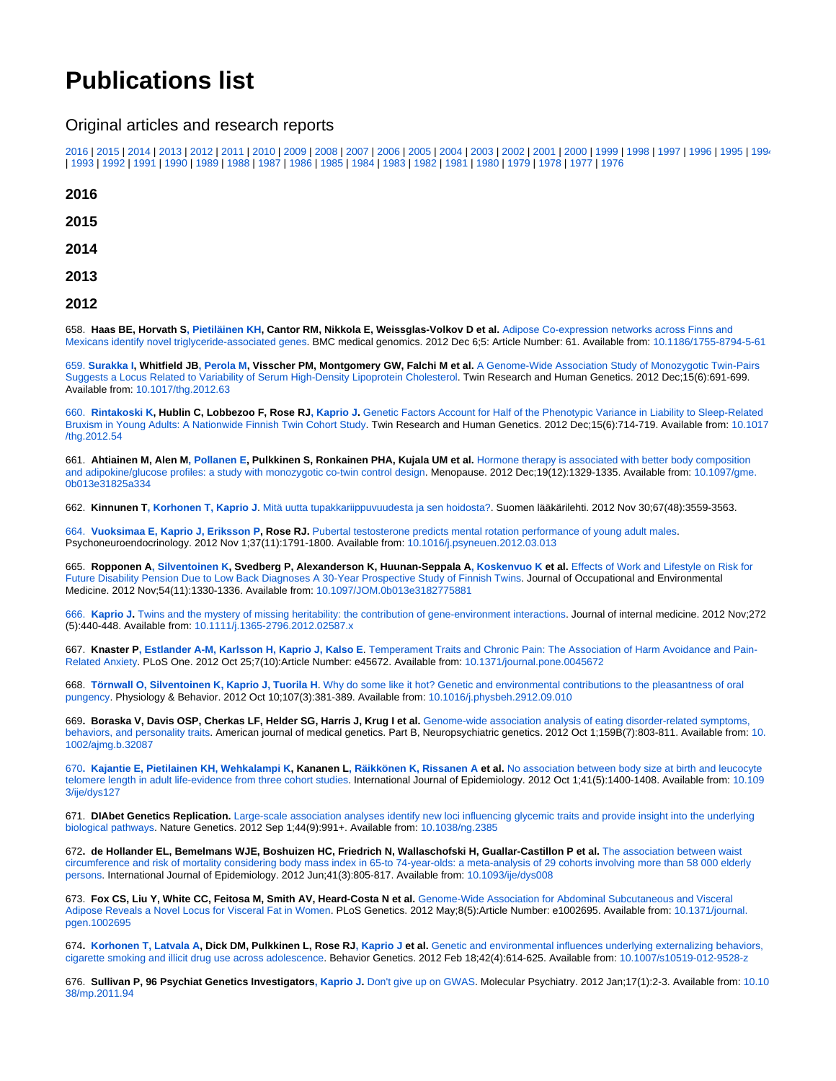# **Publications list**

# Original articles and research reports

[2016](#page-0-0) | [2015](#page-0-1) | [2014](#page-0-2) | [2013](#page-0-3) | [2012](#page-0-4) | [2011](#page-2-0) | [2010](#page-5-0) | [2009](#page-5-1) | [2008](#page-8-0) | [2007](#page-10-0) | [2006](#page-12-0) | [2005](#page-13-0) | [2004](#page-14-0) | [2003](#page-15-0) | [2002](#page-17-0) | [2001](#page-18-0) | [2000](#page-19-0) | [1999](#page-20-0) | [1998](#page-21-0) | [1997](#page-21-1) | [1996](#page-22-0) | [1995](#page-22-1) | [1994](#page-23-0) | [1993](#page-23-1) | [1992](#page-23-2) | [1991](#page-23-3) | [1990](#page-24-0) | [1989](#page-24-1) | [1988](#page-25-0) | [1987](#page-25-1) | [1986](#page-26-0) | [1985](#page-26-1) | [1984](#page-26-2) | [1983](#page-27-0) | [1982](#page-27-1) | [1981](#page-27-2) | [1980](#page-27-3) | [1979](#page-27-4) | [1978](#page-28-0) | [1977](#page-28-1) | [1976](#page-28-2)

<span id="page-0-0"></span>**2016**

<span id="page-0-1"></span>**2015**

<span id="page-0-2"></span>**2014**

<span id="page-0-3"></span>**2013**

<span id="page-0-4"></span>**2012**

658. **Haas BE, Horvath S[, Pietiläinen KH](https://tuhat.halvi.helsinki.fi/portal/en/persons/kirsi-pietilainen%2818e0b4ff-9ea0-4df0-a87f-6129611afc43%29.html), Cantor RM, Nikkola E, Weissglas-Volkov D et al.** [Adipose Co-expression networks across Finns and](https://tuhat.halvi.helsinki.fi/portal/en/publications/adipose-coexpressio%280600280e-c7c1-4eaa-90b9-666f9a9e16ae%29.html)  [Mexicans identify novel triglyceride-associated genes.](https://tuhat.halvi.helsinki.fi/portal/en/publications/adipose-coexpressio%280600280e-c7c1-4eaa-90b9-666f9a9e16ae%29.html) BMC medical genomics. 2012 Dec 6;5: Article Number: 61. Available from: [10.1186/1755-8794-5-61](http://dx.doi.org/10.1186/1755-8794-5-61)

[659.](https://tuhat.halvi.helsinki.fi/portal/en/persons/ida-surakka%28027fe326-13e6-4885-94bd-aebf0c4d1439%29.html) **[Surakka I](https://tuhat.halvi.helsinki.fi/portal/en/persons/ida-surakka%28027fe326-13e6-4885-94bd-aebf0c4d1439%29.html), Whitfield JB[, Perola M](https://tuhat.halvi.helsinki.fi/portal/en/persons/markus-perola%28be1fbd23-3ed1-454a-9a29-6d2a50423d6b%29.html), Visscher PM, Montgomery GW, Falchi M et al.** [A Genome-Wide Association Study of Monozygotic Twin-Pairs](https://tuhat.halvi.helsinki.fi/portal/en/publications/a-genomewide-associ%28f984cc05-9e6f-4c5a-812e-d79844ecc9b2%29.html)  [Suggests a Locus Related to Variability of Serum High-Density Lipoprotein Cholesterol](https://tuhat.halvi.helsinki.fi/portal/en/publications/a-genomewide-associ%28f984cc05-9e6f-4c5a-812e-d79844ecc9b2%29.html). Twin Research and Human Genetics. 2012 Dec;15(6):691-699. Available from: [10.1017/thg.2012.63](http://dx.doi.org/10.1017/thg.2012.63)

[660.](https://tuhat.halvi.helsinki.fi/portal/en/persons/katariina-rintakoski%28af8f42e2-4e0c-476e-9038-63e2cba8142f%29.html) **[Rintakoski K](https://tuhat.halvi.helsinki.fi/portal/en/persons/katariina-rintakoski%28af8f42e2-4e0c-476e-9038-63e2cba8142f%29.html), Hublin C, Lobbezoo F, Rose RJ[, Kaprio J.](https://tuhat.halvi.helsinki.fi/portal/en/persons/jaakko-kaprio%282a48fde0-3ffe-413e-ba89-6e81a5e555f9%29.html)** [Genetic Factors Account for Half of the Phenotypic Variance in Liability to Sleep-Related](https://tuhat.halvi.helsinki.fi/portal/en/publications/genetic-factors-acc%28774ccd84-5099-487c-9d92-9cad47bf271d%29.html)  [Bruxism in Young Adults: A Nationwide Finnish Twin Cohort Study](https://tuhat.halvi.helsinki.fi/portal/en/publications/genetic-factors-acc%28774ccd84-5099-487c-9d92-9cad47bf271d%29.html). Twin Research and Human Genetics. 2012 Dec;15(6):714-719. Available from: [10.1017](http://dx.doi.org/10.1017/thg.2012.54) [/thg.2012.54](http://dx.doi.org/10.1017/thg.2012.54)

661. **Ahtiainen M, Alen [M, Pollanen E,](https://tuhat.halvi.helsinki.fi/portal/en/persons/eija-katariina-poel%28e44183d7-fbce-478b-a5d9-cac9717c8bce%29.html) Pulkkinen S, Ronkainen PHA, Kujala UM et al.** [Hormone therapy is associated with better body composition](https://tuhat.halvi.helsinki.fi/portal/en/publications/hormone-therapy-is-%28e7773d7f-2e29-4b43-97b9-a6195b71663f%29.html)  [and adipokine/glucose profiles: a study with monozygotic co-twin control design](https://tuhat.halvi.helsinki.fi/portal/en/publications/hormone-therapy-is-%28e7773d7f-2e29-4b43-97b9-a6195b71663f%29.html). Menopause. 2012 Dec;19(12):1329-1335. Available from: [10.1097/gme.](http://dx.doi.org/10.1097/gme.0b013e31825a3344) [0b013e31825a334](http://dx.doi.org/10.1097/gme.0b013e31825a3344)

662. **Kinnunen [T, Korhonen T](https://tuhat.halvi.helsinki.fi/portal/en/persons/tellervo-korhonen%288eb5ea78-4343-4c46-a9e6-d763d5131dd6%29.html)[, Kaprio J](https://tuhat.halvi.helsinki.fi/portal/en/persons/jaakko-kaprio%282a48fde0-3ffe-413e-ba89-6e81a5e555f9%29.html)**. [Mitä uutta tupakkariippuvuudesta ja sen hoidosta?](https://tuhat.halvi.helsinki.fi/portal/en/publications/mita-uutta-tupakkar%28c4af57c7-52ed-4a19-9a24-fec73c78cb39%29.html). Suomen lääkärilehti. 2012 Nov 30;67(48):3559-3563.

[664](https://tuhat.halvi.helsinki.fi/portal/en/persons/karri-silventoinen%28273fbdb3-22a5-4b29-a978-f845a3ae6bf9%29.html)[.](https://tuhat.halvi.helsinki.fi/portal/en/persons/eero-vuoksimaa%283b401a14-7226-4b20-86a5-a64179bdae19%29.html) **[Vuoksimaa E](https://tuhat.halvi.helsinki.fi/portal/en/persons/eero-vuoksimaa%283b401a14-7226-4b20-86a5-a64179bdae19%29.html)[, Kaprio J](https://tuhat.halvi.helsinki.fi/portal/en/persons/jaakko-kaprio%282a48fde0-3ffe-413e-ba89-6e81a5e555f9%29.html)[, Eriksson P,](https://tuhat.halvi.helsinki.fi/portal/en/persons/peter-eriksson%28b06de991-fd52-479c-92ac-737f5e3412e1%29.html) Rose RJ.** [Pubertal testosterone predicts mental rotation performance of young adult males.](https://tuhat.halvi.helsinki.fi/portal/en/publications/pubertal-testostero%28cc7f12b8-3018-4846-b687-5b6d2b5373e9%29.html) Psychoneuroendocrinology. 2012 Nov 1;37(11):1791-1800. Available from: [10.1016/j.psyneuen.2012.03.013](http://dx.doi.org/10.1016/j.psyneuen.2012.03.013)

665. **Ropponen [A, Silventoinen K,](https://tuhat.halvi.helsinki.fi/portal/en/persons/karri-silventoinen%28273fbdb3-22a5-4b29-a978-f845a3ae6bf9%29.html) Svedberg P, Alexanderson K, Huunan-Seppala [A, Koskenvuo K](https://tuhat.halvi.helsinki.fi/portal/en/persons/karoliina-koskenvuo%289d1edd33-7c09-4d87-90b5-b69b8fe16832%29.html) et al.** [Effects of Work and Lifestyle on Risk for](https://tuhat.halvi.helsinki.fi/portal/en/publications/effects-of-work-and%28c40a0833-978d-4cab-8d45-21c6673feda7%29.html)  [Future Disability Pension Due to Low Back Diagnoses A 30-Year Prospective Study of Finnish Twins.](https://tuhat.halvi.helsinki.fi/portal/en/publications/effects-of-work-and%28c40a0833-978d-4cab-8d45-21c6673feda7%29.html) Journal of Occupational and Environmental Medicine. 2012 Nov;54(11):1330-1336. Available from: [10.1097/JOM.0b013e3182775881](http://dx.doi.org/10.1097/JOM.0b013e3182775881)

[666.](https://tuhat.halvi.helsinki.fi/portal/en/persons/jaakko-kaprio%282a48fde0-3ffe-413e-ba89-6e81a5e555f9%29.html) **[Kaprio J.](https://tuhat.halvi.helsinki.fi/portal/en/persons/jaakko-kaprio%282a48fde0-3ffe-413e-ba89-6e81a5e555f9%29.html)** [Twins and the mystery of missing heritability: the contribution of gene-environment interactions](https://tuhat.halvi.helsinki.fi/portal/en/publications/twins-and-the-myste%28cbdf3aa8-55ca-47a7-a8e9-ffbf4320d96e%29.html). Journal of internal medicine. 2012 Nov;272 (5):440-448. Available from: [10.1111/j.1365-2796.2012.02587.x](http://dx.doi.org/10.1111/j.1365-2796.2012.02587.x)

667. **Knaster P[, Estlander A-M](https://tuhat.halvi.helsinki.fi/portal/en/persons/annmari-estlander%28531ff58a-2fe0-4262-af20-88eba61fc15c%29.html)[, Karlsson H](https://tuhat.halvi.helsinki.fi/portal/en/persons/hasse-karlsson%2878bd692f-bbf3-43ff-93a1-cd727ec1cf88%29.html)[, Kaprio J](https://tuhat.halvi.helsinki.fi/portal/en/persons/jaakko-kaprio%282a48fde0-3ffe-413e-ba89-6e81a5e555f9%29.html)[, Kalso E](https://tuhat.halvi.helsinki.fi/portal/en/persons/eija-kalso%280cd79bb7-816f-4859-9535-e7ff6a6d25b3%29.html)**. [Temperament Traits and Chronic Pain: The Association of Harm Avoidance and Pain-](https://tuhat.halvi.helsinki.fi/portal/en/publications/temperament-traits-%28efa6a3fc-91b1-4101-8242-1b9d4e0fd958%29.html)[Related Anxiety.](https://tuhat.halvi.helsinki.fi/portal/en/publications/temperament-traits-%28efa6a3fc-91b1-4101-8242-1b9d4e0fd958%29.html) PLoS One. 2012 Oct 25;7(10):Article Number: e45672. Available from: [10.1371/journal.pone.0045672](http://dx.doi.org/10.1371/journal.pone.0045672)

668. **[Törnwall O](https://tuhat.halvi.helsinki.fi/portal/en/persons/outi-toernwall%2898a5e4a2-f056-405a-8d81-5366ec629301%29.html)[, Silventoinen K](https://tuhat.halvi.helsinki.fi/portal/en/persons/karri-silventoinen%28273fbdb3-22a5-4b29-a978-f845a3ae6bf9%29.html)[, Kaprio J](https://tuhat.halvi.helsinki.fi/portal/en/persons/jaakko-kaprio%282a48fde0-3ffe-413e-ba89-6e81a5e555f9%29.html)[, Tuorila H](https://tuhat.halvi.helsinki.fi/portal/en/persons/hely-tuorila%28b9696134-fb2d-4608-addd-4ebd44ae4bdd%29.html)**. [Why do some like it hot? Genetic and environmental contributions to the pleasantness of oral](https://tuhat.halvi.helsinki.fi/portal/en/publications/why-do-some-like-it%288e537a43-ca13-46d0-90dc-2e48c9eaae6c%29.html)  [pungency.](https://tuhat.halvi.helsinki.fi/portal/en/publications/why-do-some-like-it%288e537a43-ca13-46d0-90dc-2e48c9eaae6c%29.html) Physiology & Behavior. 2012 Oct 10;107(3):381-389. Available from: [10.1016/j.physbeh.2912.09.010](http://dx.doi.org/10.1016/j.physbeh.2912.09.010)

669**. Boraska V, Davis OSP, Cherkas LF, Helder SG, Harris J, Krug I et al.** [Genome-wide association analysis of eating disorder-related symptoms,](https://tuhat.halvi.helsinki.fi/portal/en/publications/genomewide-associat%2881408902-1336-4380-904d-720a2a43b6ed%29.html)  [behaviors, and personality traits.](https://tuhat.halvi.helsinki.fi/portal/en/publications/genomewide-associat%2881408902-1336-4380-904d-720a2a43b6ed%29.html) American journal of medical genetics. Part B, Neuropsychiatric genetics. 2012 Oct 1;159B(7):803-811. Available from: [10.](http://dx.doi.org/10.1002/ajmg.b.32087) [1002/ajmg.b.32087](http://dx.doi.org/10.1002/ajmg.b.32087)

[670](https://tuhat.halvi.helsinki.fi/portal/en/persons/eero-kajantie%2887290de7-f78a-43ab-80e3-2438a610e463%29.html)**[. Kajantie E](https://tuhat.halvi.helsinki.fi/portal/en/persons/eero-kajantie%2887290de7-f78a-43ab-80e3-2438a610e463%29.html)[, Pietilainen KH](https://tuhat.halvi.helsinki.fi/portal/en/persons/kirsi-pietilainen%2818e0b4ff-9ea0-4df0-a87f-6129611afc43%29.html)[, Wehkalampi K](https://tuhat.halvi.helsinki.fi/portal/en/persons/karoliina-wehkalampi%28bf2285c6-ba9e-47dd-b6e4-541c0243c1b9%29.html), Kananen L[, Räikkönen K](https://tuhat.halvi.helsinki.fi/portal/en/persons/katri-raikkoenen%28b9690f6a-a38c-43ee-8e4f-4b509521e280%29.html)[, Rissanen A](https://tuhat.halvi.helsinki.fi/portal/en/persons/aila-rissanen%28e54d34af-3afa-4723-afcf-6351cb741a2e%29.html) et al.** [No association between body size at birth and leucocyte](https://tuhat.halvi.helsinki.fi/portal/en/publications/no-association-betw%2807be0a2f-813b-4c79-b36e-44bd3afe88de%29.html)  [telomere length in adult life-evidence from three cohort studies](https://tuhat.halvi.helsinki.fi/portal/en/publications/no-association-betw%2807be0a2f-813b-4c79-b36e-44bd3afe88de%29.html). International Journal of Epidemiology. 2012 Oct 1;41(5):1400-1408. Available from: [10.109](http://dx.doi.org/10.1093/ije/dys127) [3/ije/dys127](http://dx.doi.org/10.1093/ije/dys127)

671. **DIAbet Genetics Replication.** [Large-scale association analyses identify new loci influencing glycemic traits and provide insight into the underlying](https://tuhat.halvi.helsinki.fi/portal/en/publications/largescale-associat%2870297ff1-e57b-47d8-bad0-e62c0dddeb99%29.html)  [biological pathways](https://tuhat.halvi.helsinki.fi/portal/en/publications/largescale-associat%2870297ff1-e57b-47d8-bad0-e62c0dddeb99%29.html). Nature Genetics. 2012 Sep 1;44(9):991+. Available from: [10.1038/ng.2385](http://dx.doi.org/10.1038/ng.2385)

672**. de Hollander EL, Bemelmans WJE, Boshuizen HC, Friedrich N, Wallaschofski H, Guallar-Castillon P et al.** [The association between waist](https://tuhat.halvi.helsinki.fi/portal/en/publications/the-association-bet%285d62930f-11c4-440d-b041-7b52d3680ba2%29.html)  [circumference and risk of mortality considering body mass index in 65-to 74-year-olds: a meta-analysis of 29 cohorts involving more than 58 000 elderly](https://tuhat.halvi.helsinki.fi/portal/en/publications/the-association-bet%285d62930f-11c4-440d-b041-7b52d3680ba2%29.html)  [persons.](https://tuhat.halvi.helsinki.fi/portal/en/publications/the-association-bet%285d62930f-11c4-440d-b041-7b52d3680ba2%29.html) International Journal of Epidemiology. 2012 Jun;41(3):805-817. Available from: [10.1093/ije/dys008](http://dx.doi.org/10.1093/ije/dys008)

673. **Fox CS, Liu Y, White CC, Feitosa M, Smith AV, Heard-Costa N et al.** [Genome-Wide Association for Abdominal Subcutaneous and Visceral](https://tuhat.halvi.helsinki.fi/portal/en/publications/genomewide-associat%289bf52c30-669a-4923-a14a-18b065ada885%29.html)  [Adipose Reveals a Novel Locus for Visceral Fat in Women](https://tuhat.halvi.helsinki.fi/portal/en/publications/genomewide-associat%289bf52c30-669a-4923-a14a-18b065ada885%29.html). PLoS Genetics. 2012 May;8(5):Article Number: e1002695. Available from: [10.1371/journal.](http://dx.doi.org/10.1371/journal.pgen.1002695) [pgen.1002695](http://dx.doi.org/10.1371/journal.pgen.1002695)

674**. [Korhonen T](https://tuhat.halvi.helsinki.fi/portal/en/persons/tellervo-korhonen%288eb5ea78-4343-4c46-a9e6-d763d5131dd6%29.html)[, Latvala A](https://tuhat.halvi.helsinki.fi/portal/en/persons/antti-latvala%2878fef3e5-8709-4c6d-b823-8d084bc95ee4%29.html), Dick DM, Pulkkinen L, Rose RJ[, Kaprio J](https://tuhat.halvi.helsinki.fi/portal/en/persons/jaakko-kaprio%282a48fde0-3ffe-413e-ba89-6e81a5e555f9%29.html) et al.** [Genetic and environmental influences underlying externalizing behaviors,](https://tuhat.halvi.helsinki.fi/portal/en/publications/genetic-and-environ%28b0c888ce-2088-454d-b327-dc0781bf33e2%29.html)  [cigarette smoking and illicit drug use across adolescence](https://tuhat.halvi.helsinki.fi/portal/en/publications/genetic-and-environ%28b0c888ce-2088-454d-b327-dc0781bf33e2%29.html). Behavior Genetics. 2012 Feb 18;42(4):614-625. Available from: [10.1007/s10519-012-9528-z](http://dx.doi.org/10.1007/s10519-012-9528-z)

676. **Sullivan P, 96 Psychiat Genetics Investigators[, Kaprio J.](https://tuhat.halvi.helsinki.fi/portal/en/persons/jaakko-kaprio%282a48fde0-3ffe-413e-ba89-6e81a5e555f9%29.html)** [Don't give up on GWAS](https://tuhat.halvi.helsinki.fi/portal/en/publications/dont-give-up-on-gwas%28d4b4b6d5-a90f-4041-a716-7ea617a21964%29.html). Molecular Psychiatry. 2012 Jan;17(1):2-3. Available from: [10.10](http://dx.doi.org/10.1038/mp.2011.94) [38/mp.2011.94](http://dx.doi.org/10.1038/mp.2011.94)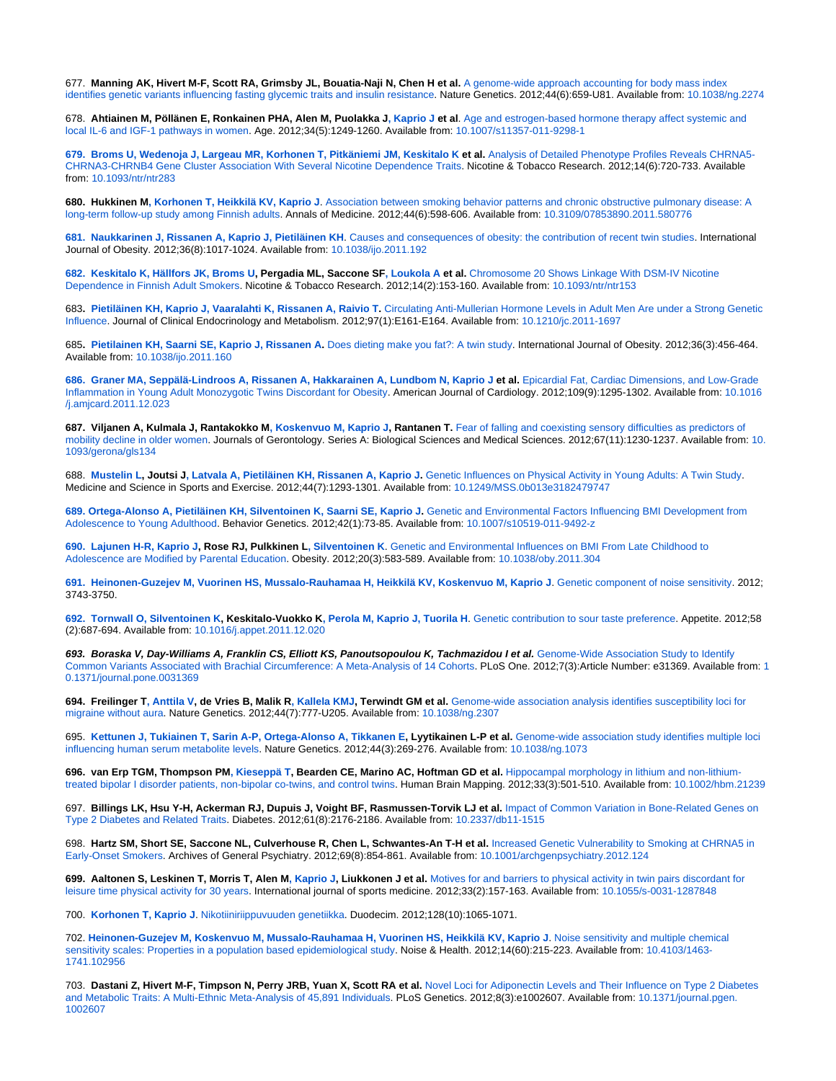677. **Manning AK, Hivert M-F, Scott RA, Grimsby JL, Bouatia-Naji N, Chen H et al.** [A genome-wide approach accounting for body mass index](https://tuhat.halvi.helsinki.fi/portal/en/publications/a-genomewide-approa%2886c0355a-c084-4d8c-8855-488ee3d9262c%29.html)  [identifies genetic variants influencing fasting glycemic traits and insulin resistance](https://tuhat.halvi.helsinki.fi/portal/en/publications/a-genomewide-approa%2886c0355a-c084-4d8c-8855-488ee3d9262c%29.html). Nature Genetics. 2012;44(6):659-U81. Available from: [10.1038/ng.2274](http://dx.doi.org/10.1038/ng.2274)

678. **Ahtiainen M, Pöllänen E, Ronkainen PHA, Alen M, Puolakka [J, Kaprio J](https://tuhat.halvi.helsinki.fi/portal/en/persons/jaakko-kaprio%282a48fde0-3ffe-413e-ba89-6e81a5e555f9%29.html) et al**. [Age and estrogen-based hormone therapy affect systemic and](https://tuhat.halvi.helsinki.fi/portal/en/publications/age-and-estrogenbas%28c3fc11c7-e254-4990-b211-f707f3bb7a05%29.html)  [local IL-6 and IGF-1 pathways in women](https://tuhat.halvi.helsinki.fi/portal/en/publications/age-and-estrogenbas%28c3fc11c7-e254-4990-b211-f707f3bb7a05%29.html). Age. 2012;34(5):1249-1260. Available from: [10.1007/s11357-011-9298-1](http://dx.doi.org/10.1007/s11357-011-9298-1)

**[679. Broms U](https://tuhat.halvi.helsinki.fi/portal/en/persons/ulla-heidi-broms%28b99cda59-8f47-45e5-89ed-8e05211e2fe3%29.html)[, Wedenoja J](https://tuhat.halvi.helsinki.fi/portal/en/persons/juho-wedenoja%28b89bf275-6bfb-482e-b4cd-159d1b904ab4%29.html)[, Largeau MR](https://tuhat.halvi.helsinki.fi/portal/en/persons/marine-largeau%28ae4bdc5d-7493-4167-81bd-3dd50626d1f8%29.html)[, Korhonen T](https://tuhat.halvi.helsinki.fi/portal/en/persons/tellervo-korhonen%288eb5ea78-4343-4c46-a9e6-d763d5131dd6%29.html)[, Pitkäniemi JM](https://tuhat.halvi.helsinki.fi/portal/en/persons/janne-pitkaniemi%28aefb73d3-ac45-4399-b9bb-674731713ced%29.html)[, Keskitalo K](https://tuhat.halvi.helsinki.fi/portal/en/persons/kaisu-keskitalo%2845e92a9a-d5c9-4648-95f8-ec14a01264a9%29.html) et al.** [Analysis of Detailed Phenotype Profiles Reveals CHRNA5-](https://tuhat.halvi.helsinki.fi/portal/en/publications/analysis-of-detaile%28a8e373d5-7476-4706-8c18-e75f451986b0%29.html) [CHRNA3-CHRNB4 Gene Cluster Association With Several Nicotine Dependence Traits](https://tuhat.halvi.helsinki.fi/portal/en/publications/analysis-of-detaile%28a8e373d5-7476-4706-8c18-e75f451986b0%29.html). Nicotine & Tobacco Research. 2012;14(6):720-733. Available from: [10.1093/ntr/ntr283](http://dx.doi.org/10.1093/ntr/ntr283)

**680. Hukkinen M[, Korhonen T](https://tuhat.halvi.helsinki.fi/portal/en/persons/tellervo-korhonen%288eb5ea78-4343-4c46-a9e6-d763d5131dd6%29.html)[, Heikkilä KV](https://tuhat.halvi.helsinki.fi/portal/en/persons/kauko-heikkila%288de99b39-337b-4ff0-9a17-b3e85c1f7fc4%29.html)[, Kaprio J](https://tuhat.halvi.helsinki.fi/portal/en/persons/jaakko-kaprio%282a48fde0-3ffe-413e-ba89-6e81a5e555f9%29.html)**. [Association between smoking behavior patterns and chronic obstructive pulmonary disease: A](https://tuhat.halvi.helsinki.fi/portal/en/publications/association-between%28fb36dc40-87ba-4962-bc93-c432e85ffe90%29.html)  [long-term follow-up study among Finnish adults](https://tuhat.halvi.helsinki.fi/portal/en/publications/association-between%28fb36dc40-87ba-4962-bc93-c432e85ffe90%29.html). Annals of Medicine. 2012;44(6):598-606. Available from: [10.3109/07853890.2011.580776](http://dx.doi.org/10.3109/07853890.2011.580776)

**[681. Naukkarinen J](https://tuhat.halvi.helsinki.fi/portal/en/persons/jussi-naukkarinen%28a1a2fcb0-3e11-4fb5-bd85-fd908df2bc02%29.html)[, Rissanen A](https://tuhat.halvi.helsinki.fi/portal/en/persons/aila-rissanen%28e54d34af-3afa-4723-afcf-6351cb741a2e%29.html)[, Kaprio J](https://tuhat.halvi.helsinki.fi/portal/en/persons/jaakko-kaprio%282a48fde0-3ffe-413e-ba89-6e81a5e555f9%29.html)[, Pietiläinen KH](https://tuhat.halvi.helsinki.fi/portal/en/persons/kirsi-pietilainen%2818e0b4ff-9ea0-4df0-a87f-6129611afc43%29.html)**. [Causes and consequences of obesity: the contribution of recent twin studies.](https://tuhat.halvi.helsinki.fi/portal/en/publications/causes-and-conseque%28d9d30ba0-d49a-47aa-ac89-532b3647bd64%29.html) International Journal of Obesity. 2012;36(8):1017-1024. Available from: [10.1038/ijo.2011.192](http://dx.doi.org/10.1038/ijo.2011.192)

**[682. Keskitalo K](https://tuhat.halvi.helsinki.fi/portal/en/persons/kaisu-keskitalo%2845e92a9a-d5c9-4648-95f8-ec14a01264a9%29.html)[, Hällfors JK](https://tuhat.halvi.helsinki.fi/portal/en/persons/jenni-hallfors%28c9f35ebb-46c9-46ee-9462-71855b951b2f%29.html)[, Broms U,](https://tuhat.halvi.helsinki.fi/portal/en/persons/ulla-heidi-broms%28b99cda59-8f47-45e5-89ed-8e05211e2fe3%29.html) Pergadia ML, Saccone S[F, Loukola A](https://tuhat.halvi.helsinki.fi/portal/en/persons/anu-loukola%28f2a26735-ed2e-4a27-aef8-43bcf11f17aa%29.html) et al.** [Chromosome 20 Shows Linkage With DSM-IV Nicotine](https://tuhat.halvi.helsinki.fi/portal/en/publications/chromosome-20-shows%28f744e5d8-ab86-4587-85ce-8b2c9b1b4cdf%29.html)  [Dependence in Finnish Adult Smokers.](https://tuhat.halvi.helsinki.fi/portal/en/publications/chromosome-20-shows%28f744e5d8-ab86-4587-85ce-8b2c9b1b4cdf%29.html) Nicotine & Tobacco Research. 2012;14(2):153-160. Available from: [10.1093/ntr/ntr153](http://dx.doi.org/10.1093/ntr/ntr153)

683**. [Pietiläinen KH](https://tuhat.halvi.helsinki.fi/portal/en/persons/kirsi-pietilainen%2818e0b4ff-9ea0-4df0-a87f-6129611afc43%29.html)[, Kaprio J](https://tuhat.halvi.helsinki.fi/portal/en/persons/jaakko-kaprio%282a48fde0-3ffe-413e-ba89-6e81a5e555f9%29.html)[, Vaaralahti K](https://tuhat.halvi.helsinki.fi/portal/en/persons/kirsi-vaaralahti%28c42991a7-0d19-45b3-afbb-a40c20acd2df%29.html)[, Rissanen A](https://tuhat.halvi.helsinki.fi/portal/en/persons/aila-rissanen%28e54d34af-3afa-4723-afcf-6351cb741a2e%29.html)[, Raivio T](https://tuhat.halvi.helsinki.fi/portal/en/persons/taneli-raivio%284c4c12f5-1436-4802-ab72-043b1c75fc76%29.html).** [Circulating Anti-Mullerian Hormone Levels in Adult Men Are under a Strong Genetic](https://tuhat.halvi.helsinki.fi/portal/en/publications/circulating-antimul%2827e2e041-e361-456d-addb-a4884c6fafab%29.html)  [Influence](https://tuhat.halvi.helsinki.fi/portal/en/publications/circulating-antimul%2827e2e041-e361-456d-addb-a4884c6fafab%29.html). Journal of Clinical Endocrinology and Metabolism. 2012;97(1):E161-E164. Available from: [10.1210/jc.2011-1697](http://dx.doi.org/10.1210/jc.2011-1697)

685**. [Pietilainen KH](https://tuhat.halvi.helsinki.fi/portal/en/persons/kirsi-pietilainen%2818e0b4ff-9ea0-4df0-a87f-6129611afc43%29.html)[, Saarni SE](https://tuhat.halvi.helsinki.fi/portal/en/persons/suoma-eeva-matilda-%28c2ac9af3-6fbd-4c66-aa8f-e740e28662b8%29.html)[, Kaprio J](https://tuhat.halvi.helsinki.fi/portal/en/persons/jaakko-kaprio%282a48fde0-3ffe-413e-ba89-6e81a5e555f9%29.html)[, Rissanen A.](https://tuhat.halvi.helsinki.fi/portal/en/persons/aila-rissanen%28e54d34af-3afa-4723-afcf-6351cb741a2e%29.html)** [Does dieting make you fat?: A twin study](https://tuhat.halvi.helsinki.fi/portal/en/publications/does-dieting-make-y%28c7668451-11d6-4179-9556-6c96a7764427%29.html). International Journal of Obesity. 2012;36(3):456-464. Available from: [10.1038/ijo.2011.160](http://dx.doi.org/10.1038/ijo.2011.160)

**[686. Graner MA](https://tuhat.halvi.helsinki.fi/portal/en/persons/marit-graner%28b3f5b4a4-23f8-4b1f-b983-40b6a33b66f3%29.html)[, Seppälä-Lindroos A](https://tuhat.halvi.helsinki.fi/portal/en/persons/anneli-seppalalindr%285e6b9f04-1cc2-410c-ba2a-508bedf3da6b%29.html)[, Rissanen A](https://tuhat.halvi.helsinki.fi/portal/en/persons/aila-rissanen%28e54d34af-3afa-4723-afcf-6351cb741a2e%29.html)[, Hakkarainen A](https://tuhat.halvi.helsinki.fi/portal/en/persons/antti-hakkarainen%280c167f56-bf0d-4314-8c34-8454699c97fc%29.html)[, Lundbom N](https://tuhat.halvi.helsinki.fi/portal/en/persons/nina-lundbom%28c75c100c-8ab4-43fb-9045-aa5c9314f4f1%29.html)[, Kaprio J](https://tuhat.halvi.helsinki.fi/portal/en/persons/jaakko-kaprio%282a48fde0-3ffe-413e-ba89-6e81a5e555f9%29.html) et al.** [Epicardial Fat, Cardiac Dimensions, and Low-Grade](https://tuhat.halvi.helsinki.fi/portal/en/publications/epicardial-fat-card%284fa6b658-a1db-4656-8610-bf48c408a8ad%29.html)  [Inflammation in Young Adult Monozygotic Twins Discordant for Obesity.](https://tuhat.halvi.helsinki.fi/portal/en/publications/epicardial-fat-card%284fa6b658-a1db-4656-8610-bf48c408a8ad%29.html) American Journal of Cardiology. 2012;109(9):1295-1302. Available from: [10.1016](http://dx.doi.org/10.1016/j.amjcard.2011.12.023) [/j.amjcard.2011.12.023](http://dx.doi.org/10.1016/j.amjcard.2011.12.023)

**687. Viljanen A, Kulmala J, Rantakokko M[, Koskenvuo M](https://tuhat.halvi.helsinki.fi/portal/en/persons/markku-koskenvuo%28fcde4432-cb17-4f44-9ce3-63d365e8feda%29.html)[, Kaprio J,](https://tuhat.halvi.helsinki.fi/portal/en/persons/jaakko-kaprio%282a48fde0-3ffe-413e-ba89-6e81a5e555f9%29.html) Rantanen T.** [Fear of falling and coexisting sensory difficulties as predictors of](https://tuhat.halvi.helsinki.fi/portal/en/publications/fear-of-falling-and%28f85e91ae-adb2-48fc-9c06-f14838240abe%29.html)  [mobility decline in older women](https://tuhat.halvi.helsinki.fi/portal/en/publications/fear-of-falling-and%28f85e91ae-adb2-48fc-9c06-f14838240abe%29.html). Journals of Gerontology. Series A: Biological Sciences and Medical Sciences. 2012;67(11):1230-1237. Available from: [10.](http://dx.doi.org/10.1093/gerona/gls134) [1093/gerona/gls134](http://dx.doi.org/10.1093/gerona/gls134)

688. **[Mustelin L,](https://tuhat.halvi.helsinki.fi/portal/en/persons/linda-mustelin%280bbb2815-c5c0-4f69-a0f9-4718617642d3%29.html) Joutsi [J, Latvala A](https://tuhat.halvi.helsinki.fi/portal/en/persons/antti-latvala%2878fef3e5-8709-4c6d-b823-8d084bc95ee4%29.html)[, Pietiläinen KH](https://tuhat.halvi.helsinki.fi/portal/en/persons/kirsi-pietilainen%2818e0b4ff-9ea0-4df0-a87f-6129611afc43%29.html)[, Rissanen A](https://tuhat.halvi.helsinki.fi/portal/en/persons/aila-rissanen%28e54d34af-3afa-4723-afcf-6351cb741a2e%29.html)[, Kaprio J.](https://tuhat.halvi.helsinki.fi/portal/en/persons/jaakko-kaprio%282a48fde0-3ffe-413e-ba89-6e81a5e555f9%29.html)** [Genetic Influences on Physical Activity in Young Adults: A Twin Study](https://tuhat.halvi.helsinki.fi/portal/en/publications/genetic-influences-%28cce456f0-c65e-44f0-a8a7-853c9638ee7d%29.html). Medicine and Science in Sports and Exercise. 2012;44(7):1293-1301. Available from: [10.1249/MSS.0b013e3182479747](http://dx.doi.org/10.1249/MSS.0b013e3182479747)

**[689. Ortega-Alonso A](https://tuhat.halvi.helsinki.fi/portal/en/persons/alfredo-ortegaalonso%28935eb481-1e82-4525-86f9-3cf04aba601a%29.html)[, Pietiläinen KH](https://tuhat.halvi.helsinki.fi/portal/en/persons/kirsi-pietilainen%2818e0b4ff-9ea0-4df0-a87f-6129611afc43%29.html)[, Silventoinen K](https://tuhat.halvi.helsinki.fi/portal/en/persons/karri-silventoinen%28273fbdb3-22a5-4b29-a978-f845a3ae6bf9%29.html)[, Saarni SE](https://tuhat.halvi.helsinki.fi/portal/en/persons/suoma-eeva-matilda-%28c2ac9af3-6fbd-4c66-aa8f-e740e28662b8%29.html)[, Kaprio J.](https://tuhat.halvi.helsinki.fi/portal/en/persons/jaakko-kaprio%282a48fde0-3ffe-413e-ba89-6e81a5e555f9%29.html)** [Genetic and Environmental Factors Influencing BMI Development from](https://tuhat.halvi.helsinki.fi/portal/en/publications/genetic-and-environ%285deb9692-1e30-4f6c-8f6a-1462774d7f9a%29.html)  [Adolescence to Young Adulthood.](https://tuhat.halvi.helsinki.fi/portal/en/publications/genetic-and-environ%285deb9692-1e30-4f6c-8f6a-1462774d7f9a%29.html) Behavior Genetics. 2012;42(1):73-85. Available from: [10.1007/s10519-011-9492-z](http://dx.doi.org/10.1007/s10519-011-9492-z)

**[690. Lajunen H-R](https://tuhat.halvi.helsinki.fi/portal/en/persons/hannareetta-lajunen%289448ac87-763c-4645-9c69-596f7a00d7e1%29.html)[, Kaprio J](https://tuhat.halvi.helsinki.fi/portal/en/persons/jaakko-kaprio%282a48fde0-3ffe-413e-ba89-6e81a5e555f9%29.html), Rose RJ, Pulkkinen L[, Silventoinen K](https://tuhat.halvi.helsinki.fi/portal/en/persons/karri-silventoinen%28273fbdb3-22a5-4b29-a978-f845a3ae6bf9%29.html)**. [Genetic and Environmental Influences on BMI From Late Childhood to](https://tuhat.halvi.helsinki.fi/portal/en/publications/genetic-and-environ%281bf2c32a-d5e7-4d24-ac15-97115863504e%29.html)  [Adolescence are Modified by Parental Education.](https://tuhat.halvi.helsinki.fi/portal/en/publications/genetic-and-environ%281bf2c32a-d5e7-4d24-ac15-97115863504e%29.html) Obesity. 2012;20(3):583-589. Available from: [10.1038/oby.2011.304](http://dx.doi.org/10.1038/oby.2011.304)

**[691. Heinonen-Guzejev M](https://tuhat.halvi.helsinki.fi/portal/en/persons/marja-heinonenguzej%283ef16ec5-6d52-44d6-b2a2-f05c338724d9%29.html)[, Vuorinen HS](https://tuhat.halvi.helsinki.fi/portal/en/persons/heikki-s-vuorinen%287b4a9166-35e6-4dda-b2d4-312a7954168c%29.html)[, Mussalo-Rauhamaa H](https://tuhat.halvi.helsinki.fi/portal/en/persons/helena-mussalorauha%2809984b0c-6136-40ae-a743-46188a6fe4e3%29.html)[, Heikkilä KV](https://tuhat.halvi.helsinki.fi/portal/en/persons/kauko-heikkila%288de99b39-337b-4ff0-9a17-b3e85c1f7fc4%29.html)[, Koskenvuo M](https://tuhat.halvi.helsinki.fi/portal/en/persons/markku-koskenvuo%28fcde4432-cb17-4f44-9ce3-63d365e8feda%29.html)[, Kaprio J](https://tuhat.halvi.helsinki.fi/portal/en/persons/jaakko-kaprio%282a48fde0-3ffe-413e-ba89-6e81a5e555f9%29.html)**. [Genetic component of noise sensitivity](https://tuhat.halvi.helsinki.fi/portal/en/publications/genetic-component-o%289bbb3ba4-95dc-4aad-baa8-070ce8374961%29.html). 2012; 3743-3750.

**[692. Tornwall O](https://tuhat.halvi.helsinki.fi/portal/en/persons/outi-toernwall%2898a5e4a2-f056-405a-8d81-5366ec629301%29.html)[, Silventoinen K,](https://tuhat.halvi.helsinki.fi/portal/en/persons/karri-silventoinen%28273fbdb3-22a5-4b29-a978-f845a3ae6bf9%29.html) Keskitalo-Vuokko [K, Perola M](https://tuhat.halvi.helsinki.fi/portal/en/persons/markus-perola%28be1fbd23-3ed1-454a-9a29-6d2a50423d6b%29.html)[, Kaprio J](https://tuhat.halvi.helsinki.fi/portal/en/persons/jaakko-kaprio%282a48fde0-3ffe-413e-ba89-6e81a5e555f9%29.html)[, Tuorila H](https://tuhat.halvi.helsinki.fi/portal/en/persons/hely-tuorila%28b9696134-fb2d-4608-addd-4ebd44ae4bdd%29.html)**. [Genetic contribution to sour taste preference.](https://tuhat.halvi.helsinki.fi/portal/en/publications/genetic-contributio%2874bedd61-b107-4af3-90cf-10978944e1df%29.html) Appetite. 2012;58 (2):687-694. Available from: [10.1016/j.appet.2011.12.020](http://dx.doi.org/10.1016/j.appet.2011.12.020)

**693. Boraska V, Day-Williams A, Franklin CS, Elliott KS, Panoutsopoulou K, Tachmazidou I et al.** [Genome-Wide Association Study to Identify](https://tuhat.halvi.helsinki.fi/portal/en/publications/genomewide-associat%287ec25737-5f7f-429e-a941-40f6ee788cea%29.html)  [Common Variants Associated with Brachial Circumference: A Meta-Analysis of 14 Cohorts.](https://tuhat.halvi.helsinki.fi/portal/en/publications/genomewide-associat%287ec25737-5f7f-429e-a941-40f6ee788cea%29.html) PLoS One. 2012;7(3):Article Number: e31369. Available from: [1](http://dx.doi.org/10.1371/journal.pone.0031369) [0.1371/journal.pone.0031369](http://dx.doi.org/10.1371/journal.pone.0031369)

**694. Freilinger T[, Anttila V](https://tuhat.halvi.helsinki.fi/portal/en/persons/verneri-anttila%28c2d6a4fb-c806-4253-8fd9-249a5531754c%29.html), de Vries B, Malik R[, Kallela KMJ,](https://tuhat.halvi.helsinki.fi/portal/en/persons/kaarlo-mikko-kallela%28ab683be0-6307-41a9-bab3-9c470681cda0%29.html) Terwindt GM et al.** [Genome-wide association analysis identifies susceptibility loci for](https://tuhat.halvi.helsinki.fi/portal/en/publications/genomewide-associat%28fa7bc254-9bed-43c0-b25d-18cad035884d%29.html)  [migraine without aura.](https://tuhat.halvi.helsinki.fi/portal/en/publications/genomewide-associat%28fa7bc254-9bed-43c0-b25d-18cad035884d%29.html) Nature Genetics. 2012;44(7):777-U205. Available from: [10.1038/ng.2307](http://dx.doi.org/10.1038/ng.2307)

695. **[Kettunen J](https://tuhat.halvi.helsinki.fi/portal/en/persons/johannes-kettunen%28d7b0dc8c-9a0c-4178-ad0c-f316b73cad17%29.html)[, Tukiainen T](https://tuhat.halvi.helsinki.fi/portal/en/persons/taru-tuulia-tukiain%286dc260f8-633f-4d15-a5f7-f2cee3e39da1%29.html)[, Sarin A-P](https://tuhat.halvi.helsinki.fi/portal/en/persons/anttipekka-sarin%28df2f98cf-8111-484e-bc31-a322c3d5ce18%29.html)[, Ortega-Alonso A](https://tuhat.halvi.helsinki.fi/portal/en/persons/alfredo-ortegaalonso%28935eb481-1e82-4525-86f9-3cf04aba601a%29.html)[, Tikkanen E,](https://tuhat.halvi.helsinki.fi/portal/en/persons/emmi-tikkanen%2851551301-af55-4455-bd06-01ea1180da07%29.html) Lyytikainen L-P et al.** [Genome-wide association study identifies multiple loci](https://tuhat.halvi.helsinki.fi/portal/en/publications/genomewide-associat%282d048db1-3c59-41b2-a318-5cd74c5fd325%29.html)  [influencing human serum metabolite levels.](https://tuhat.halvi.helsinki.fi/portal/en/publications/genomewide-associat%282d048db1-3c59-41b2-a318-5cd74c5fd325%29.html) Nature Genetics. 2012;44(3):269-276. Available from: [10.1038/ng.1073](http://dx.doi.org/10.1038/ng.1073)

**696. van Erp TGM, Thompson PM[, Kieseppä T](https://tuhat.halvi.helsinki.fi/portal/en/persons/tuula-kieseppa%289ac20a74-622e-422e-b14f-19f100117893%29.html), Bearden CE, Marino AC, Hoftman GD et al.** [Hippocampal morphology in lithium and non-lithium](https://tuhat.halvi.helsinki.fi/portal/en/publications/hippocampal-morphol%287c3dbd5a-f83a-4aa2-865e-e78b0ac60f4c%29.html)[treated bipolar I disorder patients, non-bipolar co-twins, and control twins](https://tuhat.halvi.helsinki.fi/portal/en/publications/hippocampal-morphol%287c3dbd5a-f83a-4aa2-865e-e78b0ac60f4c%29.html). Human Brain Mapping. 2012;33(3):501-510. Available from: [10.1002/hbm.21239](http://dx.doi.org/10.1002/hbm.21239)

697. **Billings LK, Hsu Y-H, Ackerman RJ, Dupuis J, Voight BF, Rasmussen-Torvik LJ et al.** [Impact of Common Variation in Bone-Related Genes on](https://tuhat.halvi.helsinki.fi/portal/en/publications/impact-of-common-va%289009adf9-8463-4eea-bfdf-ce1d1d881bda%29.html)  [Type 2 Diabetes and Related Traits.](https://tuhat.halvi.helsinki.fi/portal/en/publications/impact-of-common-va%289009adf9-8463-4eea-bfdf-ce1d1d881bda%29.html) Diabetes. 2012;61(8):2176-2186. Available from: [10.2337/db11-1515](http://dx.doi.org/10.2337/db11-1515)

698. **Hartz SM, Short SE, Saccone NL, Culverhouse R, Chen L, Schwantes-An T-H et al.** [Increased Genetic Vulnerability to Smoking at CHRNA5 in](https://tuhat.halvi.helsinki.fi/portal/en/publications/increased-genetic-v%28beedf65a-887b-47b4-ad1c-deffc1f79877%29.html)  [Early-Onset Smokers](https://tuhat.halvi.helsinki.fi/portal/en/publications/increased-genetic-v%28beedf65a-887b-47b4-ad1c-deffc1f79877%29.html). Archives of General Psychiatry. 2012;69(8):854-861. Available from: [10.1001/archgenpsychiatry.2012.124](http://dx.doi.org/10.1001/archgenpsychiatry.2012.124)

**699. Aaltonen S, Leskinen T, Morris T, Alen M[, Kaprio J](https://tuhat.halvi.helsinki.fi/portal/en/persons/jaakko-kaprio%282a48fde0-3ffe-413e-ba89-6e81a5e555f9%29.html), Liukkonen J et al.** [Motives for and barriers to physical activity in twin pairs discordant for](https://tuhat.halvi.helsinki.fi/portal/en/publications/motives-for-and-bar%2884c4569d-f213-45e5-8b6b-eecabb838589%29.html)  [leisure time physical activity for 30 years](https://tuhat.halvi.helsinki.fi/portal/en/publications/motives-for-and-bar%2884c4569d-f213-45e5-8b6b-eecabb838589%29.html). International journal of sports medicine. 2012;33(2):157-163. Available from: [10.1055/s-0031-1287848](http://dx.doi.org/10.1055/s-0031-1287848)

700. **[Korhonen T](https://tuhat.halvi.helsinki.fi/portal/en/persons/tellervo-korhonen%288eb5ea78-4343-4c46-a9e6-d763d5131dd6%29.html)[, Kaprio J](https://tuhat.halvi.helsinki.fi/portal/en/persons/jaakko-kaprio%282a48fde0-3ffe-413e-ba89-6e81a5e555f9%29.html)**. [Nikotiiniriippuvuuden genetiikka](https://tuhat.halvi.helsinki.fi/portal/en/publications/nikotiiniriippuvuud%281a9dfb4d-17eb-4878-a64b-0fecb92b1e72%29.html). Duodecim. 2012;128(10):1065-1071.

702. **[Heinonen-Guzejev M](https://tuhat.halvi.helsinki.fi/portal/en/persons/marja-heinonenguzej%283ef16ec5-6d52-44d6-b2a2-f05c338724d9%29.html)[, Koskenvuo M](https://tuhat.halvi.helsinki.fi/portal/en/persons/markku-koskenvuo%28fcde4432-cb17-4f44-9ce3-63d365e8feda%29.html)[, Mussalo-Rauhamaa H](https://tuhat.halvi.helsinki.fi/portal/en/persons/helena-mussalorauha%2809984b0c-6136-40ae-a743-46188a6fe4e3%29.html)[, Vuorinen HS](https://tuhat.halvi.helsinki.fi/portal/en/persons/heikki-s-vuorinen%287b4a9166-35e6-4dda-b2d4-312a7954168c%29.html)[, Heikkilä KV](https://tuhat.halvi.helsinki.fi/portal/en/persons/kauko-heikkila%288de99b39-337b-4ff0-9a17-b3e85c1f7fc4%29.html)[, Kaprio J](https://tuhat.halvi.helsinki.fi/portal/en/persons/jaakko-kaprio%282a48fde0-3ffe-413e-ba89-6e81a5e555f9%29.html)**. [Noise sensitivity and multiple chemical](https://tuhat.halvi.helsinki.fi/portal/en/publications/noise-sensitivity-a%28ae0788ee-cc6a-4e3d-b7f4-e698e5da68d0%29.html)  [sensitivity scales: Properties in a population based epidemiological study](https://tuhat.halvi.helsinki.fi/portal/en/publications/noise-sensitivity-a%28ae0788ee-cc6a-4e3d-b7f4-e698e5da68d0%29.html). Noise & Health. 2012;14(60):215-223. Available from: [10.4103/1463-](http://dx.doi.org/10.4103/1463-1741.102956) [1741.102956](http://dx.doi.org/10.4103/1463-1741.102956)

703. **Dastani Z, Hivert M-F, Timpson N, Perry JRB, Yuan X, Scott RA et al.** [Novel Loci for Adiponectin Levels and Their Influence on Type 2 Diabetes](https://tuhat.halvi.helsinki.fi/portal/en/publications/novel-loci-for-adip%281f2b3e81-2cb3-464e-bbfc-ce1f4138a3fb%29.html)  [and Metabolic Traits: A Multi-Ethnic Meta-Analysis of 45,891 Individuals](https://tuhat.halvi.helsinki.fi/portal/en/publications/novel-loci-for-adip%281f2b3e81-2cb3-464e-bbfc-ce1f4138a3fb%29.html). PLoS Genetics. 2012;8(3):e1002607. Available from: [10.1371/journal.pgen.](http://dx.doi.org/10.1371/journal.pgen.1002607) [1002607](http://dx.doi.org/10.1371/journal.pgen.1002607)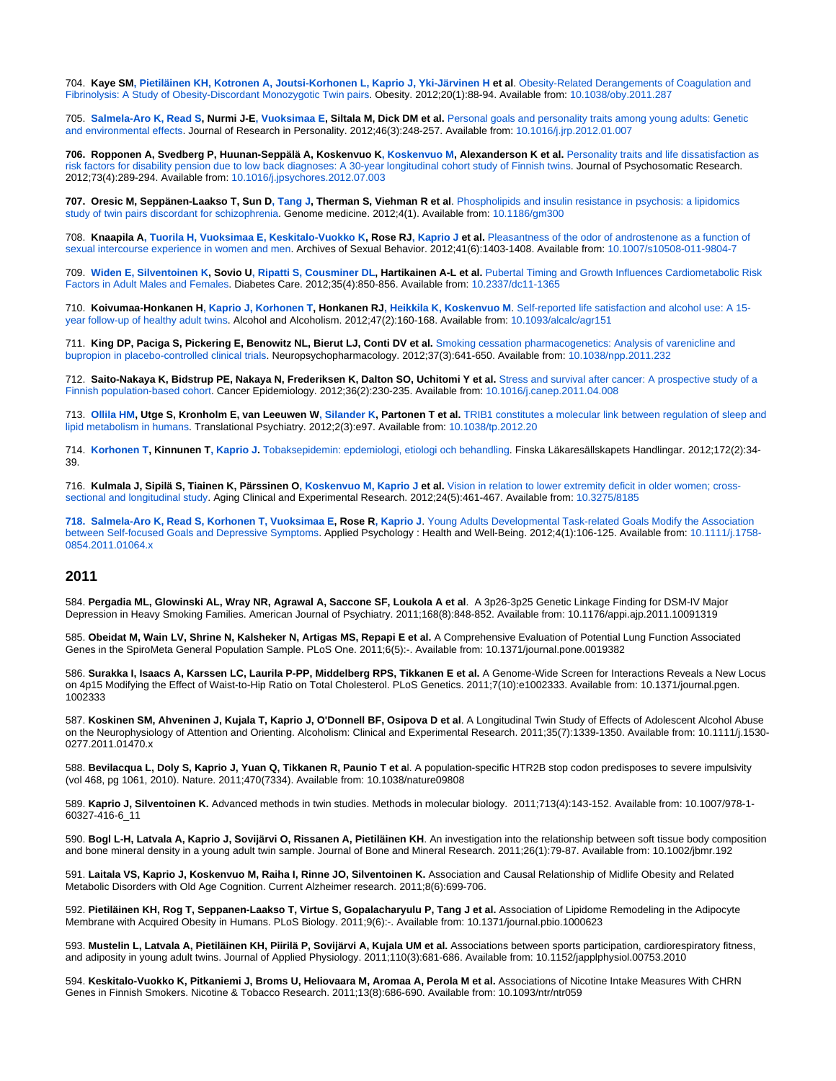704. **Kaye S[M, Pietiläinen KH](https://tuhat.halvi.helsinki.fi/portal/en/persons/kirsi-pietilainen%2818e0b4ff-9ea0-4df0-a87f-6129611afc43%29.html)[, Kotronen A](https://tuhat.halvi.helsinki.fi/portal/en/persons/anna-kotronen%28f42bf425-f1ae-4e00-9a7b-760206307df7%29.html)[, Joutsi-Korhonen L](https://tuhat.halvi.helsinki.fi/portal/en/persons/lotta-joutsikorhonen%28d0b691c0-3e35-44a5-b686-9588d3e7cff7%29.html)[, Kaprio J](https://tuhat.halvi.helsinki.fi/portal/en/persons/jaakko-kaprio%282a48fde0-3ffe-413e-ba89-6e81a5e555f9%29.html)[, Yki-Järvinen H](https://tuhat.halvi.helsinki.fi/portal/en/persons/hannele-ykijarvinen%28a732ec79-6a63-4fdf-aab6-229b74601104%29.html) et al**. [Obesity-Related Derangements of Coagulation and](https://tuhat.halvi.helsinki.fi/portal/en/publications/obesityrelated-dera%28920f8352-6668-4e71-835d-70fa1465c06a%29.html)  [Fibrinolysis: A Study of Obesity-Discordant Monozygotic Twin pairs.](https://tuhat.halvi.helsinki.fi/portal/en/publications/obesityrelated-dera%28920f8352-6668-4e71-835d-70fa1465c06a%29.html) Obesity. 2012;20(1):88-94. Available from: [10.1038/oby.2011.287](http://dx.doi.org/10.1038/oby.2011.287)

705. **[Salmela-Aro K](https://tuhat.halvi.helsinki.fi/portal/en/persons/katariina-salmelaaro%28611cc6e3-d941-4696-a25a-b41d5873428b%29.html)[, Read S,](https://tuhat.halvi.helsinki.fi/portal/en/persons/sanna-read%28bb4b44be-ec1c-4225-9736-c90a1f9caa26%29.html) Nurmi J-[E, Vuoksimaa E](https://tuhat.halvi.helsinki.fi/portal/en/persons/eero-vuoksimaa%283b401a14-7226-4b20-86a5-a64179bdae19%29.html), Siltala M, Dick DM et al.** [Personal goals and personality traits among young adults: Genetic](https://tuhat.halvi.helsinki.fi/portal/en/publications/personal-goals-and-%283a915194-99dd-4ce6-b4bd-48b23631b242%29.html)  [and environmental effects.](https://tuhat.halvi.helsinki.fi/portal/en/publications/personal-goals-and-%283a915194-99dd-4ce6-b4bd-48b23631b242%29.html) Journal of Research in Personality. 2012;46(3):248-257. Available from: [10.1016/j.jrp.2012.01.007](http://dx.doi.org/10.1016/j.jrp.2012.01.007)

**706. Ropponen A, Svedberg P, Huunan-Seppälä A, Koskenvuo K[, Koskenvuo M,](https://tuhat.halvi.helsinki.fi/portal/en/persons/markku-koskenvuo%28fcde4432-cb17-4f44-9ce3-63d365e8feda%29.html) Alexanderson K et al.** [Personality traits and life dissatisfaction as](https://tuhat.halvi.helsinki.fi/portal/en/publications/personality-traits-%28b329791d-0af2-4fdc-9b86-e4bc7ad3c05f%29.html)  [risk factors for disability pension due to low back diagnoses: A 30-year longitudinal cohort study of Finnish twins](https://tuhat.halvi.helsinki.fi/portal/en/publications/personality-traits-%28b329791d-0af2-4fdc-9b86-e4bc7ad3c05f%29.html). Journal of Psychosomatic Research. 2012;73(4):289-294. Available from: [10.1016/j.jpsychores.2012.07.003](http://dx.doi.org/10.1016/j.jpsychores.2012.07.003)

**707. Oresic M, Seppänen-Laakso T, Sun [D, Tang J,](https://tuhat.halvi.helsinki.fi/portal/en/persons/jing-tang%283926e292-29e7-45c1-8362-01de43f360bc%29.html) Therman S, Viehman R et al**. [Phospholipids and insulin resistance in psychosis: a lipidomics](https://tuhat.halvi.helsinki.fi/portal/en/publications/phospholipids-and-i%28259b52a0-e55d-4a00-b189-de94efee8280%29.html)  [study of twin pairs discordant for schizophrenia.](https://tuhat.halvi.helsinki.fi/portal/en/publications/phospholipids-and-i%28259b52a0-e55d-4a00-b189-de94efee8280%29.html) Genome medicine. 2012;4(1). Available from: [10.1186/gm300](http://dx.doi.org/10.1186/gm300)

708. **Knaapila A[, Tuorila H](https://tuhat.halvi.helsinki.fi/portal/en/persons/hely-tuorila%28b9696134-fb2d-4608-addd-4ebd44ae4bdd%29.html)[, Vuoksimaa E](https://tuhat.halvi.helsinki.fi/portal/en/persons/eero-vuoksimaa%283b401a14-7226-4b20-86a5-a64179bdae19%29.html)[, Keskitalo-Vuokko K,](https://tuhat.halvi.helsinki.fi/portal/en/persons/kaisu-keskitalo%2845e92a9a-d5c9-4648-95f8-ec14a01264a9%29.html) Rose RJ[, Kaprio J](https://tuhat.halvi.helsinki.fi/portal/en/persons/jaakko-kaprio%282a48fde0-3ffe-413e-ba89-6e81a5e555f9%29.html) et al.** [Pleasantness of the odor of androstenone as a function of](https://tuhat.halvi.helsinki.fi/portal/en/publications/pleasantness-of-the%28322bf0c5-6844-4c47-9b54-92ab10b87ba2%29.html)  [sexual intercourse experience in women and men](https://tuhat.halvi.helsinki.fi/portal/en/publications/pleasantness-of-the%28322bf0c5-6844-4c47-9b54-92ab10b87ba2%29.html). Archives of Sexual Behavior. 2012;41(6):1403-1408. Available from: [10.1007/s10508-011-9804-7](http://dx.doi.org/10.1007/s10508-011-9804-7)

709. **[Widen E](https://tuhat.halvi.helsinki.fi/portal/en/persons/elisabeth-widen%280edb0479-795c-4a7e-8bc0-b3f2b6a8ebd1%29.html)[, Silventoinen K,](https://tuhat.halvi.helsinki.fi/portal/en/persons/karri-silventoinen%28273fbdb3-22a5-4b29-a978-f845a3ae6bf9%29.html) Sovio U[, Ripatti S](https://tuhat.halvi.helsinki.fi/portal/en/persons/samuli-ripatti%28f956fe4a-5105-48b9-b835-cf9b5c6ce2b5%29.html)[, Cousminer DL,](https://tuhat.halvi.helsinki.fi/portal/en/persons/diana-cousminer%28c5b474fb-edc3-498c-8012-b8148910dd7f%29.html) Hartikainen A-L et al.** [Pubertal Timing and Growth Influences Cardiometabolic Risk](https://tuhat.halvi.helsinki.fi/portal/en/publications/pubertal-timing-and%28a650d3bc-a180-495b-a83c-ad48905906e5%29.html)  [Factors in Adult Males and Females.](https://tuhat.halvi.helsinki.fi/portal/en/publications/pubertal-timing-and%28a650d3bc-a180-495b-a83c-ad48905906e5%29.html) Diabetes Care. 2012;35(4):850-856. Available from: [10.2337/dc11-1365](http://dx.doi.org/10.2337/dc11-1365)

710. **Koivumaa-Honkanen H[, Kaprio J](https://tuhat.halvi.helsinki.fi/portal/en/persons/jaakko-kaprio%282a48fde0-3ffe-413e-ba89-6e81a5e555f9%29.html)[, Korhonen T](https://tuhat.halvi.helsinki.fi/portal/en/persons/tellervo-korhonen%288eb5ea78-4343-4c46-a9e6-d763d5131dd6%29.html), Honkanen RJ[, Heikkila K](https://tuhat.halvi.helsinki.fi/portal/en/persons/kauko-heikkila%288de99b39-337b-4ff0-9a17-b3e85c1f7fc4%29.html)[, Koskenvuo M](https://tuhat.halvi.helsinki.fi/portal/en/persons/markku-koskenvuo%28fcde4432-cb17-4f44-9ce3-63d365e8feda%29.html)**. [Self-reported life satisfaction and alcohol use: A 15](https://tuhat.halvi.helsinki.fi/portal/en/publications/selfreported-life-s%28bc213193-c1ed-4c15-8461-b0ce096abe5a%29.html) [year follow-up of healthy adult twins.](https://tuhat.halvi.helsinki.fi/portal/en/publications/selfreported-life-s%28bc213193-c1ed-4c15-8461-b0ce096abe5a%29.html) Alcohol and Alcoholism. 2012;47(2):160-168. Available from: [10.1093/alcalc/agr151](http://dx.doi.org/10.1093/alcalc/agr151)

711. **King DP, Paciga S, Pickering E, Benowitz NL, Bierut LJ, Conti DV et al.** [Smoking cessation pharmacogenetics: Analysis of varenicline and](https://tuhat.halvi.helsinki.fi/portal/en/publications/smoking-cessation-p%289bf3aee5-9b1b-4b8a-9ab7-536fba6e90fa%29.html)  [bupropion in placebo-controlled clinical trials](https://tuhat.halvi.helsinki.fi/portal/en/publications/smoking-cessation-p%289bf3aee5-9b1b-4b8a-9ab7-536fba6e90fa%29.html). Neuropsychopharmacology. 2012;37(3):641-650. Available from: [10.1038/npp.2011.232](http://dx.doi.org/10.1038/npp.2011.232)

712. **Saito-Nakaya K, Bidstrup PE, Nakaya N, Frederiksen K, Dalton SO, Uchitomi Y et al.** [Stress and survival after cancer: A prospective study of a](https://tuhat.halvi.helsinki.fi/portal/en/publications/stress-and-survival%28fb7e57b2-79f7-4204-9c63-829a271c49bc%29.html)  [Finnish population-based cohort.](https://tuhat.halvi.helsinki.fi/portal/en/publications/stress-and-survival%28fb7e57b2-79f7-4204-9c63-829a271c49bc%29.html) Cancer Epidemiology. 2012;36(2):230-235. Available from: [10.1016/j.canep.2011.04.008](http://dx.doi.org/10.1016/j.canep.2011.04.008)

713. **[Ollila HM,](https://tuhat.halvi.helsinki.fi/portal/en/persons/hanna-maria-ollila%28b723a343-2523-40d0-ad97-a617d4f1a601%29.html) Utge S, Kronholm E, van Leeuwen W[, Silander K](https://tuhat.halvi.helsinki.fi/portal/en/persons/kaisa-silander%2821b47198-ffdf-4b85-bfaa-acdbe4cb4ae6%29.html), Partonen T et al.** [TRIB1 constitutes a molecular link between regulation of sleep and](https://tuhat.halvi.helsinki.fi/portal/en/publications/trib1-constitutes-a%28e379399b-97b8-4351-88ed-75ef49a9cb8c%29.html)  [lipid metabolism in humans](https://tuhat.halvi.helsinki.fi/portal/en/publications/trib1-constitutes-a%28e379399b-97b8-4351-88ed-75ef49a9cb8c%29.html). Translational Psychiatry. 2012;2(3):e97. Available from: [10.1038/tp.2012.20](http://dx.doi.org/10.1038/tp.2012.20)

714. **[Korhonen T,](https://tuhat.halvi.helsinki.fi/portal/en/persons/tellervo-korhonen%288eb5ea78-4343-4c46-a9e6-d763d5131dd6%29.html) Kinnunen [T, Kaprio J.](https://tuhat.halvi.helsinki.fi/portal/en/persons/jaakko-kaprio%282a48fde0-3ffe-413e-ba89-6e81a5e555f9%29.html)** [Tobaksepidemin: epdemiologi, etiologi och behandling](https://tuhat.halvi.helsinki.fi/portal/en/publications/tobaksepidemin-epde%28c06217ee-a10d-4cc4-815b-583181737636%29.html). Finska Läkaresällskapets Handlingar. 2012;172(2):34- 39.

716. **Kulmala J, Sipilä S, Tiainen K, Pärssinen [O, Koskenvuo M](https://tuhat.halvi.helsinki.fi/portal/en/persons/markku-koskenvuo%28fcde4432-cb17-4f44-9ce3-63d365e8feda%29.html)[, Kaprio J](https://tuhat.halvi.helsinki.fi/portal/en/persons/jaakko-kaprio%282a48fde0-3ffe-413e-ba89-6e81a5e555f9%29.html) et al.** [Vision in relation to lower extremity deficit in older women; cross](https://tuhat.halvi.helsinki.fi/portal/en/publications/vision-in-relation-%284289d553-527d-4c32-9dae-f828bbc6877b%29.html)[sectional and longitudinal study](https://tuhat.halvi.helsinki.fi/portal/en/publications/vision-in-relation-%284289d553-527d-4c32-9dae-f828bbc6877b%29.html). Aging Clinical and Experimental Research. 2012;24(5):461-467. Available from: [10.3275/8185](http://dx.doi.org/10.3275/8185)

**[718. Salmela-Aro K](https://tuhat.halvi.helsinki.fi/portal/en/persons/katariina-salmelaaro%28611cc6e3-d941-4696-a25a-b41d5873428b%29.html)[, Read S](https://tuhat.halvi.helsinki.fi/portal/en/persons/sanna-read%28bb4b44be-ec1c-4225-9736-c90a1f9caa26%29.html)[, Korhonen T](https://tuhat.halvi.helsinki.fi/portal/en/persons/tellervo-korhonen%288eb5ea78-4343-4c46-a9e6-d763d5131dd6%29.html)[, Vuoksimaa E,](https://tuhat.halvi.helsinki.fi/portal/en/persons/eero-vuoksimaa%283b401a14-7226-4b20-86a5-a64179bdae19%29.html) Rose R[, Kaprio J](https://tuhat.halvi.helsinki.fi/portal/en/persons/jaakko-kaprio%282a48fde0-3ffe-413e-ba89-6e81a5e555f9%29.html)**. [Young Adults Developmental Task-related Goals Modify the Association](https://tuhat.halvi.helsinki.fi/portal/en/publications/young-adults-develo%28ab84597e-780f-4987-8394-bae134c10677%29.html)  [between Self-focused Goals and Depressive Symptoms.](https://tuhat.halvi.helsinki.fi/portal/en/publications/young-adults-develo%28ab84597e-780f-4987-8394-bae134c10677%29.html) Applied Psychology : Health and Well-Being. 2012;4(1):106-125. Available from: [10.1111/j.1758-](http://dx.doi.org/10.1111/j.1758-0854.2011.01064.x) [0854.2011.01064.x](http://dx.doi.org/10.1111/j.1758-0854.2011.01064.x)

# <span id="page-2-0"></span>**2011**

584. **Pergadia ML, Glowinski AL, Wray NR, Agrawal A, Saccone SF, Loukola A et al**. A 3p26-3p25 Genetic Linkage Finding for DSM-IV Major Depression in Heavy Smoking Families. American Journal of Psychiatry. 2011;168(8):848-852. Available from: 10.1176/appi.ajp.2011.10091319

585. **Obeidat M, Wain LV, Shrine N, Kalsheker N, Artigas MS, Repapi E et al.** A Comprehensive Evaluation of Potential Lung Function Associated Genes in the SpiroMeta General Population Sample. PLoS One. 2011;6(5):-. Available from: 10.1371/journal.pone.0019382

586. **Surakka I, Isaacs A, Karssen LC, Laurila P-PP, Middelberg RPS, Tikkanen E et al.** A Genome-Wide Screen for Interactions Reveals a New Locus on 4p15 Modifying the Effect of Waist-to-Hip Ratio on Total Cholesterol. PLoS Genetics. 2011;7(10):e1002333. Available from: 10.1371/journal.pgen. 1002333

587. **Koskinen SM, Ahveninen J, Kujala T, Kaprio J, O'Donnell BF, Osipova D et al**. A Longitudinal Twin Study of Effects of Adolescent Alcohol Abuse on the Neurophysiology of Attention and Orienting. Alcoholism: Clinical and Experimental Research. 2011;35(7):1339-1350. Available from: 10.1111/j.1530- 0277.2011.01470.x

588. **Bevilacqua L, Doly S, Kaprio J, Yuan Q, Tikkanen R, Paunio T et a**l. A population-specific HTR2B stop codon predisposes to severe impulsivity (vol 468, pg 1061, 2010). Nature. 2011;470(7334). Available from: 10.1038/nature09808

589. **Kaprio J, Silventoinen K.** Advanced methods in twin studies. Methods in molecular biology. 2011;713(4):143-152. Available from: 10.1007/978-1- 60327-416-6\_11

590. **Bogl L-H, Latvala A, Kaprio J, Sovijärvi O, Rissanen A, Pietiläinen KH**. An investigation into the relationship between soft tissue body composition and bone mineral density in a young adult twin sample. Journal of Bone and Mineral Research. 2011;26(1):79-87. Available from: 10.1002/jbmr.192

591. **Laitala VS, Kaprio J, Koskenvuo M, Raiha I, Rinne JO, Silventoinen K.** Association and Causal Relationship of Midlife Obesity and Related Metabolic Disorders with Old Age Cognition. Current Alzheimer research. 2011;8(6):699-706.

592. **Pietiläinen KH, Rog T, Seppanen-Laakso T, Virtue S, Gopalacharyulu P, Tang J et al.** Association of Lipidome Remodeling in the Adipocyte Membrane with Acquired Obesity in Humans. PLoS Biology. 2011;9(6):-. Available from: 10.1371/journal.pbio.1000623

593. **Mustelin L, Latvala A, Pietiläinen KH, Piirilä P, Sovijärvi A, Kujala UM et al.** Associations between sports participation, cardiorespiratory fitness, and adiposity in young adult twins. Journal of Applied Physiology. 2011;110(3):681-686. Available from: 10.1152/japplphysiol.00753.2010

594. **Keskitalo-Vuokko K, Pitkaniemi J, Broms U, Heliovaara M, Aromaa A, Perola M et al.** Associations of Nicotine Intake Measures With CHRN Genes in Finnish Smokers. Nicotine & Tobacco Research. 2011;13(8):686-690. Available from: 10.1093/ntr/ntr059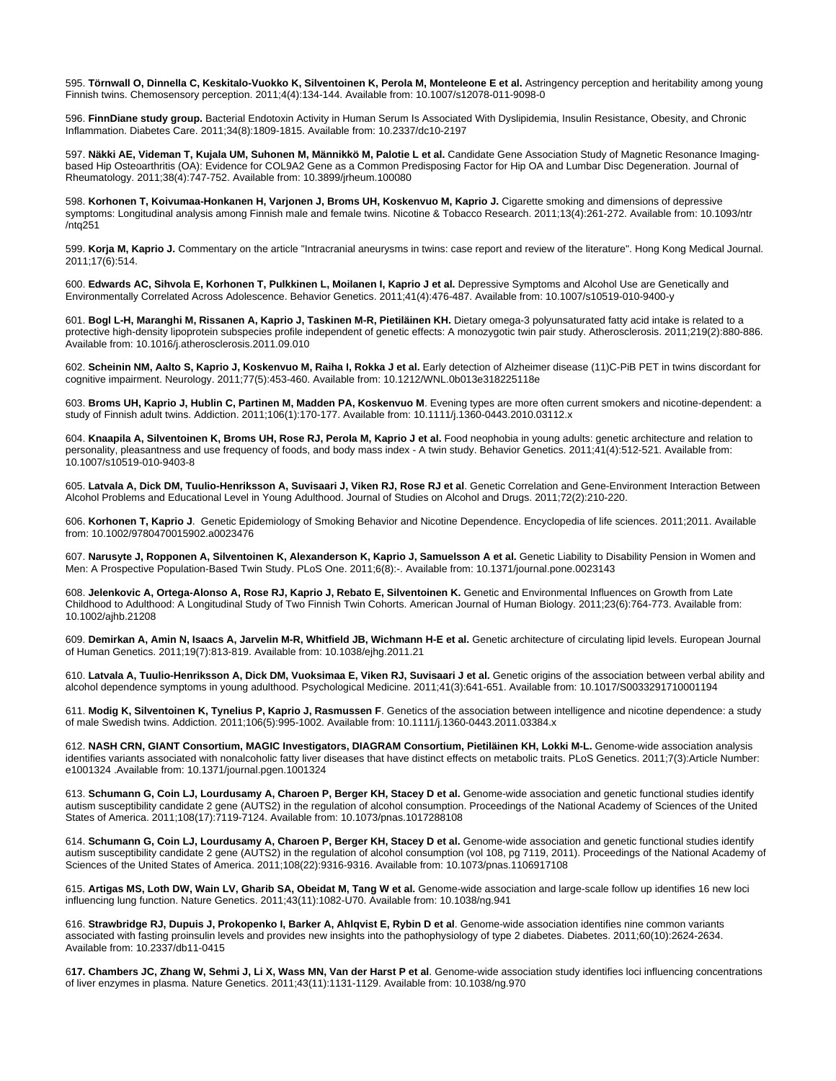595. **Törnwall O, Dinnella C, Keskitalo-Vuokko K, Silventoinen K, Perola M, Monteleone E et al.** Astringency perception and heritability among young Finnish twins. Chemosensory perception. 2011;4(4):134-144. Available from: 10.1007/s12078-011-9098-0

596. **FinnDiane study group.** Bacterial Endotoxin Activity in Human Serum Is Associated With Dyslipidemia, Insulin Resistance, Obesity, and Chronic Inflammation. Diabetes Care. 2011;34(8):1809-1815. Available from: 10.2337/dc10-2197

597. **Näkki AE, Videman T, Kujala UM, Suhonen M, Männikkö M, Palotie L et al.** Candidate Gene Association Study of Magnetic Resonance Imagingbased Hip Osteoarthritis (OA): Evidence for COL9A2 Gene as a Common Predisposing Factor for Hip OA and Lumbar Disc Degeneration. Journal of Rheumatology. 2011;38(4):747-752. Available from: 10.3899/jrheum.100080

598. **Korhonen T, Koivumaa-Honkanen H, Varjonen J, Broms UH, Koskenvuo M, Kaprio J.** Cigarette smoking and dimensions of depressive symptoms: Longitudinal analysis among Finnish male and female twins. Nicotine & Tobacco Research. 2011;13(4):261-272. Available from: 10.1093/ntr /ntq251

599. **Korja M, Kaprio J.** Commentary on the article "Intracranial aneurysms in twins: case report and review of the literature". Hong Kong Medical Journal. 2011;17(6):514.

600. **Edwards AC, Sihvola E, Korhonen T, Pulkkinen L, Moilanen I, Kaprio J et al.** Depressive Symptoms and Alcohol Use are Genetically and Environmentally Correlated Across Adolescence. Behavior Genetics. 2011;41(4):476-487. Available from: 10.1007/s10519-010-9400-y

601. **Bogl L-H, Maranghi M, Rissanen A, Kaprio J, Taskinen M-R, Pietiläinen KH.** Dietary omega-3 polyunsaturated fatty acid intake is related to a protective high-density lipoprotein subspecies profile independent of genetic effects: A monozygotic twin pair study. Atherosclerosis. 2011;219(2):880-886. Available from: 10.1016/j.atherosclerosis.2011.09.010

602. **Scheinin NM, Aalto S, Kaprio J, Koskenvuo M, Raiha I, Rokka J et al.** Early detection of Alzheimer disease (11)C-PiB PET in twins discordant for cognitive impairment. Neurology. 2011;77(5):453-460. Available from: 10.1212/WNL.0b013e318225118e

603. **Broms UH, Kaprio J, Hublin C, Partinen M, Madden PA, Koskenvuo M**. Evening types are more often current smokers and nicotine-dependent: a study of Finnish adult twins. Addiction. 2011;106(1):170-177. Available from: 10.1111/j.1360-0443.2010.03112.x

604. **Knaapila A, Silventoinen K, Broms UH, Rose RJ, Perola M, Kaprio J et al.** Food neophobia in young adults: genetic architecture and relation to personality, pleasantness and use frequency of foods, and body mass index - A twin study. Behavior Genetics. 2011;41(4):512-521. Available from: 10.1007/s10519-010-9403-8

605. **Latvala A, Dick DM, Tuulio-Henriksson A, Suvisaari J, Viken RJ, Rose RJ et al**. Genetic Correlation and Gene-Environment Interaction Between Alcohol Problems and Educational Level in Young Adulthood. Journal of Studies on Alcohol and Drugs. 2011;72(2):210-220.

606. **Korhonen T, Kaprio J**. Genetic Epidemiology of Smoking Behavior and Nicotine Dependence. Encyclopedia of life sciences. 2011;2011. Available from: 10.1002/9780470015902.a0023476

607. **Narusyte J, Ropponen A, Silventoinen K, Alexanderson K, Kaprio J, Samuelsson A et al.** Genetic Liability to Disability Pension in Women and Men: A Prospective Population-Based Twin Study. PLoS One. 2011;6(8):-. Available from: 10.1371/journal.pone.0023143

608. **Jelenkovic A, Ortega-Alonso A, Rose RJ, Kaprio J, Rebato E, Silventoinen K.** Genetic and Environmental Influences on Growth from Late Childhood to Adulthood: A Longitudinal Study of Two Finnish Twin Cohorts. American Journal of Human Biology. 2011;23(6):764-773. Available from: 10.1002/ajhb.21208

609. **Demirkan A, Amin N, Isaacs A, Jarvelin M-R, Whitfield JB, Wichmann H-E et al.** Genetic architecture of circulating lipid levels. European Journal of Human Genetics. 2011;19(7):813-819. Available from: 10.1038/ejhg.2011.21

610. **Latvala A, Tuulio-Henriksson A, Dick DM, Vuoksimaa E, Viken RJ, Suvisaari J et al.** Genetic origins of the association between verbal ability and alcohol dependence symptoms in young adulthood. Psychological Medicine. 2011;41(3):641-651. Available from: 10.1017/S0033291710001194

611. **Modig K, Silventoinen K, Tynelius P, Kaprio J, Rasmussen F**. Genetics of the association between intelligence and nicotine dependence: a study of male Swedish twins. Addiction. 2011;106(5):995-1002. Available from: 10.1111/j.1360-0443.2011.03384.x

612. **NASH CRN, GIANT Consortium, MAGIC Investigators, DIAGRAM Consortium, Pietiläinen KH, Lokki M-L.** Genome-wide association analysis identifies variants associated with nonalcoholic fatty liver diseases that have distinct effects on metabolic traits. PLoS Genetics. 2011;7(3):Article Number: e1001324 .Available from: 10.1371/journal.pgen.1001324

613. **Schumann G, Coin LJ, Lourdusamy A, Charoen P, Berger KH, Stacey D et al.** Genome-wide association and genetic functional studies identify autism susceptibility candidate 2 gene (AUTS2) in the regulation of alcohol consumption. Proceedings of the National Academy of Sciences of the United States of America. 2011;108(17):7119-7124. Available from: 10.1073/pnas.1017288108

614. **Schumann G, Coin LJ, Lourdusamy A, Charoen P, Berger KH, Stacey D et al.** Genome-wide association and genetic functional studies identify autism susceptibility candidate 2 gene (AUTS2) in the regulation of alcohol consumption (vol 108, pg 7119, 2011). Proceedings of the National Academy of Sciences of the United States of America. 2011;108(22):9316-9316. Available from: 10.1073/pnas.1106917108

615. **Artigas MS, Loth DW, Wain LV, Gharib SA, Obeidat M, Tang W et al.** Genome-wide association and large-scale follow up identifies 16 new loci influencing lung function. Nature Genetics. 2011;43(11):1082-U70. Available from: 10.1038/ng.941

616. **Strawbridge RJ, Dupuis J, Prokopenko I, Barker A, Ahlqvist E, Rybin D et al**. Genome-wide association identifies nine common variants associated with fasting proinsulin levels and provides new insights into the pathophysiology of type 2 diabetes. Diabetes. 2011;60(10):2624-2634. Available from: 10.2337/db11-0415

6**17. Chambers JC, Zhang W, Sehmi J, Li X, Wass MN, Van der Harst P et al**. Genome-wide association study identifies loci influencing concentrations of liver enzymes in plasma. Nature Genetics. 2011;43(11):1131-1129. Available from: 10.1038/ng.970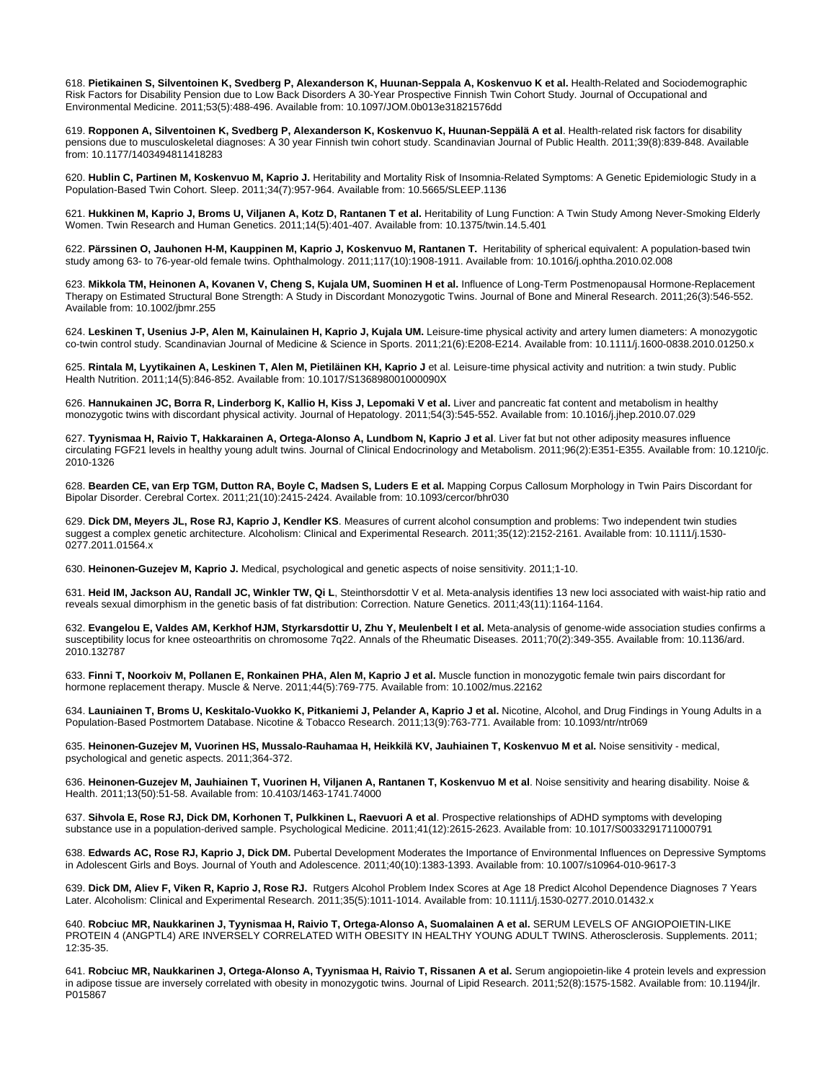618. **Pietikainen S, Silventoinen K, Svedberg P, Alexanderson K, Huunan-Seppala A, Koskenvuo K et al.** Health-Related and Sociodemographic Risk Factors for Disability Pension due to Low Back Disorders A 30-Year Prospective Finnish Twin Cohort Study. Journal of Occupational and Environmental Medicine. 2011;53(5):488-496. Available from: 10.1097/JOM.0b013e31821576dd

619. **Ropponen A, Silventoinen K, Svedberg P, Alexanderson K, Koskenvuo K, Huunan-Seppälä A et al**. Health-related risk factors for disability pensions due to musculoskeletal diagnoses: A 30 year Finnish twin cohort study. Scandinavian Journal of Public Health. 2011;39(8):839-848. Available from: 10.1177/1403494811418283

620. **Hublin C, Partinen M, Koskenvuo M, Kaprio J.** Heritability and Mortality Risk of Insomnia-Related Symptoms: A Genetic Epidemiologic Study in a Population-Based Twin Cohort. Sleep. 2011;34(7):957-964. Available from: 10.5665/SLEEP.1136

621. **Hukkinen M, Kaprio J, Broms U, Viljanen A, Kotz D, Rantanen T et al.** Heritability of Lung Function: A Twin Study Among Never-Smoking Elderly Women. Twin Research and Human Genetics. 2011;14(5):401-407. Available from: 10.1375/twin.14.5.401

622. **Pärssinen O, Jauhonen H-M, Kauppinen M, Kaprio J, Koskenvuo M, Rantanen T.** Heritability of spherical equivalent: A population-based twin study among 63- to 76-year-old female twins. Ophthalmology. 2011;117(10):1908-1911. Available from: 10.1016/j.ophtha.2010.02.008

623. **Mikkola TM, Heinonen A, Kovanen V, Cheng S, Kujala UM, Suominen H et al.** Influence of Long-Term Postmenopausal Hormone-Replacement Therapy on Estimated Structural Bone Strength: A Study in Discordant Monozygotic Twins. Journal of Bone and Mineral Research. 2011;26(3):546-552. Available from: 10.1002/jbmr.255

624. **Leskinen T, Usenius J-P, Alen M, Kainulainen H, Kaprio J, Kujala UM.** Leisure-time physical activity and artery lumen diameters: A monozygotic co-twin control study. Scandinavian Journal of Medicine & Science in Sports. 2011;21(6):E208-E214. Available from: 10.1111/j.1600-0838.2010.01250.x

625. **Rintala M, Lyytikainen A, Leskinen T, Alen M, Pietiläinen KH, Kaprio J** et al. Leisure-time physical activity and nutrition: a twin study. Public Health Nutrition. 2011;14(5):846-852. Available from: 10.1017/S136898001000090X

626. **Hannukainen JC, Borra R, Linderborg K, Kallio H, Kiss J, Lepomaki V et al.** Liver and pancreatic fat content and metabolism in healthy monozygotic twins with discordant physical activity. Journal of Hepatology. 2011;54(3):545-552. Available from: 10.1016/j.jhep.2010.07.029

627. **Tyynismaa H, Raivio T, Hakkarainen A, Ortega-Alonso A, Lundbom N, Kaprio J et al**. Liver fat but not other adiposity measures influence circulating FGF21 levels in healthy young adult twins. Journal of Clinical Endocrinology and Metabolism. 2011;96(2):E351-E355. Available from: 10.1210/jc. 2010-1326

628. **Bearden CE, van Erp TGM, Dutton RA, Boyle C, Madsen S, Luders E et al.** Mapping Corpus Callosum Morphology in Twin Pairs Discordant for Bipolar Disorder. Cerebral Cortex. 2011;21(10):2415-2424. Available from: 10.1093/cercor/bhr030

629. **Dick DM, Meyers JL, Rose RJ, Kaprio J, Kendler KS**. Measures of current alcohol consumption and problems: Two independent twin studies suggest a complex genetic architecture. Alcoholism: Clinical and Experimental Research. 2011;35(12):2152-2161. Available from: 10.1111/j.1530- 0277.2011.01564.x

630. **Heinonen-Guzejev M, Kaprio J.** Medical, psychological and genetic aspects of noise sensitivity. 2011;1-10.

631. **Heid IM, Jackson AU, Randall JC, Winkler TW, Qi L**, Steinthorsdottir V et al. Meta-analysis identifies 13 new loci associated with waist-hip ratio and reveals sexual dimorphism in the genetic basis of fat distribution: Correction. Nature Genetics. 2011;43(11):1164-1164.

632. **Evangelou E, Valdes AM, Kerkhof HJM, Styrkarsdottir U, Zhu Y, Meulenbelt I et al.** Meta-analysis of genome-wide association studies confirms a susceptibility locus for knee osteoarthritis on chromosome 7q22. Annals of the Rheumatic Diseases. 2011;70(2):349-355. Available from: 10.1136/ard. 2010.132787

633. **Finni T, Noorkoiv M, Pollanen E, Ronkainen PHA, Alen M, Kaprio J et al.** Muscle function in monozygotic female twin pairs discordant for hormone replacement therapy. Muscle & Nerve. 2011;44(5):769-775. Available from: 10.1002/mus.22162

634. **Launiainen T, Broms U, Keskitalo-Vuokko K, Pitkaniemi J, Pelander A, Kaprio J et al.** Nicotine, Alcohol, and Drug Findings in Young Adults in a Population-Based Postmortem Database. Nicotine & Tobacco Research. 2011;13(9):763-771. Available from: 10.1093/ntr/ntr069

635. **Heinonen-Guzejev M, Vuorinen HS, Mussalo-Rauhamaa H, Heikkilä KV, Jauhiainen T, Koskenvuo M et al.** Noise sensitivity - medical, psychological and genetic aspects. 2011;364-372.

636. **Heinonen-Guzejev M, Jauhiainen T, Vuorinen H, Viljanen A, Rantanen T, Koskenvuo M et al**. Noise sensitivity and hearing disability. Noise & Health. 2011;13(50):51-58. Available from: 10.4103/1463-1741.74000

637. **Sihvola E, Rose RJ, Dick DM, Korhonen T, Pulkkinen L, Raevuori A et al**. Prospective relationships of ADHD symptoms with developing substance use in a population-derived sample. Psychological Medicine. 2011;41(12):2615-2623. Available from: 10.1017/S0033291711000791

638. **Edwards AC, Rose RJ, Kaprio J, Dick DM.** Pubertal Development Moderates the Importance of Environmental Influences on Depressive Symptoms in Adolescent Girls and Boys. Journal of Youth and Adolescence. 2011;40(10):1383-1393. Available from: 10.1007/s10964-010-9617-3

639. **Dick DM, Aliev F, Viken R, Kaprio J, Rose RJ.** Rutgers Alcohol Problem Index Scores at Age 18 Predict Alcohol Dependence Diagnoses 7 Years Later. Alcoholism: Clinical and Experimental Research. 2011;35(5):1011-1014. Available from: 10.1111/j.1530-0277.2010.01432.x

640. **Robciuc MR, Naukkarinen J, Tyynismaa H, Raivio T, Ortega-Alonso A, Suomalainen A et al.** SERUM LEVELS OF ANGIOPOIETIN-LIKE PROTEIN 4 (ANGPTL4) ARE INVERSELY CORRELATED WITH OBESITY IN HEALTHY YOUNG ADULT TWINS. Atherosclerosis. Supplements. 2011; 12:35-35.

641. **Robciuc MR, Naukkarinen J, Ortega-Alonso A, Tyynismaa H, Raivio T, Rissanen A et al.** Serum angiopoietin-like 4 protein levels and expression in adipose tissue are inversely correlated with obesity in monozygotic twins. Journal of Lipid Research. 2011;52(8):1575-1582. Available from: 10.1194/jlr. P015867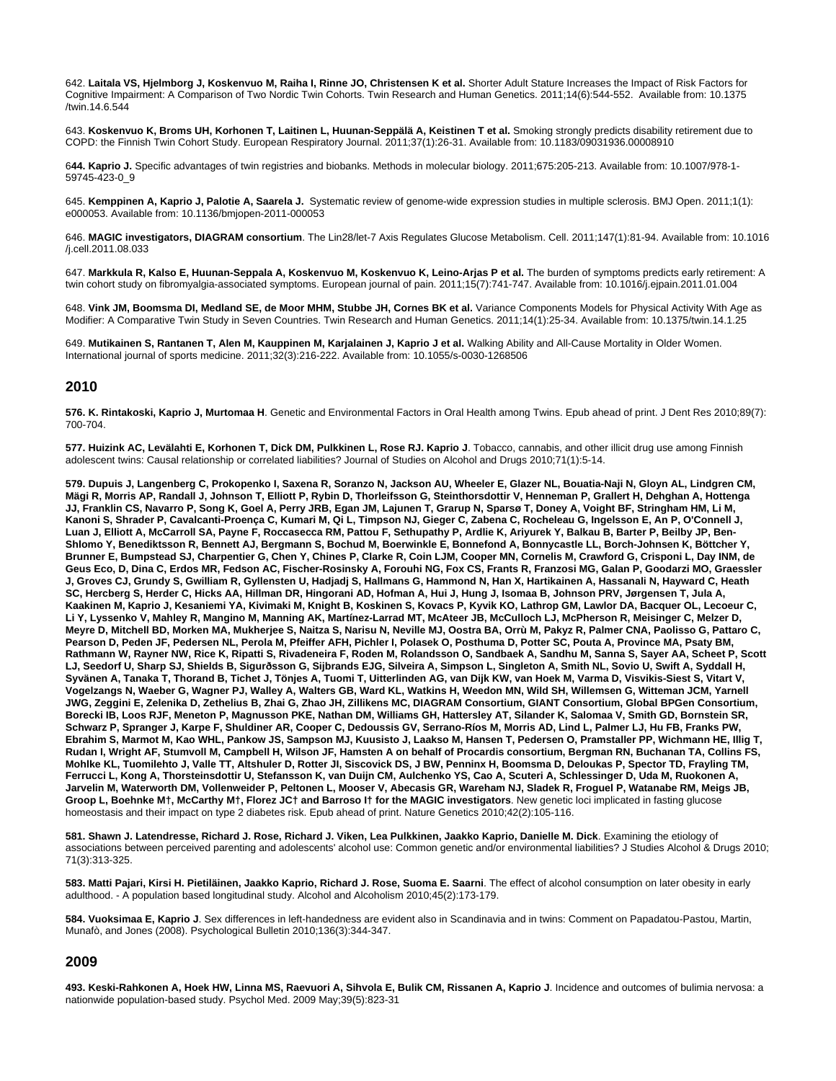642. **Laitala VS, Hjelmborg J, Koskenvuo M, Raiha I, Rinne JO, Christensen K et al.** Shorter Adult Stature Increases the Impact of Risk Factors for Cognitive Impairment: A Comparison of Two Nordic Twin Cohorts. Twin Research and Human Genetics. 2011;14(6):544-552. Available from: 10.1375 /twin.14.6.544

643. **Koskenvuo K, Broms UH, Korhonen T, Laitinen L, Huunan-Seppälä A, Keistinen T et al.** Smoking strongly predicts disability retirement due to COPD: the Finnish Twin Cohort Study. European Respiratory Journal. 2011;37(1):26-31. Available from: 10.1183/09031936.00008910

6**44. Kaprio J.** Specific advantages of twin registries and biobanks. Methods in molecular biology. 2011;675:205-213. Available from: 10.1007/978-1- 59745-423-0\_9

645. **Kemppinen A, Kaprio J, Palotie A, Saarela J.** Systematic review of genome-wide expression studies in multiple sclerosis. BMJ Open. 2011;1(1): e000053. Available from: 10.1136/bmjopen-2011-000053

646. **MAGIC investigators, DIAGRAM consortium**. The Lin28/let-7 Axis Regulates Glucose Metabolism. Cell. 2011;147(1):81-94. Available from: 10.1016 /j.cell.2011.08.033

647. **Markkula R, Kalso E, Huunan-Seppala A, Koskenvuo M, Koskenvuo K, Leino-Arjas P et al.** The burden of symptoms predicts early retirement: A twin cohort study on fibromyalgia-associated symptoms. European journal of pain. 2011;15(7):741-747. Available from: 10.1016/j.ejpain.2011.01.004

648. **Vink JM, Boomsma DI, Medland SE, de Moor MHM, Stubbe JH, Cornes BK et al.** Variance Components Models for Physical Activity With Age as Modifier: A Comparative Twin Study in Seven Countries. Twin Research and Human Genetics. 2011;14(1):25-34. Available from: 10.1375/twin.14.1.25

649. **Mutikainen S, Rantanen T, Alen M, Kauppinen M, Karjalainen J, Kaprio J et al.** Walking Ability and All-Cause Mortality in Older Women. International journal of sports medicine. 2011;32(3):216-222. Available from: 10.1055/s-0030-1268506

# <span id="page-5-0"></span>**2010**

**576. K. Rintakoski, Kaprio J, Murtomaa H**. Genetic and Environmental Factors in Oral Health among Twins. Epub ahead of print. J Dent Res 2010;89(7): 700-704.

**577. Huizink AC, Levälahti E, Korhonen T, Dick DM, Pulkkinen L, Rose RJ. Kaprio J**. Tobacco, cannabis, and other illicit drug use among Finnish adolescent twins: Causal relationship or correlated liabilities? Journal of Studies on Alcohol and Drugs 2010;71(1):5-14.

**579. Dupuis J, Langenberg C, Prokopenko I, Saxena R, Soranzo N, Jackson AU, Wheeler E, Glazer NL, Bouatia-Naji N, Gloyn AL, Lindgren CM, Mägi R, Morris AP, Randall J, Johnson T, Elliott P, Rybin D, Thorleifsson G, Steinthorsdottir V, Henneman P, Grallert H, Dehghan A, Hottenga JJ, Franklin CS, Navarro P, Song K, Goel A, Perry JRB, Egan JM, Lajunen T, Grarup N, Sparsø T, Doney A, Voight BF, Stringham HM, Li M, Kanoni S, Shrader P, Cavalcanti-Proença C, Kumari M, Qi L, Timpson NJ, Gieger C, Zabena C, Rocheleau G, Ingelsson E, An P, O'Connell J, Luan J, Elliott A, McCarroll SA, Payne F, Roccasecca RM, Pattou F, Sethupathy P, Ardlie K, Ariyurek Y, Balkau B, Barter P, Beilby JP, Ben-Shlomo Y, Benediktsson R, Bennett AJ, Bergmann S, Bochud M, Boerwinkle E, Bonnefond A, Bonnycastle LL, Borch-Johnsen K, Böttcher Y, Brunner E, Bumpstead SJ, Charpentier G, Chen Y, Chines P, Clarke R, Coin LJM, Cooper MN, Cornelis M, Crawford G, Crisponi L, Day INM, de Geus Eco, D, Dina C, Erdos MR, Fedson AC, Fischer-Rosinsky A, Forouhi NG, Fox CS, Frants R, Franzosi MG, Galan P, Goodarzi MO, Graessler J, Groves CJ, Grundy S, Gwilliam R, Gyllensten U, Hadjadj S, Hallmans G, Hammond N, Han X, Hartikainen A, Hassanali N, Hayward C, Heath SC, Hercberg S, Herder C, Hicks AA, Hillman DR, Hingorani AD, Hofman A, Hui J, Hung J, Isomaa B, Johnson PRV, Jørgensen T, Jula A, Kaakinen M, Kaprio J, Kesaniemi YA, Kivimaki M, Knight B, Koskinen S, Kovacs P, Kyvik KO, Lathrop GM, Lawlor DA, Bacquer OL, Lecoeur C, Li Y, Lyssenko V, Mahley R, Mangino M, Manning AK, Martínez-Larrad MT, McAteer JB, McCulloch LJ, McPherson R, Meisinger C, Melzer D, Meyre D, Mitchell BD, Morken MA, Mukherjee S, Naitza S, Narisu N, Neville MJ, Oostra BA, Orrù M, Pakyz R, Palmer CNA, Paolisso G, Pattaro C, Pearson D, Peden JF, Pedersen NL, Perola M, Pfeiffer AFH, Pichler I, Polasek O, Posthuma D, Potter SC, Pouta A, Province MA, Psaty BM, Rathmann W, Rayner NW, Rice K, Ripatti S, Rivadeneira F, Roden M, Rolandsson O, Sandbaek A, Sandhu M, Sanna S, Sayer AA, Scheet P, Scott LJ, Seedorf U, Sharp SJ, Shields B, Sigurðsson G, Sijbrands EJG, Silveira A, Simpson L, Singleton A, Smith NL, Sovio U, Swift A, Syddall H, Syvänen A, Tanaka T, Thorand B, Tichet J, Tönjes A, Tuomi T, Uitterlinden AG, van Dijk KW, van Hoek M, Varma D, Visvikis-Siest S, Vitart V, Vogelzangs N, Waeber G, Wagner PJ, Walley A, Walters GB, Ward KL, Watkins H, Weedon MN, Wild SH, Willemsen G, Witteman JCM, Yarnell JWG, Zeggini E, Zelenika D, Zethelius B, Zhai G, Zhao JH, Zillikens MC, DIAGRAM Consortium, GIANT Consortium, Global BPGen Consortium, Borecki IB, Loos RJF, Meneton P, Magnusson PKE, Nathan DM, Williams GH, Hattersley AT, Silander K, Salomaa V, Smith GD, Bornstein SR, Schwarz P, Spranger J, Karpe F, Shuldiner AR, Cooper C, Dedoussis GV, Serrano-Ríos M, Morris AD, Lind L, Palmer LJ, Hu FB, Franks PW, Ebrahim S, Marmot M, Kao WHL, Pankow JS, Sampson MJ, Kuusisto J, Laakso M, Hansen T, Pedersen O, Pramstaller PP, Wichmann HE, Illig T, Rudan I, Wright AF, Stumvoll M, Campbell H, Wilson JF, Hamsten A on behalf of Procardis consortium, Bergman RN, Buchanan TA, Collins FS, Mohlke KL, Tuomilehto J, Valle TT, Altshuler D, Rotter JI, Siscovick DS, J BW, Penninx H, Boomsma D, Deloukas P, Spector TD, Frayling TM, Ferrucci L, Kong A, Thorsteinsdottir U, Stefansson K, van Duijn CM, Aulchenko YS, Cao A, Scuteri A, Schlessinger D, Uda M, Ruokonen A, Jarvelin M, Waterworth DM, Vollenweider P, Peltonen L, Mooser V, Abecasis GR, Wareham NJ, Sladek R, Froguel P, Watanabe RM, Meigs JB, Groop L, Boehnke M†, McCarthy M†, Florez JC† and Barroso I† for the MAGIC investigators**. New genetic loci implicated in fasting glucose homeostasis and their impact on type 2 diabetes risk. Epub ahead of print. Nature Genetics 2010;42(2):105-116.

**581. Shawn J. Latendresse, Richard J. Rose, Richard J. Viken, Lea Pulkkinen, Jaakko Kaprio, Danielle M. Dick**. Examining the etiology of associations between perceived parenting and adolescents' alcohol use: Common genetic and/or environmental liabilities? J Studies Alcohol & Drugs 2010; 71(3):313-325.

**583. Matti Pajari, Kirsi H. Pietiläinen, Jaakko Kaprio, Richard J. Rose, Suoma E. Saarni**. The effect of alcohol consumption on later obesity in early adulthood. - A population based longitudinal study. Alcohol and Alcoholism 2010;45(2):173-179.

**584. Vuoksimaa E, Kaprio J**. Sex differences in left-handedness are evident also in Scandinavia and in twins: Comment on Papadatou-Pastou, Martin, Munafò, and Jones (2008). Psychological Bulletin 2010;136(3):344-347.

# <span id="page-5-1"></span>**2009**

**493. Keski-Rahkonen A, Hoek HW, Linna MS, Raevuori A, Sihvola E, Bulik CM, Rissanen A, Kaprio J**. Incidence and outcomes of bulimia nervosa: a nationwide population-based study. Psychol Med. 2009 May;39(5):823-31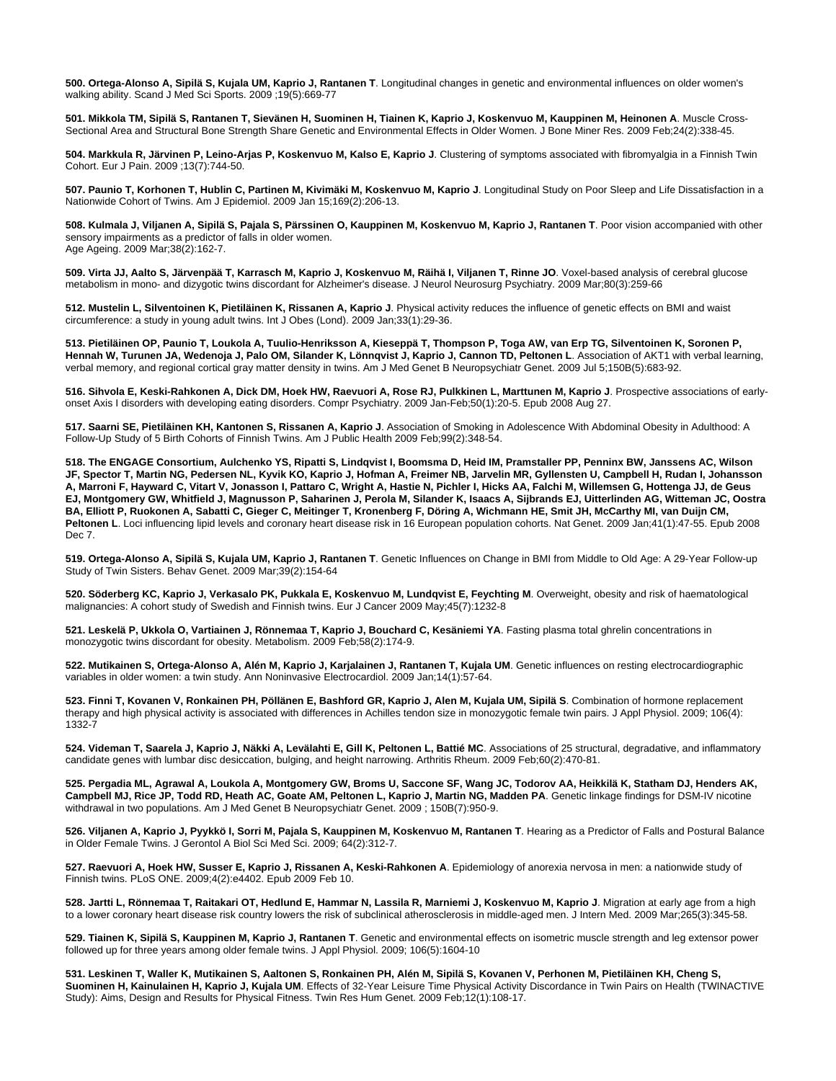**500. Ortega-Alonso A, Sipilä S, Kujala UM, Kaprio J, Rantanen T**. Longitudinal changes in genetic and environmental influences on older women's walking ability. Scand J Med Sci Sports. 2009 ;19(5):669-77

**501. Mikkola TM, Sipilä S, Rantanen T, Sievänen H, Suominen H, Tiainen K, Kaprio J, Koskenvuo M, Kauppinen M, Heinonen A**. Muscle Cross-Sectional Area and Structural Bone Strength Share Genetic and Environmental Effects in Older Women. J Bone Miner Res. 2009 Feb;24(2):338-45.

**504. Markkula R, Järvinen P, Leino-Arjas P, Koskenvuo M, Kalso E, Kaprio J**. Clustering of symptoms associated with fibromyalgia in a Finnish Twin Cohort. Eur J Pain. 2009 ;13(7):744-50.

**507. Paunio T, Korhonen T, Hublin C, Partinen M, Kivimäki M, Koskenvuo M, Kaprio J**. Longitudinal Study on Poor Sleep and Life Dissatisfaction in a Nationwide Cohort of Twins. Am J Epidemiol. 2009 Jan 15;169(2):206-13.

**508. Kulmala J, Viljanen A, Sipilä S, Pajala S, Pärssinen O, Kauppinen M, Koskenvuo M, Kaprio J, Rantanen T**. Poor vision accompanied with other sensory impairments as a predictor of falls in older women. Age Ageing. 2009 Mar;38(2):162-7.

**509. Virta JJ, Aalto S, Järvenpää T, Karrasch M, Kaprio J, Koskenvuo M, Räihä I, Viljanen T, Rinne JO**. Voxel-based analysis of cerebral glucose metabolism in mono- and dizygotic twins discordant for Alzheimer's disease. J Neurol Neurosurg Psychiatry. 2009 Mar;80(3):259-66

**512. Mustelin L, Silventoinen K, Pietiläinen K, Rissanen A, Kaprio J**. Physical activity reduces the influence of genetic effects on BMI and waist circumference: a study in young adult twins. Int J Obes (Lond). 2009 Jan;33(1):29-36.

**513. Pietiläinen OP, Paunio T, Loukola A, Tuulio-Henriksson A, Kieseppä T, Thompson P, Toga AW, van Erp TG, Silventoinen K, Soronen P, Hennah W, Turunen JA, Wedenoja J, Palo OM, Silander K, Lönnqvist J, Kaprio J, Cannon TD, Peltonen L**. Association of AKT1 with verbal learning, verbal memory, and regional cortical gray matter density in twins. Am J Med Genet B Neuropsychiatr Genet. 2009 Jul 5;150B(5):683-92.

**516. Sihvola E, Keski-Rahkonen A, Dick DM, Hoek HW, Raevuori A, Rose RJ, Pulkkinen L, Marttunen M, Kaprio J**. Prospective associations of earlyonset Axis I disorders with developing eating disorders. Compr Psychiatry. 2009 Jan-Feb;50(1):20-5. Epub 2008 Aug 27.

**517. Saarni SE, Pietiläinen KH, Kantonen S, Rissanen A, Kaprio J**. Association of Smoking in Adolescence With Abdominal Obesity in Adulthood: A Follow-Up Study of 5 Birth Cohorts of Finnish Twins. Am J Public Health 2009 Feb;99(2):348-54.

**518. The ENGAGE Consortium, Aulchenko YS, Ripatti S, Lindqvist I, Boomsma D, Heid IM, Pramstaller PP, Penninx BW, Janssens AC, Wilson JF, Spector T, Martin NG, Pedersen NL, Kyvik KO, Kaprio J, Hofman A, Freimer NB, Jarvelin MR, Gyllensten U, Campbell H, Rudan I, Johansson A, Marroni F, Hayward C, Vitart V, Jonasson I, Pattaro C, Wright A, Hastie N, Pichler I, Hicks AA, Falchi M, Willemsen G, Hottenga JJ, de Geus EJ, Montgomery GW, Whitfield J, Magnusson P, Saharinen J, Perola M, Silander K, Isaacs A, Sijbrands EJ, Uitterlinden AG, Witteman JC, Oostra BA, Elliott P, Ruokonen A, Sabatti C, Gieger C, Meitinger T, Kronenberg F, Döring A, Wichmann HE, Smit JH, McCarthy MI, van Duijn CM,**  Peltonen L. Loci influencing lipid levels and coronary heart disease risk in 16 European population cohorts. Nat Genet. 2009 Jan;41(1):47-55. Epub 2008 Dec 7.

**519. Ortega-Alonso A, Sipilä S, Kujala UM, Kaprio J, Rantanen T**. Genetic Influences on Change in BMI from Middle to Old Age: A 29-Year Follow-up Study of Twin Sisters. Behav Genet. 2009 Mar;39(2):154-64

**520. Söderberg KC, Kaprio J, Verkasalo PK, Pukkala E, Koskenvuo M, Lundqvist E, Feychting M**. Overweight, obesity and risk of haematological malignancies: A cohort study of Swedish and Finnish twins. Eur J Cancer 2009 May;45(7):1232-8

**521. Leskelä P, Ukkola O, Vartiainen J, Rönnemaa T, Kaprio J, Bouchard C, Kesäniemi YA**. Fasting plasma total ghrelin concentrations in monozygotic twins discordant for obesity. Metabolism. 2009 Feb;58(2):174-9.

**522. Mutikainen S, Ortega-Alonso A, Alén M, Kaprio J, Karjalainen J, Rantanen T, Kujala UM**. Genetic influences on resting electrocardiographic variables in older women: a twin study. Ann Noninvasive Electrocardiol. 2009 Jan;14(1):57-64.

**523. Finni T, Kovanen V, Ronkainen PH, Pöllänen E, Bashford GR, Kaprio J, Alen M, Kujala UM, Sipilä S**. Combination of hormone replacement therapy and high physical activity is associated with differences in Achilles tendon size in monozygotic female twin pairs. J Appl Physiol. 2009; 106(4): 1332-7

**524. Videman T, Saarela J, Kaprio J, Näkki A, Levälahti E, Gill K, Peltonen L, Battié MC**. Associations of 25 structural, degradative, and inflammatory candidate genes with lumbar disc desiccation, bulging, and height narrowing. Arthritis Rheum. 2009 Feb;60(2):470-81.

**525. Pergadia ML, Agrawal A, Loukola A, Montgomery GW, Broms U, Saccone SF, Wang JC, Todorov AA, Heikkilä K, Statham DJ, Henders AK, Campbell MJ, Rice JP, Todd RD, Heath AC, Goate AM, Peltonen L, Kaprio J, Martin NG, Madden PA**. Genetic linkage findings for DSM-IV nicotine withdrawal in two populations. Am J Med Genet B Neuropsychiatr Genet. 2009 ; 150B(7):950-9.

**526. Viljanen A, Kaprio J, Pyykkö I, Sorri M, Pajala S, Kauppinen M, Koskenvuo M, Rantanen T**. Hearing as a Predictor of Falls and Postural Balance in Older Female Twins. J Gerontol A Biol Sci Med Sci. 2009; 64(2):312-7.

**527. Raevuori A, Hoek HW, Susser E, Kaprio J, Rissanen A, Keski-Rahkonen A**. Epidemiology of anorexia nervosa in men: a nationwide study of Finnish twins. PLoS ONE. 2009;4(2):e4402. Epub 2009 Feb 10.

**528. Jartti L, Rönnemaa T, Raitakari OT, Hedlund E, Hammar N, Lassila R, Marniemi J, Koskenvuo M, Kaprio J**. Migration at early age from a high to a lower coronary heart disease risk country lowers the risk of subclinical atherosclerosis in middle-aged men. J Intern Med. 2009 Mar;265(3):345-58.

**529. Tiainen K, Sipilä S, Kauppinen M, Kaprio J, Rantanen T**. Genetic and environmental effects on isometric muscle strength and leg extensor power followed up for three years among older female twins. J Appl Physiol. 2009; 106(5):1604-10

**531. Leskinen T, Waller K, Mutikainen S, Aaltonen S, Ronkainen PH, Alén M, Sipilä S, Kovanen V, Perhonen M, Pietiläinen KH, Cheng S, Suominen H, Kainulainen H, Kaprio J, Kujala UM**. Effects of 32-Year Leisure Time Physical Activity Discordance in Twin Pairs on Health (TWINACTIVE Study): Aims, Design and Results for Physical Fitness. Twin Res Hum Genet. 2009 Feb;12(1):108-17.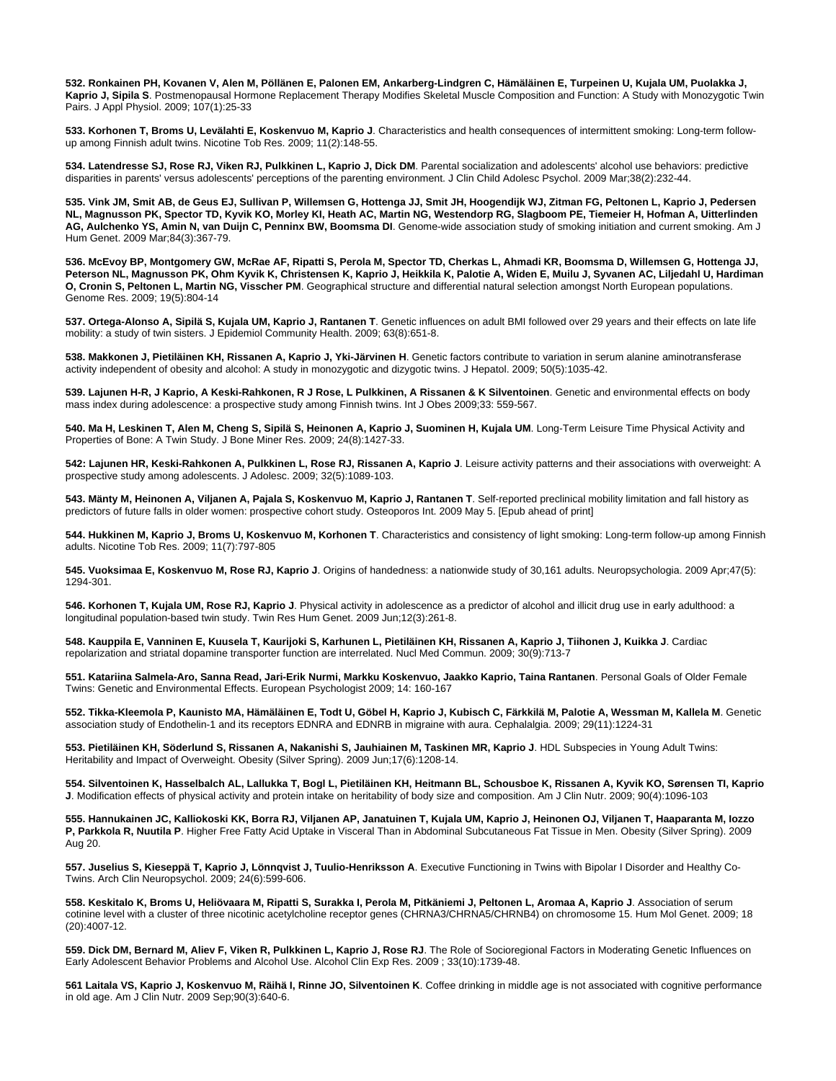**532. Ronkainen PH, Kovanen V, Alen M, Pöllänen E, Palonen EM, Ankarberg-Lindgren C, Hämäläinen E, Turpeinen U, Kujala UM, Puolakka J, Kaprio J, Sipila S**. Postmenopausal Hormone Replacement Therapy Modifies Skeletal Muscle Composition and Function: A Study with Monozygotic Twin Pairs. J Appl Physiol. 2009; 107(1):25-33

**533. Korhonen T, Broms U, Levälahti E, Koskenvuo M, Kaprio J**. Characteristics and health consequences of intermittent smoking: Long-term followup among Finnish adult twins. Nicotine Tob Res. 2009; 11(2):148-55.

**534. Latendresse SJ, Rose RJ, Viken RJ, Pulkkinen L, Kaprio J, Dick DM**. Parental socialization and adolescents' alcohol use behaviors: predictive disparities in parents' versus adolescents' perceptions of the parenting environment. J Clin Child Adolesc Psychol. 2009 Mar;38(2):232-44.

**535. Vink JM, Smit AB, de Geus EJ, Sullivan P, Willemsen G, Hottenga JJ, Smit JH, Hoogendijk WJ, Zitman FG, Peltonen L, Kaprio J, Pedersen NL, Magnusson PK, Spector TD, Kyvik KO, Morley KI, Heath AC, Martin NG, Westendorp RG, Slagboom PE, Tiemeier H, Hofman A, Uitterlinden AG, Aulchenko YS, Amin N, van Duijn C, Penninx BW, Boomsma DI**. Genome-wide association study of smoking initiation and current smoking. Am J Hum Genet. 2009 Mar;84(3):367-79.

**536. McEvoy BP, Montgomery GW, McRae AF, Ripatti S, Perola M, Spector TD, Cherkas L, Ahmadi KR, Boomsma D, Willemsen G, Hottenga JJ, Peterson NL, Magnusson PK, Ohm Kyvik K, Christensen K, Kaprio J, Heikkila K, Palotie A, Widen E, Muilu J, Syvanen AC, Liljedahl U, Hardiman O, Cronin S, Peltonen L, Martin NG, Visscher PM**. Geographical structure and differential natural selection amongst North European populations. Genome Res. 2009; 19(5):804-14

**537. Ortega-Alonso A, Sipilä S, Kujala UM, Kaprio J, Rantanen T**. Genetic influences on adult BMI followed over 29 years and their effects on late life mobility: a study of twin sisters. J Epidemiol Community Health. 2009; 63(8):651-8.

**538. Makkonen J, Pietiläinen KH, Rissanen A, Kaprio J, Yki-Järvinen H**. Genetic factors contribute to variation in serum alanine aminotransferase activity independent of obesity and alcohol: A study in monozygotic and dizygotic twins. J Hepatol. 2009; 50(5):1035-42.

**539. Lajunen H-R, J Kaprio, A Keski-Rahkonen, R J Rose, L Pulkkinen, A Rissanen & K Silventoinen**. Genetic and environmental effects on body mass index during adolescence: a prospective study among Finnish twins. Int J Obes 2009;33: 559-567.

**540. Ma H, Leskinen T, Alen M, Cheng S, Sipilä S, Heinonen A, Kaprio J, Suominen H, Kujala UM**. Long-Term Leisure Time Physical Activity and Properties of Bone: A Twin Study. J Bone Miner Res. 2009; 24(8):1427-33.

**542: Lajunen HR, Keski-Rahkonen A, Pulkkinen L, Rose RJ, Rissanen A, Kaprio J**. Leisure activity patterns and their associations with overweight: A prospective study among adolescents. J Adolesc. 2009; 32(5):1089-103.

**543. Mänty M, Heinonen A, Viljanen A, Pajala S, Koskenvuo M, Kaprio J, Rantanen T**. Self-reported preclinical mobility limitation and fall history as predictors of future falls in older women: prospective cohort study. Osteoporos Int. 2009 May 5. [Epub ahead of print]

**544. Hukkinen M, Kaprio J, Broms U, Koskenvuo M, Korhonen T**. Characteristics and consistency of light smoking: Long-term follow-up among Finnish adults. Nicotine Tob Res. 2009; 11(7):797-805

**545. Vuoksimaa E, Koskenvuo M, Rose RJ, Kaprio J**. Origins of handedness: a nationwide study of 30,161 adults. Neuropsychologia. 2009 Apr;47(5): 1294-301.

**546. Korhonen T, Kujala UM, Rose RJ, Kaprio J**. Physical activity in adolescence as a predictor of alcohol and illicit drug use in early adulthood: a longitudinal population-based twin study. Twin Res Hum Genet. 2009 Jun;12(3):261-8.

**548. Kauppila E, Vanninen E, Kuusela T, Kaurijoki S, Karhunen L, Pietiläinen KH, Rissanen A, Kaprio J, Tiihonen J, Kuikka J**. Cardiac repolarization and striatal dopamine transporter function are interrelated. Nucl Med Commun. 2009; 30(9):713-7

**551. Katariina Salmela-Aro, Sanna Read, Jari-Erik Nurmi, Markku Koskenvuo, Jaakko Kaprio, Taina Rantanen**. Personal Goals of Older Female Twins: Genetic and Environmental Effects. European Psychologist 2009; 14: 160-167

**552. Tikka-Kleemola P, Kaunisto MA, Hämäläinen E, Todt U, Göbel H, Kaprio J, Kubisch C, Färkkilä M, Palotie A, Wessman M, Kallela M**. Genetic association study of Endothelin-1 and its receptors EDNRA and EDNRB in migraine with aura. Cephalalgia. 2009; 29(11):1224-31

**553. Pietiläinen KH, Söderlund S, Rissanen A, Nakanishi S, Jauhiainen M, Taskinen MR, Kaprio J**. HDL Subspecies in Young Adult Twins: Heritability and Impact of Overweight. Obesity (Silver Spring). 2009 Jun;17(6):1208-14.

**554. Silventoinen K, Hasselbalch AL, Lallukka T, Bogl L, Pietiläinen KH, Heitmann BL, Schousboe K, Rissanen A, Kyvik KO, Sørensen TI, Kaprio J**. Modification effects of physical activity and protein intake on heritability of body size and composition. Am J Clin Nutr. 2009; 90(4):1096-103

**555. Hannukainen JC, Kalliokoski KK, Borra RJ, Viljanen AP, Janatuinen T, Kujala UM, Kaprio J, Heinonen OJ, Viljanen T, Haaparanta M, Iozzo P, Parkkola R, Nuutila P**. Higher Free Fatty Acid Uptake in Visceral Than in Abdominal Subcutaneous Fat Tissue in Men. Obesity (Silver Spring). 2009 Aug 20.

**557. Juselius S, Kieseppä T, Kaprio J, Lönnqvist J, Tuulio-Henriksson A**. Executive Functioning in Twins with Bipolar I Disorder and Healthy Co-Twins. Arch Clin Neuropsychol. 2009; 24(6):599-606.

**558. Keskitalo K, Broms U, Heliövaara M, Ripatti S, Surakka I, Perola M, Pitkäniemi J, Peltonen L, Aromaa A, Kaprio J**. Association of serum cotinine level with a cluster of three nicotinic acetylcholine receptor genes (CHRNA3/CHRNA5/CHRNB4) on chromosome 15. Hum Mol Genet. 2009; 18 (20):4007-12.

**559. Dick DM, Bernard M, Aliev F, Viken R, Pulkkinen L, Kaprio J, Rose RJ**. The Role of Socioregional Factors in Moderating Genetic Influences on Early Adolescent Behavior Problems and Alcohol Use. Alcohol Clin Exp Res. 2009 ; 33(10):1739-48.

**561 Laitala VS, Kaprio J, Koskenvuo M, Räihä I, Rinne JO, Silventoinen K**. Coffee drinking in middle age is not associated with cognitive performance in old age. Am J Clin Nutr. 2009 Sep;90(3):640-6.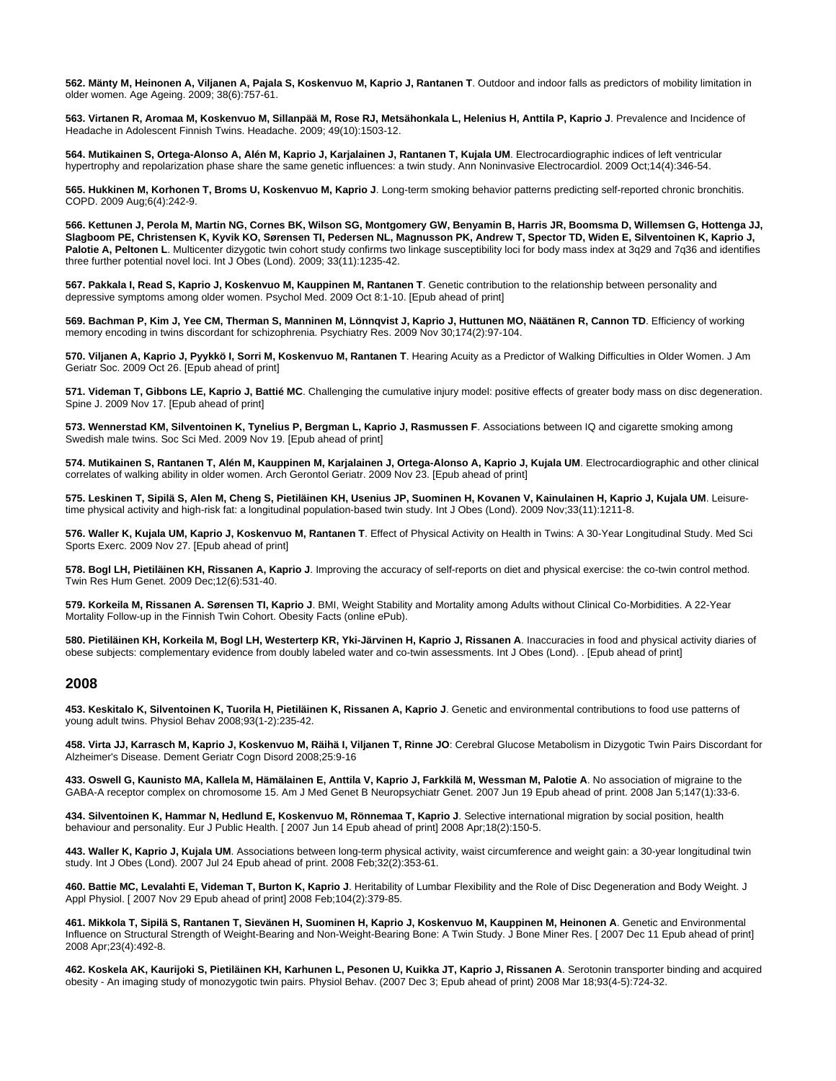**562. Mänty M, Heinonen A, Viljanen A, Pajala S, Koskenvuo M, Kaprio J, Rantanen T**. Outdoor and indoor falls as predictors of mobility limitation in older women. Age Ageing. 2009; 38(6):757-61.

**563. Virtanen R, Aromaa M, Koskenvuo M, Sillanpää M, Rose RJ, Metsähonkala L, Helenius H, Anttila P, Kaprio J**. Prevalence and Incidence of Headache in Adolescent Finnish Twins. Headache. 2009; 49(10):1503-12.

**564. Mutikainen S, Ortega-Alonso A, Alén M, Kaprio J, Karjalainen J, Rantanen T, Kujala UM**. Electrocardiographic indices of left ventricular hypertrophy and repolarization phase share the same genetic influences: a twin study. Ann Noninvasive Electrocardiol. 2009 Oct;14(4):346-54.

**565. Hukkinen M, Korhonen T, Broms U, Koskenvuo M, Kaprio J**. Long-term smoking behavior patterns predicting self-reported chronic bronchitis. COPD. 2009 Aug;6(4):242-9.

**566. Kettunen J, Perola M, Martin NG, Cornes BK, Wilson SG, Montgomery GW, Benyamin B, Harris JR, Boomsma D, Willemsen G, Hottenga JJ, Slagboom PE, Christensen K, Kyvik KO, Sørensen TI, Pedersen NL, Magnusson PK, Andrew T, Spector TD, Widen E, Silventoinen K, Kaprio J,**  Palotie A, Peltonen L. Multicenter dizygotic twin cohort study confirms two linkage susceptibility loci for body mass index at 3q29 and 7q36 and identifies three further potential novel loci. Int J Obes (Lond). 2009; 33(11):1235-42.

**567. Pakkala I, Read S, Kaprio J, Koskenvuo M, Kauppinen M, Rantanen T**. Genetic contribution to the relationship between personality and depressive symptoms among older women. Psychol Med. 2009 Oct 8:1-10. [Epub ahead of print]

**569. Bachman P, Kim J, Yee CM, Therman S, Manninen M, Lönnqvist J, Kaprio J, Huttunen MO, Näätänen R, Cannon TD**. Efficiency of working memory encoding in twins discordant for schizophrenia. Psychiatry Res. 2009 Nov 30;174(2):97-104.

**570. Viljanen A, Kaprio J, Pyykkö I, Sorri M, Koskenvuo M, Rantanen T**. Hearing Acuity as a Predictor of Walking Difficulties in Older Women. J Am Geriatr Soc. 2009 Oct 26. [Epub ahead of print]

**571. Videman T, Gibbons LE, Kaprio J, Battié MC**. Challenging the cumulative injury model: positive effects of greater body mass on disc degeneration. Spine J. 2009 Nov 17. [Epub ahead of print]

**573. Wennerstad KM, Silventoinen K, Tynelius P, Bergman L, Kaprio J, Rasmussen F**. Associations between IQ and cigarette smoking among Swedish male twins. Soc Sci Med. 2009 Nov 19. [Epub ahead of print]

**574. Mutikainen S, Rantanen T, Alén M, Kauppinen M, Karjalainen J, Ortega-Alonso A, Kaprio J, Kujala UM**. Electrocardiographic and other clinical correlates of walking ability in older women. Arch Gerontol Geriatr. 2009 Nov 23. [Epub ahead of print]

**575. Leskinen T, Sipilä S, Alen M, Cheng S, Pietiläinen KH, Usenius JP, Suominen H, Kovanen V, Kainulainen H, Kaprio J, Kujala UM**. Leisuretime physical activity and high-risk fat: a longitudinal population-based twin study. Int J Obes (Lond). 2009 Nov;33(11):1211-8.

**576. Waller K, Kujala UM, Kaprio J, Koskenvuo M, Rantanen T**. Effect of Physical Activity on Health in Twins: A 30-Year Longitudinal Study. Med Sci Sports Exerc. 2009 Nov 27. [Epub ahead of print]

**578. Bogl LH, Pietiläinen KH, Rissanen A, Kaprio J**. Improving the accuracy of self-reports on diet and physical exercise: the co-twin control method. Twin Res Hum Genet. 2009 Dec;12(6):531-40.

**579. Korkeila M, Rissanen A. Sørensen TI, Kaprio J**. BMI, Weight Stability and Mortality among Adults without Clinical Co-Morbidities. A 22-Year Mortality Follow-up in the Finnish Twin Cohort. Obesity Facts (online ePub).

**580. Pietiläinen KH, Korkeila M, Bogl LH, Westerterp KR, Yki-Järvinen H, Kaprio J, Rissanen A**. Inaccuracies in food and physical activity diaries of obese subjects: complementary evidence from doubly labeled water and co-twin assessments. Int J Obes (Lond). . [Epub ahead of print]

# <span id="page-8-0"></span>**2008**

**453. Keskitalo K, Silventoinen K, Tuorila H, Pietiläinen K, Rissanen A, Kaprio J**. Genetic and environmental contributions to food use patterns of young adult twins. Physiol Behav 2008;93(1-2):235-42.

**458. Virta JJ, Karrasch M, Kaprio J, Koskenvuo M, Räihä I, Viljanen T, Rinne JO**: Cerebral Glucose Metabolism in Dizygotic Twin Pairs Discordant for Alzheimer's Disease. Dement Geriatr Cogn Disord 2008;25:9-16

**433. Oswell G, Kaunisto MA, Kallela M, Hämälainen E, Anttila V, Kaprio J, Farkkilä M, Wessman M, Palotie A**. No association of migraine to the GABA-A receptor complex on chromosome 15. Am J Med Genet B Neuropsychiatr Genet. 2007 Jun 19 Epub ahead of print. 2008 Jan 5;147(1):33-6.

**434. Silventoinen K, Hammar N, Hedlund E, Koskenvuo M, Rönnemaa T, Kaprio J**. Selective international migration by social position, health behaviour and personality. Eur J Public Health. [ 2007 Jun 14 Epub ahead of print] 2008 Apr;18(2):150-5.

**443. Waller K, Kaprio J, Kujala UM**. Associations between long-term physical activity, waist circumference and weight gain: a 30-year longitudinal twin study. Int J Obes (Lond). 2007 Jul 24 Epub ahead of print. 2008 Feb;32(2):353-61.

**460. Battie MC, Levalahti E, Videman T, Burton K, Kaprio J**. Heritability of Lumbar Flexibility and the Role of Disc Degeneration and Body Weight. J Appl Physiol. [ 2007 Nov 29 Epub ahead of print] 2008 Feb;104(2):379-85.

**461. Mikkola T, Sipilä S, Rantanen T, Sievänen H, Suominen H, Kaprio J, Koskenvuo M, Kauppinen M, Heinonen A**. Genetic and Environmental Influence on Structural Strength of Weight-Bearing and Non-Weight-Bearing Bone: A Twin Study. J Bone Miner Res. [ 2007 Dec 11 Epub ahead of print] 2008 Apr;23(4):492-8.

**462. Koskela AK, Kaurijoki S, Pietiläinen KH, Karhunen L, Pesonen U, Kuikka JT, Kaprio J, Rissanen A**. Serotonin transporter binding and acquired obesity - An imaging study of monozygotic twin pairs. Physiol Behav. (2007 Dec 3; Epub ahead of print) 2008 Mar 18;93(4-5):724-32.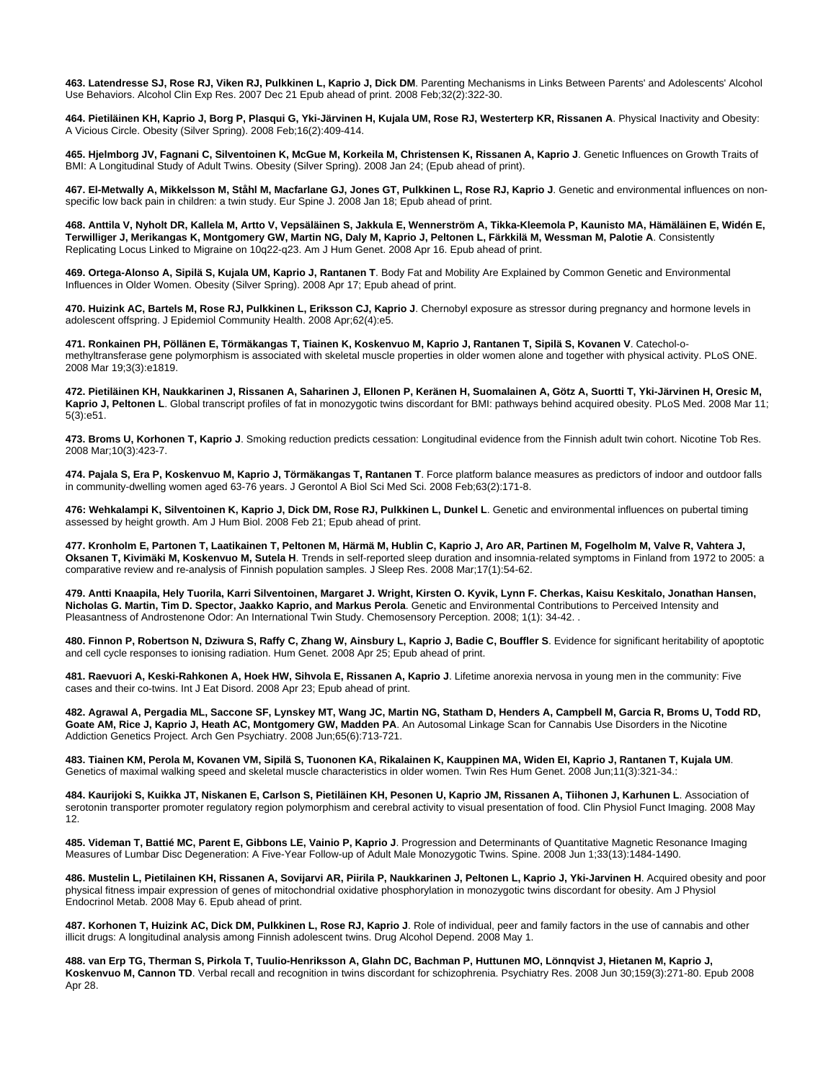**463. Latendresse SJ, Rose RJ, Viken RJ, Pulkkinen L, Kaprio J, Dick DM**. Parenting Mechanisms in Links Between Parents' and Adolescents' Alcohol Use Behaviors. Alcohol Clin Exp Res. 2007 Dec 21 Epub ahead of print. 2008 Feb;32(2):322-30.

**464. Pietiläinen KH, Kaprio J, Borg P, Plasqui G, Yki-Järvinen H, Kujala UM, Rose RJ, Westerterp KR, Rissanen A**. Physical Inactivity and Obesity: A Vicious Circle. Obesity (Silver Spring). 2008 Feb;16(2):409-414.

**465. Hjelmborg JV, Fagnani C, Silventoinen K, McGue M, Korkeila M, Christensen K, Rissanen A, Kaprio J**. Genetic Influences on Growth Traits of BMI: A Longitudinal Study of Adult Twins. Obesity (Silver Spring). 2008 Jan 24; (Epub ahead of print).

**467. El-Metwally A, Mikkelsson M, Ståhl M, Macfarlane GJ, Jones GT, Pulkkinen L, Rose RJ, Kaprio J**. Genetic and environmental influences on nonspecific low back pain in children: a twin study. Eur Spine J. 2008 Jan 18; Epub ahead of print.

**468. Anttila V, Nyholt DR, Kallela M, Artto V, Vepsäläinen S, Jakkula E, Wennerström A, Tikka-Kleemola P, Kaunisto MA, Hämäläinen E, Widén E, Terwilliger J, Merikangas K, Montgomery GW, Martin NG, Daly M, Kaprio J, Peltonen L, Färkkilä M, Wessman M, Palotie A**. Consistently Replicating Locus Linked to Migraine on 10q22-q23. Am J Hum Genet. 2008 Apr 16. Epub ahead of print.

**469. Ortega-Alonso A, Sipilä S, Kujala UM, Kaprio J, Rantanen T**. Body Fat and Mobility Are Explained by Common Genetic and Environmental Influences in Older Women. Obesity (Silver Spring). 2008 Apr 17; Epub ahead of print.

**470. Huizink AC, Bartels M, Rose RJ, Pulkkinen L, Eriksson CJ, Kaprio J**. Chernobyl exposure as stressor during pregnancy and hormone levels in adolescent offspring. J Epidemiol Community Health. 2008 Apr;62(4):e5.

**471. Ronkainen PH, Pöllänen E, Törmäkangas T, Tiainen K, Koskenvuo M, Kaprio J, Rantanen T, Sipilä S, Kovanen V**. Catechol-omethyltransferase gene polymorphism is associated with skeletal muscle properties in older women alone and together with physical activity. PLoS ONE. 2008 Mar 19;3(3):e1819.

**472. Pietiläinen KH, Naukkarinen J, Rissanen A, Saharinen J, Ellonen P, Keränen H, Suomalainen A, Götz A, Suortti T, Yki-Järvinen H, Oresic M, Kaprio J, Peltonen L**. Global transcript profiles of fat in monozygotic twins discordant for BMI: pathways behind acquired obesity. PLoS Med. 2008 Mar 11; 5(3):e51.

**473. Broms U, Korhonen T, Kaprio J**. Smoking reduction predicts cessation: Longitudinal evidence from the Finnish adult twin cohort. Nicotine Tob Res. 2008 Mar;10(3):423-7.

**474. Pajala S, Era P, Koskenvuo M, Kaprio J, Törmäkangas T, Rantanen T**. Force platform balance measures as predictors of indoor and outdoor falls in community-dwelling women aged 63-76 years. J Gerontol A Biol Sci Med Sci. 2008 Feb;63(2):171-8.

**476: Wehkalampi K, Silventoinen K, Kaprio J, Dick DM, Rose RJ, Pulkkinen L, Dunkel L**. Genetic and environmental influences on pubertal timing assessed by height growth. Am J Hum Biol. 2008 Feb 21; Epub ahead of print.

**477. Kronholm E, Partonen T, Laatikainen T, Peltonen M, Härmä M, Hublin C, Kaprio J, Aro AR, Partinen M, Fogelholm M, Valve R, Vahtera J, Oksanen T, Kivimäki M, Koskenvuo M, Sutela H**. Trends in self-reported sleep duration and insomnia-related symptoms in Finland from 1972 to 2005: a comparative review and re-analysis of Finnish population samples. J Sleep Res. 2008 Mar;17(1):54-62.

**479. Antti Knaapila, Hely Tuorila, Karri Silventoinen, Margaret J. Wright, Kirsten O. Kyvik, Lynn F. Cherkas, Kaisu Keskitalo, Jonathan Hansen, Nicholas G. Martin, Tim D. Spector, Jaakko Kaprio, and Markus Perola**. Genetic and Environmental Contributions to Perceived Intensity and Pleasantness of Androstenone Odor: An International Twin Study. Chemosensory Perception. 2008; 1(1): 34-42. .

**480. Finnon P, Robertson N, Dziwura S, Raffy C, Zhang W, Ainsbury L, Kaprio J, Badie C, Bouffler S**. Evidence for significant heritability of apoptotic and cell cycle responses to ionising radiation. Hum Genet. 2008 Apr 25; Epub ahead of print.

**481. Raevuori A, Keski-Rahkonen A, Hoek HW, Sihvola E, Rissanen A, Kaprio J**. Lifetime anorexia nervosa in young men in the community: Five cases and their co-twins. Int J Eat Disord. 2008 Apr 23; Epub ahead of print.

**482. Agrawal A, Pergadia ML, Saccone SF, Lynskey MT, Wang JC, Martin NG, Statham D, Henders A, Campbell M, Garcia R, Broms U, Todd RD, Goate AM, Rice J, Kaprio J, Heath AC, Montgomery GW, Madden PA**. An Autosomal Linkage Scan for Cannabis Use Disorders in the Nicotine Addiction Genetics Project. Arch Gen Psychiatry. 2008 Jun;65(6):713-721.

**483. Tiainen KM, Perola M, Kovanen VM, Sipilä S, Tuononen KA, Rikalainen K, Kauppinen MA, Widen EI, Kaprio J, Rantanen T, Kujala UM**. Genetics of maximal walking speed and skeletal muscle characteristics in older women. Twin Res Hum Genet. 2008 Jun;11(3):321-34.:

**484. Kaurijoki S, Kuikka JT, Niskanen E, Carlson S, Pietiläinen KH, Pesonen U, Kaprio JM, Rissanen A, Tiihonen J, Karhunen L**. Association of serotonin transporter promoter regulatory region polymorphism and cerebral activity to visual presentation of food. Clin Physiol Funct Imaging. 2008 May 12.

**485. Videman T, Battié MC, Parent E, Gibbons LE, Vainio P, Kaprio J**. Progression and Determinants of Quantitative Magnetic Resonance Imaging Measures of Lumbar Disc Degeneration: A Five-Year Follow-up of Adult Male Monozygotic Twins. Spine. 2008 Jun 1;33(13):1484-1490.

**486. Mustelin L, Pietilainen KH, Rissanen A, Sovijarvi AR, Piirila P, Naukkarinen J, Peltonen L, Kaprio J, Yki-Jarvinen H**. Acquired obesity and poor physical fitness impair expression of genes of mitochondrial oxidative phosphorylation in monozygotic twins discordant for obesity. Am J Physiol Endocrinol Metab. 2008 May 6. Epub ahead of print.

**487. Korhonen T, Huizink AC, Dick DM, Pulkkinen L, Rose RJ, Kaprio J**. Role of individual, peer and family factors in the use of cannabis and other illicit drugs: A longitudinal analysis among Finnish adolescent twins. Drug Alcohol Depend. 2008 May 1.

**488. van Erp TG, Therman S, Pirkola T, Tuulio-Henriksson A, Glahn DC, Bachman P, Huttunen MO, Lönnqvist J, Hietanen M, Kaprio J, Koskenvuo M, Cannon TD**. Verbal recall and recognition in twins discordant for schizophrenia. Psychiatry Res. 2008 Jun 30;159(3):271-80. Epub 2008 Apr 28.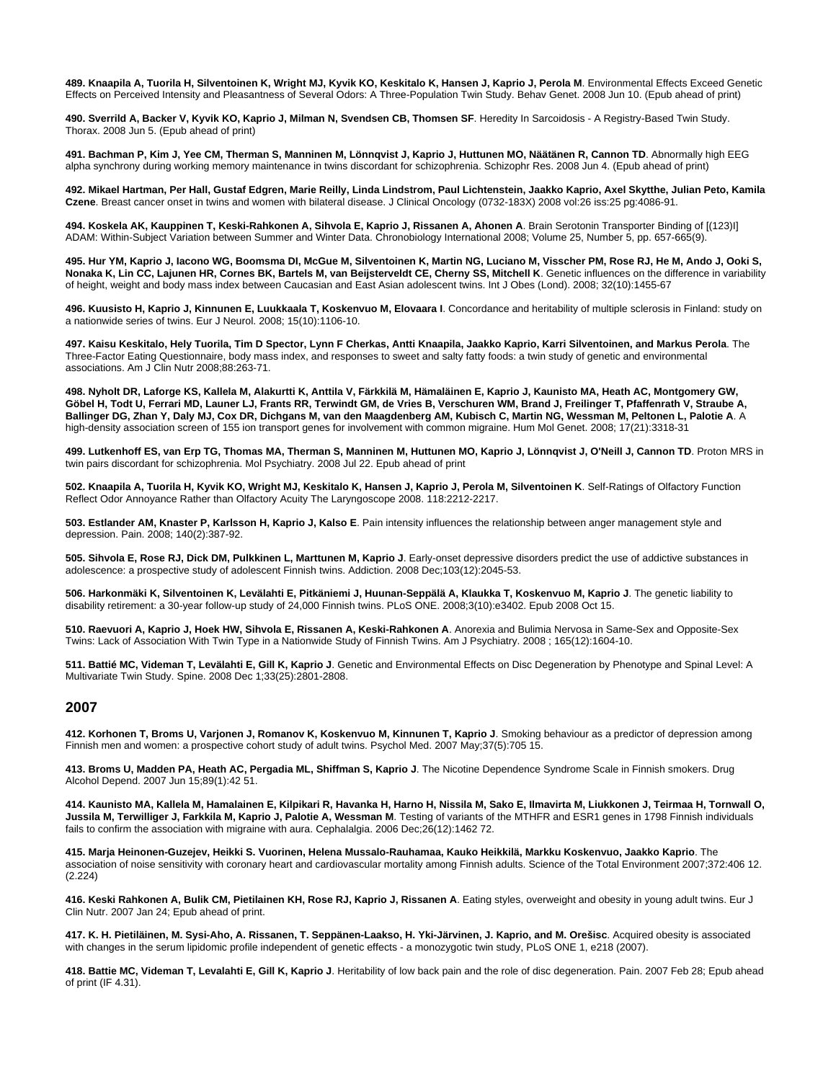**489. Knaapila A, Tuorila H, Silventoinen K, Wright MJ, Kyvik KO, Keskitalo K, Hansen J, Kaprio J, Perola M**. Environmental Effects Exceed Genetic Effects on Perceived Intensity and Pleasantness of Several Odors: A Three-Population Twin Study. Behav Genet. 2008 Jun 10. (Epub ahead of print)

**490. Sverrild A, Backer V, Kyvik KO, Kaprio J, Milman N, Svendsen CB, Thomsen SF**. Heredity In Sarcoidosis - A Registry-Based Twin Study. Thorax. 2008 Jun 5. (Epub ahead of print)

**491. Bachman P, Kim J, Yee CM, Therman S, Manninen M, Lönnqvist J, Kaprio J, Huttunen MO, Näätänen R, Cannon TD**. Abnormally high EEG alpha synchrony during working memory maintenance in twins discordant for schizophrenia. Schizophr Res. 2008 Jun 4. (Epub ahead of print)

**492. Mikael Hartman, Per Hall, Gustaf Edgren, Marie Reilly, Linda Lindstrom, Paul Lichtenstein, Jaakko Kaprio, Axel Skytthe, Julian Peto, Kamila Czene**. Breast cancer onset in twins and women with bilateral disease. J Clinical Oncology (0732-183X) 2008 vol:26 iss:25 pg:4086-91.

**494. Koskela AK, Kauppinen T, Keski-Rahkonen A, Sihvola E, Kaprio J, Rissanen A, Ahonen A**. Brain Serotonin Transporter Binding of [(123)I] ADAM: Within-Subject Variation between Summer and Winter Data. Chronobiology International 2008; Volume 25, Number 5, pp. 657-665(9).

**495. Hur YM, Kaprio J, Iacono WG, Boomsma DI, McGue M, Silventoinen K, Martin NG, Luciano M, Visscher PM, Rose RJ, He M, Ando J, Ooki S, Nonaka K, Lin CC, Lajunen HR, Cornes BK, Bartels M, van Beijsterveldt CE, Cherny SS, Mitchell K**. Genetic influences on the difference in variability of height, weight and body mass index between Caucasian and East Asian adolescent twins. Int J Obes (Lond). 2008; 32(10):1455-67

**496. Kuusisto H, Kaprio J, Kinnunen E, Luukkaala T, Koskenvuo M, Elovaara I**. Concordance and heritability of multiple sclerosis in Finland: study on a nationwide series of twins. Eur J Neurol. 2008; 15(10):1106-10.

**497. Kaisu Keskitalo, Hely Tuorila, Tim D Spector, Lynn F Cherkas, Antti Knaapila, Jaakko Kaprio, Karri Silventoinen, and Markus Perola**. The Three-Factor Eating Questionnaire, body mass index, and responses to sweet and salty fatty foods: a twin study of genetic and environmental associations. Am J Clin Nutr 2008;88:263-71.

**498. Nyholt DR, Laforge KS, Kallela M, Alakurtti K, Anttila V, Färkkilä M, Hämaläinen E, Kaprio J, Kaunisto MA, Heath AC, Montgomery GW, Göbel H, Todt U, Ferrari MD, Launer LJ, Frants RR, Terwindt GM, de Vries B, Verschuren WM, Brand J, Freilinger T, Pfaffenrath V, Straube A, Ballinger DG, Zhan Y, Daly MJ, Cox DR, Dichgans M, van den Maagdenberg AM, Kubisch C, Martin NG, Wessman M, Peltonen L, Palotie A**. A high-density association screen of 155 ion transport genes for involvement with common migraine. Hum Mol Genet. 2008; 17(21):3318-31

**499. Lutkenhoff ES, van Erp TG, Thomas MA, Therman S, Manninen M, Huttunen MO, Kaprio J, Lönnqvist J, O'Neill J, Cannon TD**. Proton MRS in twin pairs discordant for schizophrenia. Mol Psychiatry. 2008 Jul 22. Epub ahead of print

**502. Knaapila A, Tuorila H, Kyvik KO, Wright MJ, Keskitalo K, Hansen J, Kaprio J, Perola M, Silventoinen K**. Self-Ratings of Olfactory Function Reflect Odor Annoyance Rather than Olfactory Acuity The Laryngoscope 2008. 118:2212-2217.

**503. Estlander AM, Knaster P, Karlsson H, Kaprio J, Kalso E**. Pain intensity influences the relationship between anger management style and depression. Pain. 2008; 140(2):387-92.

**505. Sihvola E, Rose RJ, Dick DM, Pulkkinen L, Marttunen M, Kaprio J**. Early-onset depressive disorders predict the use of addictive substances in adolescence: a prospective study of adolescent Finnish twins. Addiction. 2008 Dec;103(12):2045-53.

**506. Harkonmäki K, Silventoinen K, Levälahti E, Pitkäniemi J, Huunan-Seppälä A, Klaukka T, Koskenvuo M, Kaprio J**. The genetic liability to disability retirement: a 30-year follow-up study of 24,000 Finnish twins. PLoS ONE. 2008;3(10):e3402. Epub 2008 Oct 15.

**510. Raevuori A, Kaprio J, Hoek HW, Sihvola E, Rissanen A, Keski-Rahkonen A**. Anorexia and Bulimia Nervosa in Same-Sex and Opposite-Sex Twins: Lack of Association With Twin Type in a Nationwide Study of Finnish Twins. Am J Psychiatry. 2008 ; 165(12):1604-10.

**511. Battié MC, Videman T, Levälahti E, Gill K, Kaprio J**. Genetic and Environmental Effects on Disc Degeneration by Phenotype and Spinal Level: A Multivariate Twin Study. Spine. 2008 Dec 1;33(25):2801-2808.

# <span id="page-10-0"></span>**2007**

**412. Korhonen T, Broms U, Varjonen J, Romanov K, Koskenvuo M, Kinnunen T, Kaprio J**. Smoking behaviour as a predictor of depression among Finnish men and women: a prospective cohort study of adult twins. Psychol Med. 2007 May;37(5):705 15.

**413. Broms U, Madden PA, Heath AC, Pergadia ML, Shiffman S, Kaprio J**. The Nicotine Dependence Syndrome Scale in Finnish smokers. Drug Alcohol Depend. 2007 Jun 15;89(1):42 51.

**414. Kaunisto MA, Kallela M, Hamalainen E, Kilpikari R, Havanka H, Harno H, Nissila M, Sako E, Ilmavirta M, Liukkonen J, Teirmaa H, Tornwall O, Jussila M, Terwilliger J, Farkkila M, Kaprio J, Palotie A, Wessman M**. Testing of variants of the MTHFR and ESR1 genes in 1798 Finnish individuals fails to confirm the association with migraine with aura. Cephalalgia. 2006 Dec;26(12):1462 72.

**415. Marja Heinonen-Guzejev, Heikki S. Vuorinen, Helena Mussalo-Rauhamaa, Kauko Heikkilä, Markku Koskenvuo, Jaakko Kaprio**. The association of noise sensitivity with coronary heart and cardiovascular mortality among Finnish adults. Science of the Total Environment 2007;372:406 12. (2.224)

**416. Keski Rahkonen A, Bulik CM, Pietilainen KH, Rose RJ, Kaprio J, Rissanen A**. Eating styles, overweight and obesity in young adult twins. Eur J Clin Nutr. 2007 Jan 24; Epub ahead of print.

**417. K. H. Pietiläinen, M. Sysi-Aho, A. Rissanen, T. Seppänen-Laakso, H. Yki-Järvinen, J. Kaprio, and M. Orešisc**. Acquired obesity is associated with changes in the serum lipidomic profile independent of genetic effects - a monozygotic twin study, PLoS ONE 1, e218 (2007).

**418. Battie MC, Videman T, Levalahti E, Gill K, Kaprio J**. Heritability of low back pain and the role of disc degeneration. Pain. 2007 Feb 28; Epub ahead of print (IF 4.31).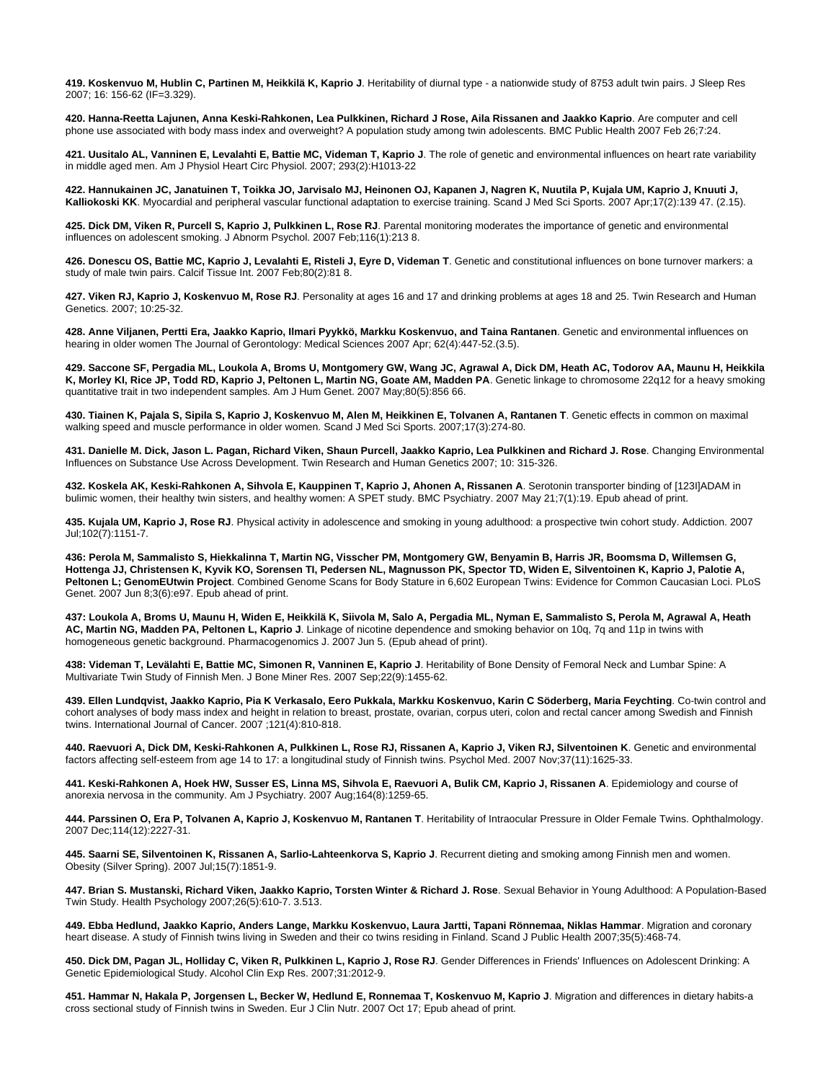**419. Koskenvuo M, Hublin C, Partinen M, Heikkilä K, Kaprio J**. Heritability of diurnal type - a nationwide study of 8753 adult twin pairs. J Sleep Res 2007; 16: 156-62 (IF=3.329).

**420. Hanna-Reetta Lajunen, Anna Keski-Rahkonen, Lea Pulkkinen, Richard J Rose, Aila Rissanen and Jaakko Kaprio**. Are computer and cell phone use associated with body mass index and overweight? A population study among twin adolescents. BMC Public Health 2007 Feb 26;7:24.

**421. Uusitalo AL, Vanninen E, Levalahti E, Battie MC, Videman T, Kaprio J**. The role of genetic and environmental influences on heart rate variability in middle aged men. Am J Physiol Heart Circ Physiol. 2007; 293(2):H1013-22

**422. Hannukainen JC, Janatuinen T, Toikka JO, Jarvisalo MJ, Heinonen OJ, Kapanen J, Nagren K, Nuutila P, Kujala UM, Kaprio J, Knuuti J, Kalliokoski KK**. Myocardial and peripheral vascular functional adaptation to exercise training. Scand J Med Sci Sports. 2007 Apr;17(2):139 47. (2.15).

**425. Dick DM, Viken R, Purcell S, Kaprio J, Pulkkinen L, Rose RJ**. Parental monitoring moderates the importance of genetic and environmental influences on adolescent smoking. J Abnorm Psychol. 2007 Feb;116(1):213 8.

**426. Donescu OS, Battie MC, Kaprio J, Levalahti E, Risteli J, Eyre D, Videman T**. Genetic and constitutional influences on bone turnover markers: a study of male twin pairs. Calcif Tissue Int. 2007 Feb;80(2):81 8.

**427. Viken RJ, Kaprio J, Koskenvuo M, Rose RJ**. Personality at ages 16 and 17 and drinking problems at ages 18 and 25. Twin Research and Human Genetics. 2007; 10:25-32.

**428. Anne Viljanen, Pertti Era, Jaakko Kaprio, Ilmari Pyykkö, Markku Koskenvuo, and Taina Rantanen**. Genetic and environmental influences on hearing in older women The Journal of Gerontology: Medical Sciences 2007 Apr; 62(4):447-52.(3.5).

**429. Saccone SF, Pergadia ML, Loukola A, Broms U, Montgomery GW, Wang JC, Agrawal A, Dick DM, Heath AC, Todorov AA, Maunu H, Heikkila K, Morley KI, Rice JP, Todd RD, Kaprio J, Peltonen L, Martin NG, Goate AM, Madden PA**. Genetic linkage to chromosome 22q12 for a heavy smoking quantitative trait in two independent samples. Am J Hum Genet. 2007 May;80(5):856 66.

**430. Tiainen K, Pajala S, Sipila S, Kaprio J, Koskenvuo M, Alen M, Heikkinen E, Tolvanen A, Rantanen T**. Genetic effects in common on maximal walking speed and muscle performance in older women. Scand J Med Sci Sports. 2007;17(3):274-80.

**431. Danielle M. Dick, Jason L. Pagan, Richard Viken, Shaun Purcell, Jaakko Kaprio, Lea Pulkkinen and Richard J. Rose**. Changing Environmental Influences on Substance Use Across Development. Twin Research and Human Genetics 2007; 10: 315-326.

**432. Koskela AK, Keski-Rahkonen A, Sihvola E, Kauppinen T, Kaprio J, Ahonen A, Rissanen A**. Serotonin transporter binding of [123I]ADAM in bulimic women, their healthy twin sisters, and healthy women: A SPET study. BMC Psychiatry. 2007 May 21;7(1):19. Epub ahead of print.

**435. Kujala UM, Kaprio J, Rose RJ**. Physical activity in adolescence and smoking in young adulthood: a prospective twin cohort study. Addiction. 2007 Jul;102(7):1151-7.

**436: Perola M, Sammalisto S, Hiekkalinna T, Martin NG, Visscher PM, Montgomery GW, Benyamin B, Harris JR, Boomsma D, Willemsen G, Hottenga JJ, Christensen K, Kyvik KO, Sorensen TI, Pedersen NL, Magnusson PK, Spector TD, Widen E, Silventoinen K, Kaprio J, Palotie A, Peltonen L; GenomEUtwin Project**. Combined Genome Scans for Body Stature in 6,602 European Twins: Evidence for Common Caucasian Loci. PLoS Genet. 2007 Jun 8;3(6):e97. Epub ahead of print.

**437: Loukola A, Broms U, Maunu H, Widen E, Heikkilä K, Siivola M, Salo A, Pergadia ML, Nyman E, Sammalisto S, Perola M, Agrawal A, Heath AC, Martin NG, Madden PA, Peltonen L, Kaprio J**. Linkage of nicotine dependence and smoking behavior on 10q, 7q and 11p in twins with homogeneous genetic background. Pharmacogenomics J. 2007 Jun 5. (Epub ahead of print).

**438: Videman T, Levälahti E, Battie MC, Simonen R, Vanninen E, Kaprio J**. Heritability of Bone Density of Femoral Neck and Lumbar Spine: A Multivariate Twin Study of Finnish Men. J Bone Miner Res. 2007 Sep;22(9):1455-62.

**439. Ellen Lundqvist, Jaakko Kaprio, Pia K Verkasalo, Eero Pukkala, Markku Koskenvuo, Karin C Söderberg, Maria Feychting**. Co-twin control and cohort analyses of body mass index and height in relation to breast, prostate, ovarian, corpus uteri, colon and rectal cancer among Swedish and Finnish twins. International Journal of Cancer. 2007 ;121(4):810-818.

**440. Raevuori A, Dick DM, Keski-Rahkonen A, Pulkkinen L, Rose RJ, Rissanen A, Kaprio J, Viken RJ, Silventoinen K**. Genetic and environmental factors affecting self-esteem from age 14 to 17: a longitudinal study of Finnish twins. Psychol Med. 2007 Nov;37(11):1625-33.

**441. Keski-Rahkonen A, Hoek HW, Susser ES, Linna MS, Sihvola E, Raevuori A, Bulik CM, Kaprio J, Rissanen A**. Epidemiology and course of anorexia nervosa in the community. Am J Psychiatry. 2007 Aug;164(8):1259-65.

**444. Parssinen O, Era P, Tolvanen A, Kaprio J, Koskenvuo M, Rantanen T**. Heritability of Intraocular Pressure in Older Female Twins. Ophthalmology. 2007 Dec;114(12):2227-31.

**445. Saarni SE, Silventoinen K, Rissanen A, Sarlio-Lahteenkorva S, Kaprio J**. Recurrent dieting and smoking among Finnish men and women. Obesity (Silver Spring). 2007 Jul;15(7):1851-9.

**447. Brian S. Mustanski, Richard Viken, Jaakko Kaprio, Torsten Winter & Richard J. Rose**. Sexual Behavior in Young Adulthood: A Population-Based Twin Study. Health Psychology 2007;26(5):610-7. 3.513.

**449. Ebba Hedlund, Jaakko Kaprio, Anders Lange, Markku Koskenvuo, Laura Jartti, Tapani Rönnemaa, Niklas Hammar**. Migration and coronary heart disease. A study of Finnish twins living in Sweden and their co twins residing in Finland. Scand J Public Health 2007;35(5):468-74.

**450. Dick DM, Pagan JL, Holliday C, Viken R, Pulkkinen L, Kaprio J, Rose RJ**. Gender Differences in Friends' Influences on Adolescent Drinking: A Genetic Epidemiological Study. Alcohol Clin Exp Res. 2007;31:2012-9.

451. Hammar N, Hakala P, Jorgensen L, Becker W, Hedlund E, Ronnemaa T, Koskenvuo M, Kaprio J. Migration and differences in dietary habits-a cross sectional study of Finnish twins in Sweden. Eur J Clin Nutr. 2007 Oct 17; Epub ahead of print.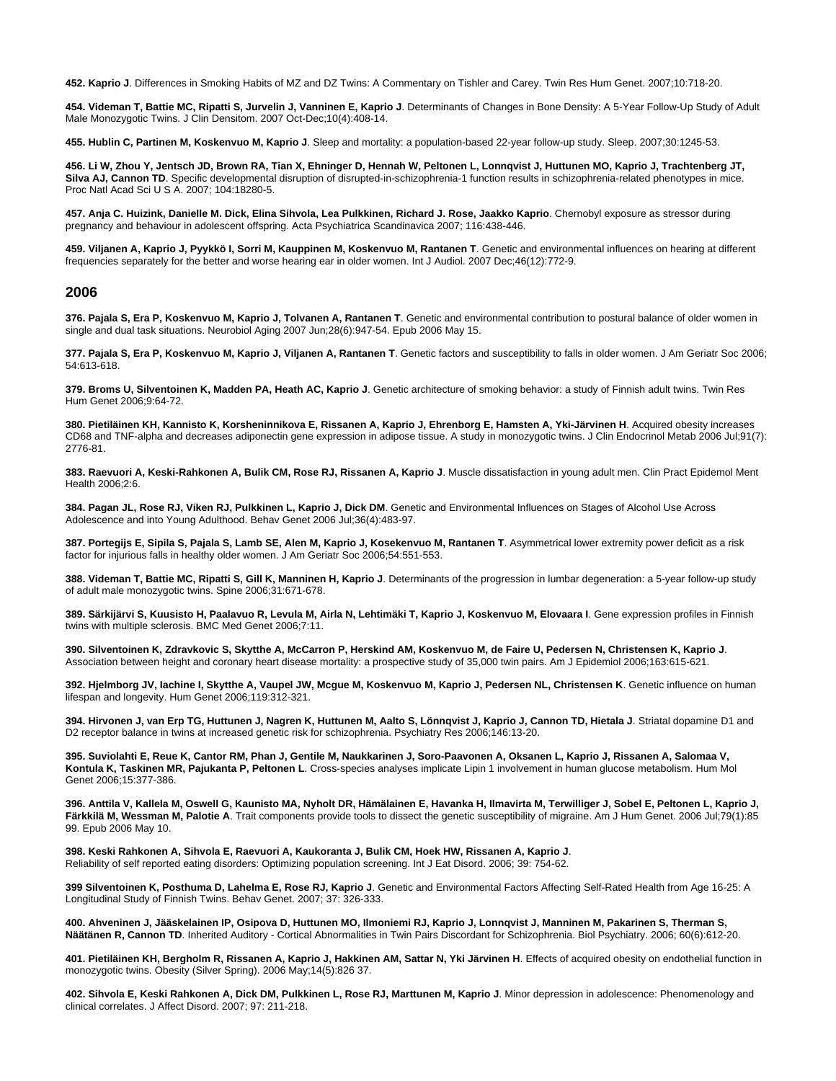**452. Kaprio J**. Differences in Smoking Habits of MZ and DZ Twins: A Commentary on Tishler and Carey. Twin Res Hum Genet. 2007;10:718-20.

**454. Videman T, Battie MC, Ripatti S, Jurvelin J, Vanninen E, Kaprio J**. Determinants of Changes in Bone Density: A 5-Year Follow-Up Study of Adult Male Monozygotic Twins. J Clin Densitom. 2007 Oct-Dec;10(4):408-14.

**455. Hublin C, Partinen M, Koskenvuo M, Kaprio J**. Sleep and mortality: a population-based 22-year follow-up study. Sleep. 2007;30:1245-53.

**456. Li W, Zhou Y, Jentsch JD, Brown RA, Tian X, Ehninger D, Hennah W, Peltonen L, Lonnqvist J, Huttunen MO, Kaprio J, Trachtenberg JT,**  Silva AJ, Cannon TD. Specific developmental disruption of disrupted-in-schizophrenia-1 function results in schizophrenia-related phenotypes in mice. Proc Natl Acad Sci U S A. 2007; 104:18280-5.

**457. Anja C. Huizink, Danielle M. Dick, Elina Sihvola, Lea Pulkkinen, Richard J. Rose, Jaakko Kaprio**. Chernobyl exposure as stressor during pregnancy and behaviour in adolescent offspring. Acta Psychiatrica Scandinavica 2007; 116:438-446.

**459. Viljanen A, Kaprio J, Pyykkö I, Sorri M, Kauppinen M, Koskenvuo M, Rantanen T**. Genetic and environmental influences on hearing at different frequencies separately for the better and worse hearing ear in older women. Int J Audiol. 2007 Dec;46(12):772-9.

# <span id="page-12-0"></span>**2006**

**376. Pajala S, Era P, Koskenvuo M, Kaprio J, Tolvanen A, Rantanen T**. Genetic and environmental contribution to postural balance of older women in single and dual task situations. Neurobiol Aging 2007 Jun;28(6):947-54. Epub 2006 May 15.

**377. Pajala S, Era P, Koskenvuo M, Kaprio J, Viljanen A, Rantanen T**. Genetic factors and susceptibility to falls in older women. J Am Geriatr Soc 2006; 54:613-618.

**379. Broms U, Silventoinen K, Madden PA, Heath AC, Kaprio J**. Genetic architecture of smoking behavior: a study of Finnish adult twins. Twin Res Hum Genet 2006;9:64-72.

**380. Pietiläinen KH, Kannisto K, Korsheninnikova E, Rissanen A, Kaprio J, Ehrenborg E, Hamsten A, Yki-Järvinen H**. Acquired obesity increases CD68 and TNF-alpha and decreases adiponectin gene expression in adipose tissue. A study in monozygotic twins. J Clin Endocrinol Metab 2006 Jul;91(7): 2776-81.

**383. Raevuori A, Keski-Rahkonen A, Bulik CM, Rose RJ, Rissanen A, Kaprio J**. Muscle dissatisfaction in young adult men. Clin Pract Epidemol Ment Health 2006;2:6.

**384. Pagan JL, Rose RJ, Viken RJ, Pulkkinen L, Kaprio J, Dick DM**. Genetic and Environmental Influences on Stages of Alcohol Use Across Adolescence and into Young Adulthood. Behav Genet 2006 Jul;36(4):483-97.

**387. Portegijs E, Sipila S, Pajala S, Lamb SE, Alen M, Kaprio J, Kosekenvuo M, Rantanen T**. Asymmetrical lower extremity power deficit as a risk factor for injurious falls in healthy older women. J Am Geriatr Soc 2006;54:551-553.

**388. Videman T, Battie MC, Ripatti S, Gill K, Manninen H, Kaprio J**. Determinants of the progression in lumbar degeneration: a 5-year follow-up study of adult male monozygotic twins. Spine 2006;31:671-678.

**389. Särkijärvi S, Kuusisto H, Paalavuo R, Levula M, Airla N, Lehtimäki T, Kaprio J, Koskenvuo M, Elovaara I**. Gene expression profiles in Finnish twins with multiple sclerosis. BMC Med Genet 2006;7:11.

**390. Silventoinen K, Zdravkovic S, Skytthe A, McCarron P, Herskind AM, Koskenvuo M, de Faire U, Pedersen N, Christensen K, Kaprio J**. Association between height and coronary heart disease mortality: a prospective study of 35,000 twin pairs. Am J Epidemiol 2006;163:615-621.

**392. Hjelmborg JV, Iachine I, Skytthe A, Vaupel JW, Mcgue M, Koskenvuo M, Kaprio J, Pedersen NL, Christensen K**. Genetic influence on human lifespan and longevity. Hum Genet 2006;119:312-321.

**394. Hirvonen J, van Erp TG, Huttunen J, Nagren K, Huttunen M, Aalto S, Lönnqvist J, Kaprio J, Cannon TD, Hietala J**. Striatal dopamine D1 and D2 receptor balance in twins at increased genetic risk for schizophrenia. Psychiatry Res 2006;146:13-20.

**395. Suviolahti E, Reue K, Cantor RM, Phan J, Gentile M, Naukkarinen J, Soro-Paavonen A, Oksanen L, Kaprio J, Rissanen A, Salomaa V, Kontula K, Taskinen MR, Pajukanta P, Peltonen L**. Cross-species analyses implicate Lipin 1 involvement in human glucose metabolism. Hum Mol Genet 2006;15:377-386.

**396. Anttila V, Kallela M, Oswell G, Kaunisto MA, Nyholt DR, Hämälainen E, Havanka H, Ilmavirta M, Terwilliger J, Sobel E, Peltonen L, Kaprio J, Färkkilä M, Wessman M, Palotie A**. Trait components provide tools to dissect the genetic susceptibility of migraine. Am J Hum Genet. 2006 Jul;79(1):85 99. Epub 2006 May 10.

**398. Keski Rahkonen A, Sihvola E, Raevuori A, Kaukoranta J, Bulik CM, Hoek HW, Rissanen A, Kaprio J**. Reliability of self reported eating disorders: Optimizing population screening. Int J Eat Disord. 2006; 39: 754-62.

**399 Silventoinen K, Posthuma D, Lahelma E, Rose RJ, Kaprio J**. Genetic and Environmental Factors Affecting Self-Rated Health from Age 16-25: A Longitudinal Study of Finnish Twins. Behav Genet. 2007; 37: 326-333.

**400. Ahveninen J, Jääskelainen IP, Osipova D, Huttunen MO, Ilmoniemi RJ, Kaprio J, Lonnqvist J, Manninen M, Pakarinen S, Therman S, Näätänen R, Cannon TD**. Inherited Auditory - Cortical Abnormalities in Twin Pairs Discordant for Schizophrenia. Biol Psychiatry. 2006; 60(6):612-20.

**401. Pietiläinen KH, Bergholm R, Rissanen A, Kaprio J, Hakkinen AM, Sattar N, Yki Järvinen H**. Effects of acquired obesity on endothelial function in monozygotic twins. Obesity (Silver Spring). 2006 May;14(5):826 37.

**402. Sihvola E, Keski Rahkonen A, Dick DM, Pulkkinen L, Rose RJ, Marttunen M, Kaprio J**. Minor depression in adolescence: Phenomenology and clinical correlates. J Affect Disord. 2007; 97: 211-218.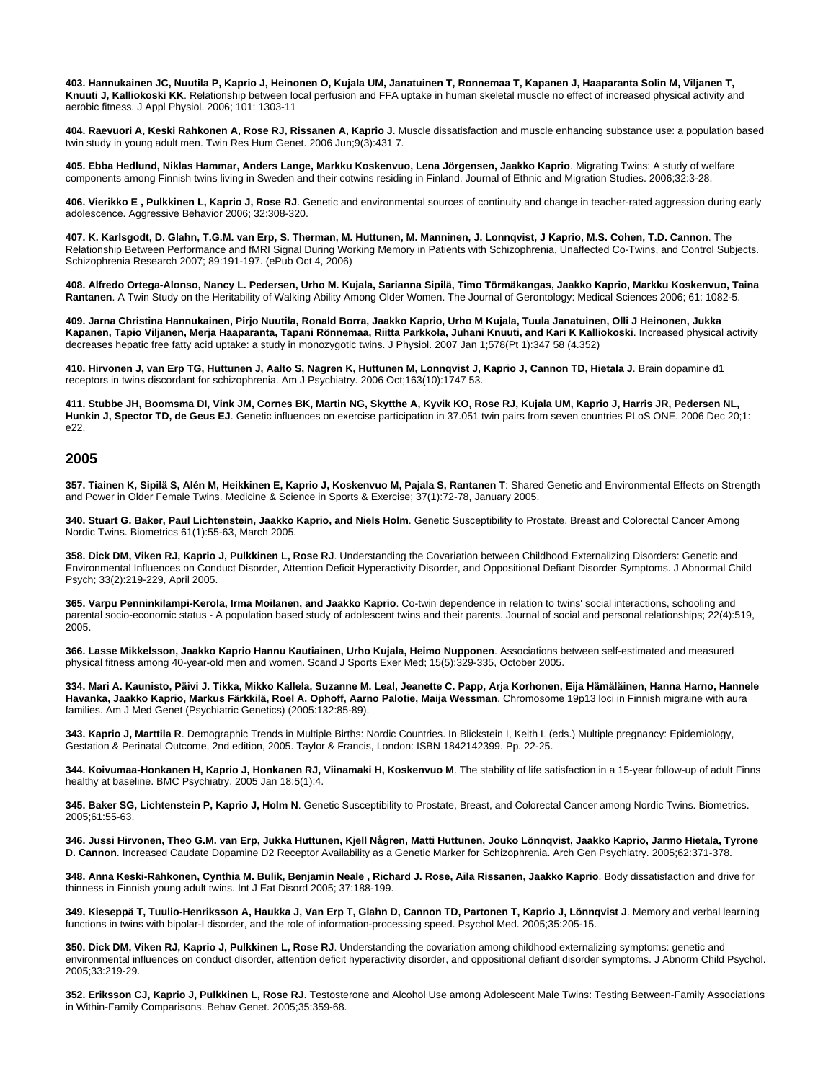**403. Hannukainen JC, Nuutila P, Kaprio J, Heinonen O, Kujala UM, Janatuinen T, Ronnemaa T, Kapanen J, Haaparanta Solin M, Viljanen T, Knuuti J, Kalliokoski KK**. Relationship between local perfusion and FFA uptake in human skeletal muscle no effect of increased physical activity and aerobic fitness. J Appl Physiol. 2006; 101: 1303-11

**404. Raevuori A, Keski Rahkonen A, Rose RJ, Rissanen A, Kaprio J**. Muscle dissatisfaction and muscle enhancing substance use: a population based twin study in young adult men. Twin Res Hum Genet. 2006 Jun;9(3):431 7.

**405. Ebba Hedlund, Niklas Hammar, Anders Lange, Markku Koskenvuo, Lena Jörgensen, Jaakko Kaprio**. Migrating Twins: A study of welfare components among Finnish twins living in Sweden and their cotwins residing in Finland. Journal of Ethnic and Migration Studies. 2006;32:3-28.

**406. Vierikko E , Pulkkinen L, Kaprio J, Rose RJ**. Genetic and environmental sources of continuity and change in teacher-rated aggression during early adolescence. Aggressive Behavior 2006; 32:308-320.

**407. K. Karlsgodt, D. Glahn, T.G.M. van Erp, S. Therman, M. Huttunen, M. Manninen, J. Lonnqvist, J Kaprio, M.S. Cohen, T.D. Cannon**. The Relationship Between Performance and fMRI Signal During Working Memory in Patients with Schizophrenia, Unaffected Co-Twins, and Control Subjects. Schizophrenia Research 2007; 89:191-197. (ePub Oct 4, 2006)

**408. Alfredo Ortega-Alonso, Nancy L. Pedersen, Urho M. Kujala, Sarianna Sipilä, Timo Törmäkangas, Jaakko Kaprio, Markku Koskenvuo, Taina Rantanen**. A Twin Study on the Heritability of Walking Ability Among Older Women. The Journal of Gerontology: Medical Sciences 2006; 61: 1082-5.

**409. Jarna Christina Hannukainen, Pirjo Nuutila, Ronald Borra, Jaakko Kaprio, Urho M Kujala, Tuula Janatuinen, Olli J Heinonen, Jukka Kapanen, Tapio Viljanen, Merja Haaparanta, Tapani Rönnemaa, Riitta Parkkola, Juhani Knuuti, and Kari K Kalliokoski**. Increased physical activity decreases hepatic free fatty acid uptake: a study in monozygotic twins. J Physiol. 2007 Jan 1;578(Pt 1):347 58 (4.352)

**410. Hirvonen J, van Erp TG, Huttunen J, Aalto S, Nagren K, Huttunen M, Lonnqvist J, Kaprio J, Cannon TD, Hietala J**. Brain dopamine d1 receptors in twins discordant for schizophrenia. Am J Psychiatry. 2006 Oct;163(10):1747 53.

**411. Stubbe JH, Boomsma DI, Vink JM, Cornes BK, Martin NG, Skytthe A, Kyvik KO, Rose RJ, Kujala UM, Kaprio J, Harris JR, Pedersen NL, Hunkin J, Spector TD, de Geus EJ**. Genetic influences on exercise participation in 37.051 twin pairs from seven countries PLoS ONE. 2006 Dec 20;1: e22.

# <span id="page-13-0"></span>**2005**

**357. Tiainen K, Sipilä S, Alén M, Heikkinen E, Kaprio J, Koskenvuo M, Pajala S, Rantanen T**: Shared Genetic and Environmental Effects on Strength and Power in Older Female Twins. Medicine & Science in Sports & Exercise; 37(1):72-78, January 2005.

**340. Stuart G. Baker, Paul Lichtenstein, Jaakko Kaprio, and Niels Holm**. Genetic Susceptibility to Prostate, Breast and Colorectal Cancer Among Nordic Twins. Biometrics 61(1):55-63, March 2005.

**358. Dick DM, Viken RJ, Kaprio J, Pulkkinen L, Rose RJ**. Understanding the Covariation between Childhood Externalizing Disorders: Genetic and Environmental Influences on Conduct Disorder, Attention Deficit Hyperactivity Disorder, and Oppositional Defiant Disorder Symptoms. J Abnormal Child Psych; 33(2):219-229, April 2005.

**365. Varpu Penninkilampi-Kerola, Irma Moilanen, and Jaakko Kaprio**. Co-twin dependence in relation to twins' social interactions, schooling and parental socio-economic status - A population based study of adolescent twins and their parents. Journal of social and personal relationships; 22(4):519, 2005.

**366. Lasse Mikkelsson, Jaakko Kaprio Hannu Kautiainen, Urho Kujala, Heimo Nupponen**. Associations between self-estimated and measured physical fitness among 40-year-old men and women. Scand J Sports Exer Med; 15(5):329-335, October 2005.

**334. Mari A. Kaunisto, Päivi J. Tikka, Mikko Kallela, Suzanne M. Leal, Jeanette C. Papp, Arja Korhonen, Eija Hämäläinen, Hanna Harno, Hannele Havanka, Jaakko Kaprio, Markus Färkkilä, Roel A. Ophoff, Aarno Palotie, Maija Wessman**. Chromosome 19p13 loci in Finnish migraine with aura families. Am J Med Genet (Psychiatric Genetics) (2005:132:85-89).

**343. Kaprio J, Marttila R**. Demographic Trends in Multiple Births: Nordic Countries. In Blickstein I, Keith L (eds.) Multiple pregnancy: Epidemiology, Gestation & Perinatal Outcome, 2nd edition, 2005. Taylor & Francis, London: ISBN 1842142399. Pp. 22-25.

344. Koivumaa-Honkanen H, Kaprio J, Honkanen RJ, Viinamaki H, Koskenvuo M. The stability of life satisfaction in a 15-year follow-up of adult Finns healthy at baseline. BMC Psychiatry. 2005 Jan 18;5(1):4.

**345. Baker SG, Lichtenstein P, Kaprio J, Holm N**. Genetic Susceptibility to Prostate, Breast, and Colorectal Cancer among Nordic Twins. Biometrics. 2005;61:55-63.

**346. Jussi Hirvonen, Theo G.M. van Erp, Jukka Huttunen, Kjell Någren, Matti Huttunen, Jouko Lönnqvist, Jaakko Kaprio, Jarmo Hietala, Tyrone D. Cannon**. Increased Caudate Dopamine D2 Receptor Availability as a Genetic Marker for Schizophrenia. Arch Gen Psychiatry. 2005;62:371-378.

**348. Anna Keski-Rahkonen, Cynthia M. Bulik, Benjamin Neale , Richard J. Rose, Aila Rissanen, Jaakko Kaprio**. Body dissatisfaction and drive for thinness in Finnish young adult twins. Int J Eat Disord 2005; 37:188-199.

**349. Kieseppä T, Tuulio-Henriksson A, Haukka J, Van Erp T, Glahn D, Cannon TD, Partonen T, Kaprio J, Lönnqvist J**. Memory and verbal learning functions in twins with bipolar-I disorder, and the role of information-processing speed. Psychol Med. 2005;35:205-15.

**350. Dick DM, Viken RJ, Kaprio J, Pulkkinen L, Rose RJ**. Understanding the covariation among childhood externalizing symptoms: genetic and environmental influences on conduct disorder, attention deficit hyperactivity disorder, and oppositional defiant disorder symptoms. J Abnorm Child Psychol. 2005;33:219-29.

**352. Eriksson CJ, Kaprio J, Pulkkinen L, Rose RJ**. Testosterone and Alcohol Use among Adolescent Male Twins: Testing Between-Family Associations in Within-Family Comparisons. Behav Genet. 2005;35:359-68.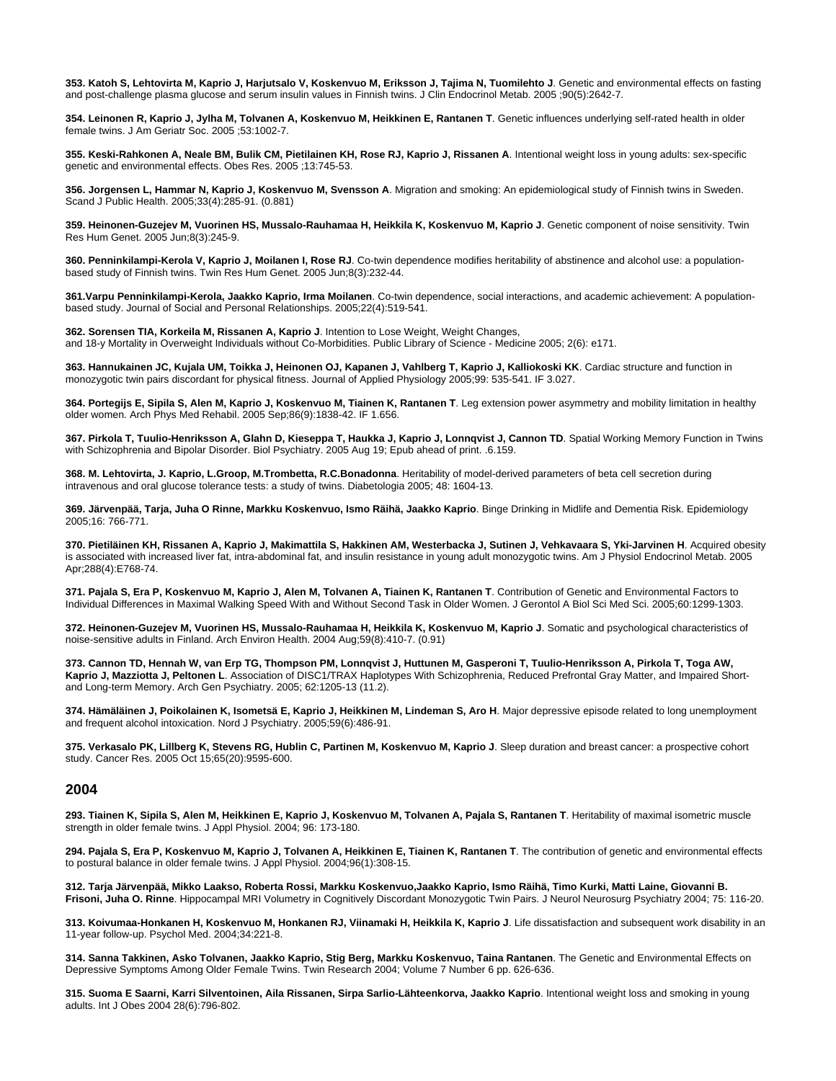**353. Katoh S, Lehtovirta M, Kaprio J, Harjutsalo V, Koskenvuo M, Eriksson J, Tajima N, Tuomilehto J**. Genetic and environmental effects on fasting and post-challenge plasma glucose and serum insulin values in Finnish twins. J Clin Endocrinol Metab. 2005 ;90(5):2642-7.

**354. Leinonen R, Kaprio J, Jylha M, Tolvanen A, Koskenvuo M, Heikkinen E, Rantanen T**. Genetic influences underlying self-rated health in older female twins. J Am Geriatr Soc. 2005 ;53:1002-7.

**355. Keski-Rahkonen A, Neale BM, Bulik CM, Pietilainen KH, Rose RJ, Kaprio J, Rissanen A**. Intentional weight loss in young adults: sex-specific genetic and environmental effects. Obes Res. 2005 ;13:745-53.

**356. Jorgensen L, Hammar N, Kaprio J, Koskenvuo M, Svensson A**. Migration and smoking: An epidemiological study of Finnish twins in Sweden. Scand J Public Health. 2005;33(4):285-91. (0.881)

**359. Heinonen-Guzejev M, Vuorinen HS, Mussalo-Rauhamaa H, Heikkila K, Koskenvuo M, Kaprio J**. Genetic component of noise sensitivity. Twin Res Hum Genet. 2005 Jun;8(3):245-9.

**360. Penninkilampi-Kerola V, Kaprio J, Moilanen I, Rose RJ**. Co-twin dependence modifies heritability of abstinence and alcohol use: a populationbased study of Finnish twins. Twin Res Hum Genet. 2005 Jun;8(3):232-44.

**361.Varpu Penninkilampi-Kerola, Jaakko Kaprio, Irma Moilanen**. Co-twin dependence, social interactions, and academic achievement: A populationbased study. Journal of Social and Personal Relationships. 2005;22(4):519-541.

**362. Sorensen TIA, Korkeila M, Rissanen A, Kaprio J**. Intention to Lose Weight, Weight Changes, and 18-y Mortality in Overweight Individuals without Co-Morbidities. Public Library of Science - Medicine 2005; 2(6): e171.

**363. Hannukainen JC, Kujala UM, Toikka J, Heinonen OJ, Kapanen J, Vahlberg T, Kaprio J, Kalliokoski KK**. Cardiac structure and function in monozygotic twin pairs discordant for physical fitness. Journal of Applied Physiology 2005;99: 535-541. IF 3.027.

**364. Portegijs E, Sipila S, Alen M, Kaprio J, Koskenvuo M, Tiainen K, Rantanen T**. Leg extension power asymmetry and mobility limitation in healthy older women. Arch Phys Med Rehabil. 2005 Sep;86(9):1838-42. IF 1.656.

**367. Pirkola T, Tuulio-Henriksson A, Glahn D, Kieseppa T, Haukka J, Kaprio J, Lonnqvist J, Cannon TD**. Spatial Working Memory Function in Twins with Schizophrenia and Bipolar Disorder. Biol Psychiatry. 2005 Aug 19; Epub ahead of print. .6.159.

**368. M. Lehtovirta, J. Kaprio, L.Groop, M.Trombetta, R.C.Bonadonna**. Heritability of model-derived parameters of beta cell secretion during intravenous and oral glucose tolerance tests: a study of twins. Diabetologia 2005; 48: 1604-13.

**369. Järvenpää, Tarja, Juha O Rinne, Markku Koskenvuo, Ismo Räihä, Jaakko Kaprio**. Binge Drinking in Midlife and Dementia Risk. Epidemiology 2005;16: 766-771.

**370. Pietiläinen KH, Rissanen A, Kaprio J, Makimattila S, Hakkinen AM, Westerbacka J, Sutinen J, Vehkavaara S, Yki-Jarvinen H**. Acquired obesity is associated with increased liver fat, intra-abdominal fat, and insulin resistance in young adult monozygotic twins. Am J Physiol Endocrinol Metab. 2005 Apr;288(4):E768-74.

**371. Pajala S, Era P, Koskenvuo M, Kaprio J, Alen M, Tolvanen A, Tiainen K, Rantanen T**. Contribution of Genetic and Environmental Factors to Individual Differences in Maximal Walking Speed With and Without Second Task in Older Women. J Gerontol A Biol Sci Med Sci. 2005;60:1299-1303.

**372. Heinonen-Guzejev M, Vuorinen HS, Mussalo-Rauhamaa H, Heikkila K, Koskenvuo M, Kaprio J**. Somatic and psychological characteristics of noise-sensitive adults in Finland. Arch Environ Health. 2004 Aug;59(8):410-7. (0.91)

**373. Cannon TD, Hennah W, van Erp TG, Thompson PM, Lonnqvist J, Huttunen M, Gasperoni T, Tuulio-Henriksson A, Pirkola T, Toga AW, Kaprio J, Mazziotta J, Peltonen L**. Association of DISC1/TRAX Haplotypes With Schizophrenia, Reduced Prefrontal Gray Matter, and Impaired Shortand Long-term Memory. Arch Gen Psychiatry. 2005; 62:1205-13 (11.2).

**374. Hämäläinen J, Poikolainen K, Isometsä E, Kaprio J, Heikkinen M, Lindeman S, Aro H**. Major depressive episode related to long unemployment and frequent alcohol intoxication. Nord J Psychiatry. 2005;59(6):486-91.

**375. Verkasalo PK, Lillberg K, Stevens RG, Hublin C, Partinen M, Koskenvuo M, Kaprio J**. Sleep duration and breast cancer: a prospective cohort study. Cancer Res. 2005 Oct 15;65(20):9595-600.

# <span id="page-14-0"></span>**2004**

**293. Tiainen K, Sipila S, Alen M, Heikkinen E, Kaprio J, Koskenvuo M, Tolvanen A, Pajala S, Rantanen T**. Heritability of maximal isometric muscle strength in older female twins. J Appl Physiol. 2004; 96: 173-180.

**294. Pajala S, Era P, Koskenvuo M, Kaprio J, Tolvanen A, Heikkinen E, Tiainen K, Rantanen T**. The contribution of genetic and environmental effects to postural balance in older female twins. J Appl Physiol. 2004;96(1):308-15.

**312. Tarja Järvenpää, Mikko Laakso, Roberta Rossi, Markku Koskenvuo,Jaakko Kaprio, Ismo Räihä, Timo Kurki, Matti Laine, Giovanni B. Frisoni, Juha O. Rinne**. Hippocampal MRI Volumetry in Cognitively Discordant Monozygotic Twin Pairs. J Neurol Neurosurg Psychiatry 2004; 75: 116-20.

**313. Koivumaa-Honkanen H, Koskenvuo M, Honkanen RJ, Viinamaki H, Heikkila K, Kaprio J**. Life dissatisfaction and subsequent work disability in an 11-year follow-up. Psychol Med. 2004;34:221-8.

**314. Sanna Takkinen, Asko Tolvanen, Jaakko Kaprio, Stig Berg, Markku Koskenvuo, Taina Rantanen**. The Genetic and Environmental Effects on Depressive Symptoms Among Older Female Twins. Twin Research 2004; Volume 7 Number 6 pp. 626-636.

**315. Suoma E Saarni, Karri Silventoinen, Aila Rissanen, Sirpa Sarlio-Lähteenkorva, Jaakko Kaprio**. Intentional weight loss and smoking in young adults. Int J Obes 2004 28(6):796-802.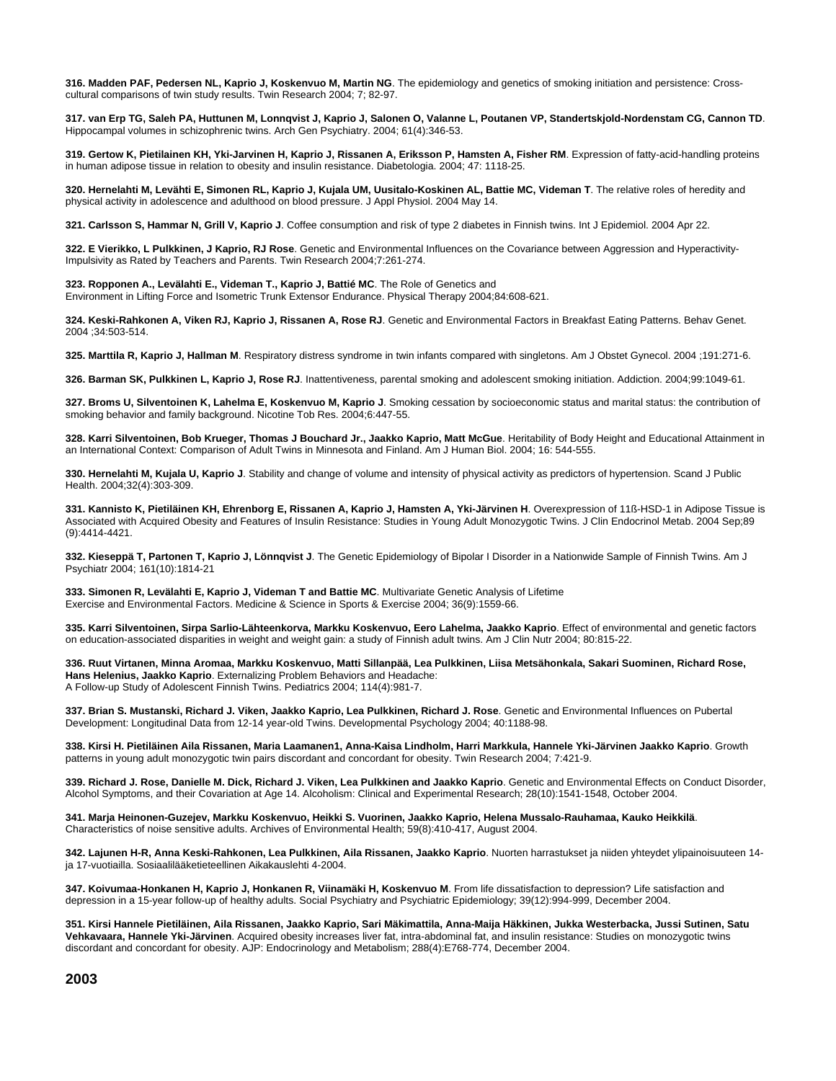**316. Madden PAF, Pedersen NL, Kaprio J, Koskenvuo M, Martin NG**. The epidemiology and genetics of smoking initiation and persistence: Crosscultural comparisons of twin study results. Twin Research 2004; 7; 82-97.

**317. van Erp TG, Saleh PA, Huttunen M, Lonnqvist J, Kaprio J, Salonen O, Valanne L, Poutanen VP, Standertskjold-Nordenstam CG, Cannon TD**. Hippocampal volumes in schizophrenic twins. Arch Gen Psychiatry. 2004; 61(4):346-53.

**319. Gertow K, Pietilainen KH, Yki-Jarvinen H, Kaprio J, Rissanen A, Eriksson P, Hamsten A, Fisher RM**. Expression of fatty-acid-handling proteins in human adipose tissue in relation to obesity and insulin resistance. Diabetologia. 2004; 47: 1118-25.

**320. Hernelahti M, Levähti E, Simonen RL, Kaprio J, Kujala UM, Uusitalo-Koskinen AL, Battie MC, Videman T**. The relative roles of heredity and physical activity in adolescence and adulthood on blood pressure. J Appl Physiol. 2004 May 14.

**321. Carlsson S, Hammar N, Grill V, Kaprio J**. Coffee consumption and risk of type 2 diabetes in Finnish twins. Int J Epidemiol. 2004 Apr 22.

**322. E Vierikko, L Pulkkinen, J Kaprio, RJ Rose**. Genetic and Environmental Influences on the Covariance between Aggression and Hyperactivity-Impulsivity as Rated by Teachers and Parents. Twin Research 2004;7:261-274.

**323. Ropponen A., Levälahti E., Videman T., Kaprio J, Battié MC**. The Role of Genetics and Environment in Lifting Force and Isometric Trunk Extensor Endurance. Physical Therapy 2004;84:608-621.

**324. Keski-Rahkonen A, Viken RJ, Kaprio J, Rissanen A, Rose RJ**. Genetic and Environmental Factors in Breakfast Eating Patterns. Behav Genet. 2004 ;34:503-514.

**325. Marttila R, Kaprio J, Hallman M**. Respiratory distress syndrome in twin infants compared with singletons. Am J Obstet Gynecol. 2004 ;191:271-6.

**326. Barman SK, Pulkkinen L, Kaprio J, Rose RJ**. Inattentiveness, parental smoking and adolescent smoking initiation. Addiction. 2004;99:1049-61.

**327. Broms U, Silventoinen K, Lahelma E, Koskenvuo M, Kaprio J**. Smoking cessation by socioeconomic status and marital status: the contribution of smoking behavior and family background. Nicotine Tob Res. 2004;6:447-55.

**328. Karri Silventoinen, Bob Krueger, Thomas J Bouchard Jr., Jaakko Kaprio, Matt McGue**. Heritability of Body Height and Educational Attainment in an International Context: Comparison of Adult Twins in Minnesota and Finland. Am J Human Biol. 2004; 16: 544-555.

**330. Hernelahti M, Kujala U, Kaprio J**. Stability and change of volume and intensity of physical activity as predictors of hypertension. Scand J Public Health. 2004;32(4):303-309.

**331. Kannisto K, Pietiläinen KH, Ehrenborg E, Rissanen A, Kaprio J, Hamsten A, Yki-Järvinen H**. Overexpression of 11ß-HSD-1 in Adipose Tissue is Associated with Acquired Obesity and Features of Insulin Resistance: Studies in Young Adult Monozygotic Twins. J Clin Endocrinol Metab. 2004 Sep;89 (9):4414-4421.

**332. Kieseppä T, Partonen T, Kaprio J, Lönnqvist J**. The Genetic Epidemiology of Bipolar I Disorder in a Nationwide Sample of Finnish Twins. Am J Psychiatr 2004; 161(10):1814-21

**333. Simonen R, Levälahti E, Kaprio J, Videman T and Battie MC**. Multivariate Genetic Analysis of Lifetime Exercise and Environmental Factors. Medicine & Science in Sports & Exercise 2004; 36(9):1559-66.

**335. Karri Silventoinen, Sirpa Sarlio-Lähteenkorva, Markku Koskenvuo, Eero Lahelma, Jaakko Kaprio**. Effect of environmental and genetic factors on education-associated disparities in weight and weight gain: a study of Finnish adult twins. Am J Clin Nutr 2004; 80:815-22.

**336. Ruut Virtanen, Minna Aromaa, Markku Koskenvuo, Matti Sillanpää, Lea Pulkkinen, Liisa Metsähonkala, Sakari Suominen, Richard Rose, Hans Helenius, Jaakko Kaprio**. Externalizing Problem Behaviors and Headache: A Follow-up Study of Adolescent Finnish Twins. Pediatrics 2004; 114(4):981-7.

**337. Brian S. Mustanski, Richard J. Viken, Jaakko Kaprio, Lea Pulkkinen, Richard J. Rose**. Genetic and Environmental Influences on Pubertal Development: Longitudinal Data from 12-14 year-old Twins. Developmental Psychology 2004; 40:1188-98.

**338. Kirsi H. Pietiläinen Aila Rissanen, Maria Laamanen1, Anna-Kaisa Lindholm, Harri Markkula, Hannele Yki-Järvinen Jaakko Kaprio**. Growth patterns in young adult monozygotic twin pairs discordant and concordant for obesity. Twin Research 2004; 7:421-9.

**339. Richard J. Rose, Danielle M. Dick, Richard J. Viken, Lea Pulkkinen and Jaakko Kaprio**. Genetic and Environmental Effects on Conduct Disorder, Alcohol Symptoms, and their Covariation at Age 14. Alcoholism: Clinical and Experimental Research; 28(10):1541-1548, October 2004.

**341. Marja Heinonen-Guzejev, Markku Koskenvuo, Heikki S. Vuorinen, Jaakko Kaprio, Helena Mussalo-Rauhamaa, Kauko Heikkilä**. Characteristics of noise sensitive adults. Archives of Environmental Health; 59(8):410-417, August 2004.

**342. Lajunen H-R, Anna Keski-Rahkonen, Lea Pulkkinen, Aila Rissanen, Jaakko Kaprio**. Nuorten harrastukset ja niiden yhteydet ylipainoisuuteen 14 ja 17-vuotiailla. Sosiaalilääketieteellinen Aikakauslehti 4-2004.

**347. Koivumaa-Honkanen H, Kaprio J, Honkanen R, Viinamäki H, Koskenvuo M**. From life dissatisfaction to depression? Life satisfaction and depression in a 15-year follow-up of healthy adults. Social Psychiatry and Psychiatric Epidemiology; 39(12):994-999, December 2004.

**351. Kirsi Hannele Pietiläinen, Aila Rissanen, Jaakko Kaprio, Sari Mäkimattila, Anna-Maija Häkkinen, Jukka Westerbacka, Jussi Sutinen, Satu Vehkavaara, Hannele Yki-Järvinen**. Acquired obesity increases liver fat, intra-abdominal fat, and insulin resistance: Studies on monozygotic twins discordant and concordant for obesity. AJP: Endocrinology and Metabolism; 288(4):E768-774, December 2004.

<span id="page-15-0"></span>**2003**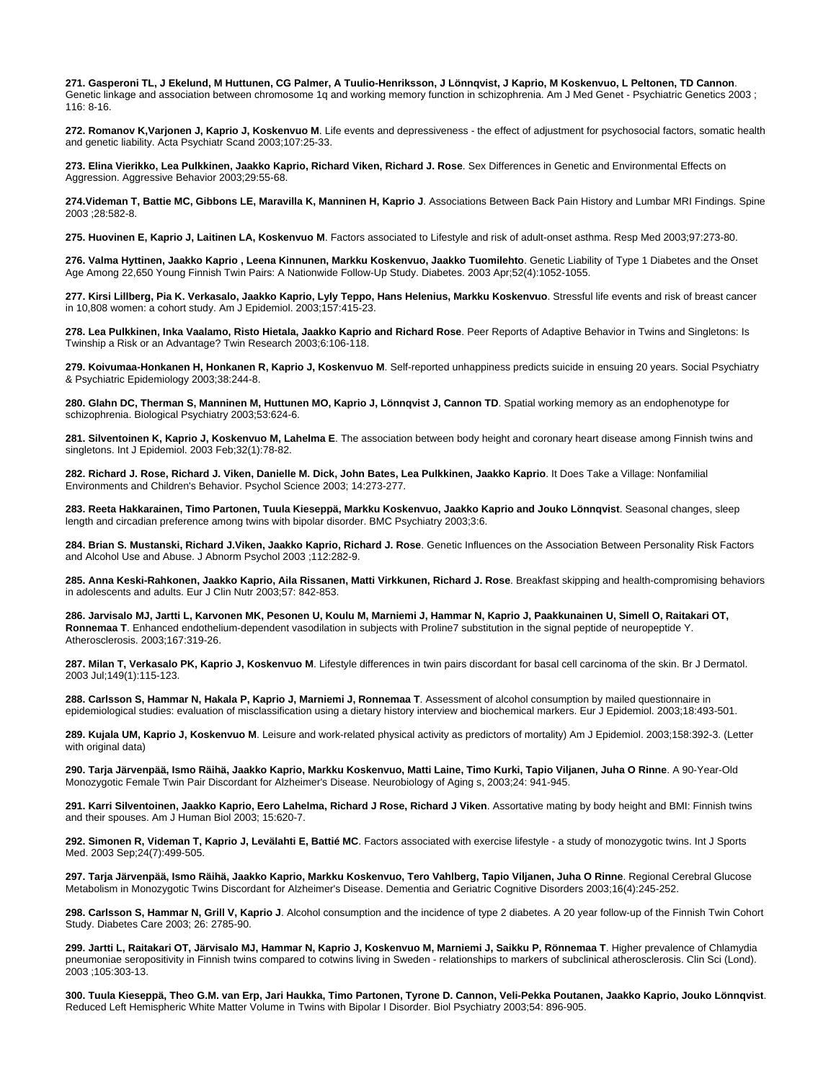**271. Gasperoni TL, J Ekelund, M Huttunen, CG Palmer, A Tuulio-Henriksson, J Lönnqvist, J Kaprio, M Koskenvuo, L Peltonen, TD Cannon**. Genetic linkage and association between chromosome 1q and working memory function in schizophrenia. Am J Med Genet - Psychiatric Genetics 2003 ; 116: 8-16.

272. Romanov K.Varionen J. Kaprio J. Koskenvuo M. Life events and depressiveness - the effect of adjustment for psychosocial factors, somatic health and genetic liability. Acta Psychiatr Scand 2003;107:25-33.

**273. Elina Vierikko, Lea Pulkkinen, Jaakko Kaprio, Richard Viken, Richard J. Rose**. Sex Differences in Genetic and Environmental Effects on Aggression. Aggressive Behavior 2003;29:55-68.

**274.Videman T, Battie MC, Gibbons LE, Maravilla K, Manninen H, Kaprio J**. Associations Between Back Pain History and Lumbar MRI Findings. Spine 2003 ;28:582-8.

**275. Huovinen E, Kaprio J, Laitinen LA, Koskenvuo M**. Factors associated to Lifestyle and risk of adult-onset asthma. Resp Med 2003;97:273-80.

**276. Valma Hyttinen, Jaakko Kaprio , Leena Kinnunen, Markku Koskenvuo, Jaakko Tuomilehto**. Genetic Liability of Type 1 Diabetes and the Onset Age Among 22,650 Young Finnish Twin Pairs: A Nationwide Follow-Up Study. Diabetes. 2003 Apr;52(4):1052-1055.

**277. Kirsi Lillberg, Pia K. Verkasalo, Jaakko Kaprio, Lyly Teppo, Hans Helenius, Markku Koskenvuo**. Stressful life events and risk of breast cancer in 10,808 women: a cohort study. Am J Epidemiol. 2003;157:415-23.

**278. Lea Pulkkinen, Inka Vaalamo, Risto Hietala, Jaakko Kaprio and Richard Rose**. Peer Reports of Adaptive Behavior in Twins and Singletons: Is Twinship a Risk or an Advantage? Twin Research 2003;6:106-118.

**279. Koivumaa-Honkanen H, Honkanen R, Kaprio J, Koskenvuo M**. Self-reported unhappiness predicts suicide in ensuing 20 years. Social Psychiatry & Psychiatric Epidemiology 2003;38:244-8.

**280. Glahn DC, Therman S, Manninen M, Huttunen MO, Kaprio J, Lönnqvist J, Cannon TD**. Spatial working memory as an endophenotype for schizophrenia. Biological Psychiatry 2003;53:624-6.

**281. Silventoinen K, Kaprio J, Koskenvuo M, Lahelma E**. The association between body height and coronary heart disease among Finnish twins and singletons. Int J Epidemiol. 2003 Feb;32(1):78-82.

**282. Richard J. Rose, Richard J. Viken, Danielle M. Dick, John Bates, Lea Pulkkinen, Jaakko Kaprio**. It Does Take a Village: Nonfamilial Environments and Children's Behavior. Psychol Science 2003; 14:273-277.

**283. Reeta Hakkarainen, Timo Partonen, Tuula Kieseppä, Markku Koskenvuo, Jaakko Kaprio and Jouko Lönnqvist**. Seasonal changes, sleep length and circadian preference among twins with bipolar disorder. BMC Psychiatry 2003;3:6.

**284. Brian S. Mustanski, Richard J.Viken, Jaakko Kaprio, Richard J. Rose**. Genetic Influences on the Association Between Personality Risk Factors and Alcohol Use and Abuse. J Abnorm Psychol 2003 ;112:282-9.

**285. Anna Keski-Rahkonen, Jaakko Kaprio, Aila Rissanen, Matti Virkkunen, Richard J. Rose**. Breakfast skipping and health-compromising behaviors in adolescents and adults. Eur J Clin Nutr 2003;57: 842-853.

**286. Jarvisalo MJ, Jartti L, Karvonen MK, Pesonen U, Koulu M, Marniemi J, Hammar N, Kaprio J, Paakkunainen U, Simell O, Raitakari OT, Ronnemaa T**. Enhanced endothelium-dependent vasodilation in subjects with Proline7 substitution in the signal peptide of neuropeptide Y. Atherosclerosis. 2003;167:319-26.

**287. Milan T, Verkasalo PK, Kaprio J, Koskenvuo M**. Lifestyle differences in twin pairs discordant for basal cell carcinoma of the skin. Br J Dermatol. 2003 Jul;149(1):115-123.

**288. Carlsson S, Hammar N, Hakala P, Kaprio J, Marniemi J, Ronnemaa T**. Assessment of alcohol consumption by mailed questionnaire in epidemiological studies: evaluation of misclassification using a dietary history interview and biochemical markers. Eur J Epidemiol. 2003;18:493-501.

**289. Kujala UM, Kaprio J, Koskenvuo M**. Leisure and work-related physical activity as predictors of mortality) Am J Epidemiol. 2003;158:392-3. (Letter with original data)

**290. Tarja Järvenpää, Ismo Räihä, Jaakko Kaprio, Markku Koskenvuo, Matti Laine, Timo Kurki, Tapio Viljanen, Juha O Rinne**. A 90-Year-Old Monozygotic Female Twin Pair Discordant for Alzheimer's Disease. Neurobiology of Aging s, 2003;24: 941-945.

**291. Karri Silventoinen, Jaakko Kaprio, Eero Lahelma, Richard J Rose, Richard J Viken**. Assortative mating by body height and BMI: Finnish twins and their spouses. Am J Human Biol 2003; 15:620-7.

**292. Simonen R, Videman T, Kaprio J, Levälahti E, Battié MC**. Factors associated with exercise lifestyle - a study of monozygotic twins. Int J Sports Med. 2003 Sep;24(7):499-505.

**297. Tarja Järvenpää, Ismo Räihä, Jaakko Kaprio, Markku Koskenvuo, Tero Vahlberg, Tapio Viljanen, Juha O Rinne**. Regional Cerebral Glucose Metabolism in Monozygotic Twins Discordant for Alzheimer's Disease. Dementia and Geriatric Cognitive Disorders 2003;16(4):245-252.

**298. Carlsson S, Hammar N, Grill V, Kaprio J**. Alcohol consumption and the incidence of type 2 diabetes. A 20 year follow-up of the Finnish Twin Cohort Study. Diabetes Care 2003; 26: 2785-90.

**299. Jartti L, Raitakari OT, Järvisalo MJ, Hammar N, Kaprio J, Koskenvuo M, Marniemi J, Saikku P, Rönnemaa T**. Higher prevalence of Chlamydia pneumoniae seropositivity in Finnish twins compared to cotwins living in Sweden - relationships to markers of subclinical atherosclerosis. Clin Sci (Lond). 2003 ;105:303-13.

**300. Tuula Kieseppä, Theo G.M. van Erp, Jari Haukka, Timo Partonen, Tyrone D. Cannon, Veli-Pekka Poutanen, Jaakko Kaprio, Jouko Lönnqvist**. Reduced Left Hemispheric White Matter Volume in Twins with Bipolar I Disorder. Biol Psychiatry 2003;54: 896-905.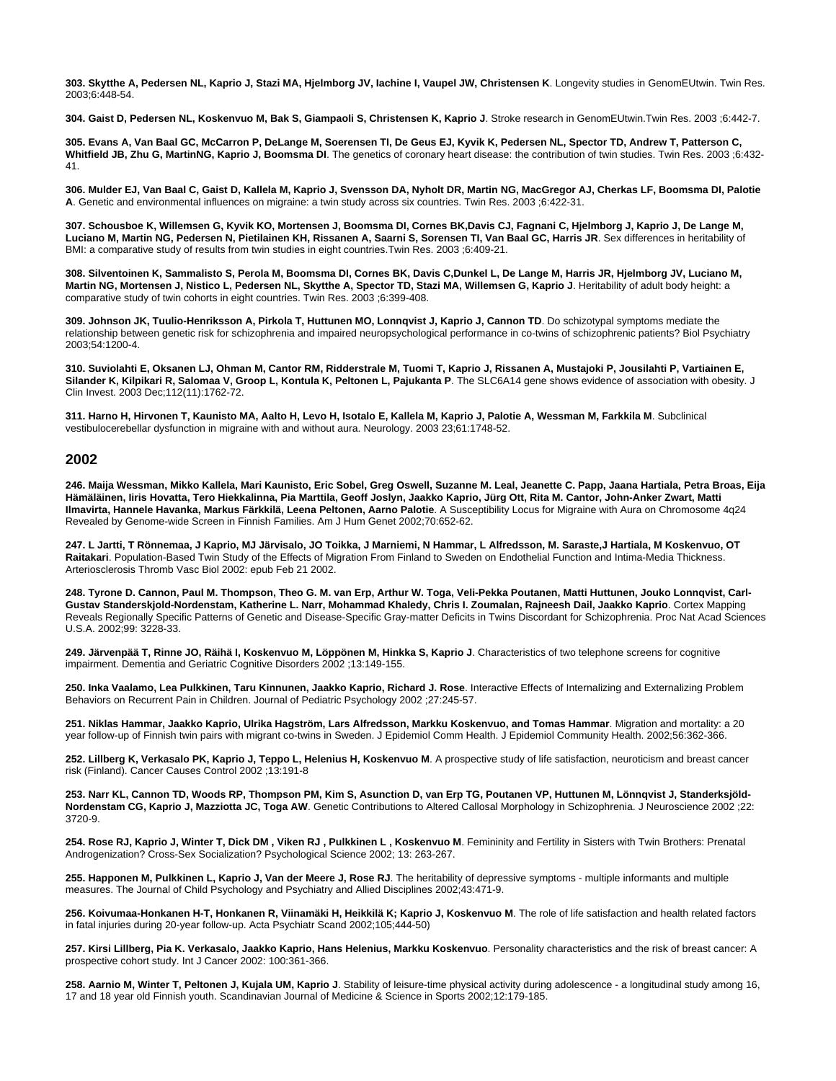**303. Skytthe A, Pedersen NL, Kaprio J, Stazi MA, Hjelmborg JV, Iachine I, Vaupel JW, Christensen K**. Longevity studies in GenomEUtwin. Twin Res. 2003;6:448-54.

**304. Gaist D, Pedersen NL, Koskenvuo M, Bak S, Giampaoli S, Christensen K, Kaprio J**. Stroke research in GenomEUtwin.Twin Res. 2003 ;6:442-7.

**305. Evans A, Van Baal GC, McCarron P, DeLange M, Soerensen TI, De Geus EJ, Kyvik K, Pedersen NL, Spector TD, Andrew T, Patterson C, Whitfield JB, Zhu G, MartinNG, Kaprio J, Boomsma DI**. The genetics of coronary heart disease: the contribution of twin studies. Twin Res. 2003 ;6:432- 41.

**306. Mulder EJ, Van Baal C, Gaist D, Kallela M, Kaprio J, Svensson DA, Nyholt DR, Martin NG, MacGregor AJ, Cherkas LF, Boomsma DI, Palotie A**. Genetic and environmental influences on migraine: a twin study across six countries. Twin Res. 2003 ;6:422-31.

**307. Schousboe K, Willemsen G, Kyvik KO, Mortensen J, Boomsma DI, Cornes BK,Davis CJ, Fagnani C, Hjelmborg J, Kaprio J, De Lange M, Luciano M, Martin NG, Pedersen N, Pietilainen KH, Rissanen A, Saarni S, Sorensen TI, Van Baal GC, Harris JR**. Sex differences in heritability of BMI: a comparative study of results from twin studies in eight countries.Twin Res. 2003 ;6:409-21.

**308. Silventoinen K, Sammalisto S, Perola M, Boomsma DI, Cornes BK, Davis C,Dunkel L, De Lange M, Harris JR, Hjelmborg JV, Luciano M, Martin NG, Mortensen J, Nistico L, Pedersen NL, Skytthe A, Spector TD, Stazi MA, Willemsen G, Kaprio J**. Heritability of adult body height: a comparative study of twin cohorts in eight countries. Twin Res. 2003 ;6:399-408.

**309. Johnson JK, Tuulio-Henriksson A, Pirkola T, Huttunen MO, Lonnqvist J, Kaprio J, Cannon TD**. Do schizotypal symptoms mediate the relationship between genetic risk for schizophrenia and impaired neuropsychological performance in co-twins of schizophrenic patients? Biol Psychiatry 2003;54:1200-4.

**310. Suviolahti E, Oksanen LJ, Ohman M, Cantor RM, Ridderstrale M, Tuomi T, Kaprio J, Rissanen A, Mustajoki P, Jousilahti P, Vartiainen E, Silander K, Kilpikari R, Salomaa V, Groop L, Kontula K, Peltonen L, Pajukanta P**. The SLC6A14 gene shows evidence of association with obesity. J Clin Invest. 2003 Dec;112(11):1762-72.

**311. Harno H, Hirvonen T, Kaunisto MA, Aalto H, Levo H, Isotalo E, Kallela M, Kaprio J, Palotie A, Wessman M, Farkkila M**. Subclinical vestibulocerebellar dysfunction in migraine with and without aura. Neurology. 2003 23;61:1748-52.

#### <span id="page-17-0"></span>**2002**

**246. Maija Wessman, Mikko Kallela, Mari Kaunisto, Eric Sobel, Greg Oswell, Suzanne M. Leal, Jeanette C. Papp, Jaana Hartiala, Petra Broas, Eija Hämäläinen, Iiris Hovatta, Tero Hiekkalinna, Pia Marttila, Geoff Joslyn, Jaakko Kaprio, Jürg Ott, Rita M. Cantor, John-Anker Zwart, Matti Ilmavirta, Hannele Havanka, Markus Färkkilä, Leena Peltonen, Aarno Palotie**. A Susceptibility Locus for Migraine with Aura on Chromosome 4q24 Revealed by Genome-wide Screen in Finnish Families. Am J Hum Genet 2002;70:652-62.

**247. L Jartti, T Rönnemaa, J Kaprio, MJ Järvisalo, JO Toikka, J Marniemi, N Hammar, L Alfredsson, M. Saraste,J Hartiala, M Koskenvuo, OT Raitakari**. Population-Based Twin Study of the Effects of Migration From Finland to Sweden on Endothelial Function and Intima-Media Thickness. Arteriosclerosis Thromb Vasc Biol 2002: epub Feb 21 2002.

**248. Tyrone D. Cannon, Paul M. Thompson, Theo G. M. van Erp, Arthur W. Toga, Veli-Pekka Poutanen, Matti Huttunen, Jouko Lonnqvist, Carl-Gustav Standerskjold-Nordenstam, Katherine L. Narr, Mohammad Khaledy, Chris I. Zoumalan, Rajneesh Dail, Jaakko Kaprio**. Cortex Mapping Reveals Regionally Specific Patterns of Genetic and Disease-Specific Gray-matter Deficits in Twins Discordant for Schizophrenia. Proc Nat Acad Sciences U.S.A. 2002;99: 3228-33.

**249. Järvenpää T, Rinne JO, Räihä I, Koskenvuo M, Löppönen M, Hinkka S, Kaprio J**. Characteristics of two telephone screens for cognitive impairment. Dementia and Geriatric Cognitive Disorders 2002 ;13:149-155.

250. Inka Vaalamo, Lea Pulkkinen, Taru Kinnunen, Jaakko Kaprio, Richard J. Rose. Interactive Effects of Internalizing and Externalizing Problem Behaviors on Recurrent Pain in Children. Journal of Pediatric Psychology 2002 ;27:245-57.

**251. Niklas Hammar, Jaakko Kaprio, Ulrika Hagström, Lars Alfredsson, Markku Koskenvuo, and Tomas Hammar**. Migration and mortality: a 20 year follow-up of Finnish twin pairs with migrant co-twins in Sweden. J Epidemiol Comm Health. J Epidemiol Community Health. 2002;56:362-366.

**252. Lillberg K, Verkasalo PK, Kaprio J, Teppo L, Helenius H, Koskenvuo M**. A prospective study of life satisfaction, neuroticism and breast cancer risk (Finland). Cancer Causes Control 2002 ;13:191-8

**253. Narr KL, Cannon TD, Woods RP, Thompson PM, Kim S, Asunction D, van Erp TG, Poutanen VP, Huttunen M, Lönnqvist J, Standerksjöld-Nordenstam CG, Kaprio J, Mazziotta JC, Toga AW**. Genetic Contributions to Altered Callosal Morphology in Schizophrenia. J Neuroscience 2002 ;22: 3720-9.

**254. Rose RJ, Kaprio J, Winter T, Dick DM , Viken RJ , Pulkkinen L , Koskenvuo M**. Femininity and Fertility in Sisters with Twin Brothers: Prenatal Androgenization? Cross-Sex Socialization? Psychological Science 2002; 13: 263-267.

**255. Happonen M, Pulkkinen L, Kaprio J, Van der Meere J, Rose RJ**. The heritability of depressive symptoms - multiple informants and multiple measures. The Journal of Child Psychology and Psychiatry and Allied Disciplines 2002;43:471-9.

**256. Koivumaa-Honkanen H-T, Honkanen R, Viinamäki H, Heikkilä K; Kaprio J, Koskenvuo M**. The role of life satisfaction and health related factors in fatal injuries during 20-year follow-up. Acta Psychiatr Scand 2002;105;444-50)

**257. Kirsi Lillberg, Pia K. Verkasalo, Jaakko Kaprio, Hans Helenius, Markku Koskenvuo**. Personality characteristics and the risk of breast cancer: A prospective cohort study. Int J Cancer 2002: 100:361-366.

**258. Aarnio M, Winter T, Peltonen J, Kujala UM, Kaprio J**. Stability of leisure-time physical activity during adolescence - a longitudinal study among 16, 17 and 18 year old Finnish youth. Scandinavian Journal of Medicine & Science in Sports 2002;12:179-185.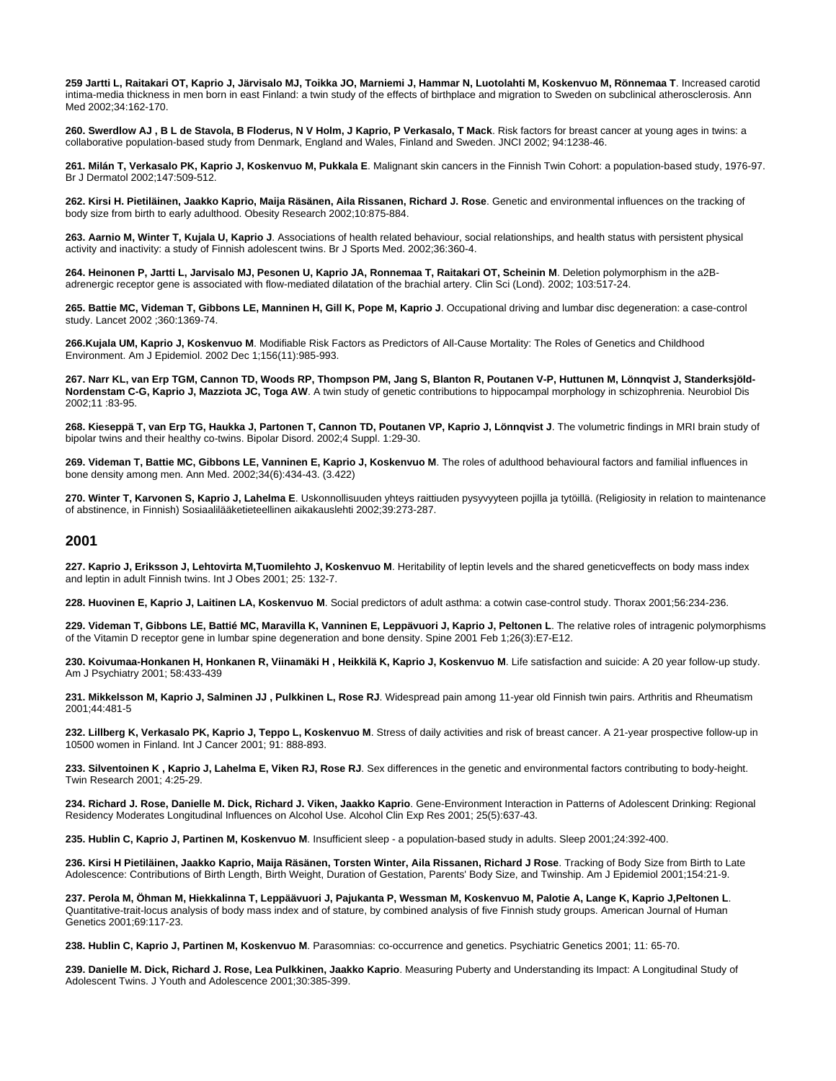**259 Jartti L, Raitakari OT, Kaprio J, Järvisalo MJ, Toikka JO, Marniemi J, Hammar N, Luotolahti M, Koskenvuo M, Rönnemaa T**. Increased carotid intima-media thickness in men born in east Finland: a twin study of the effects of birthplace and migration to Sweden on subclinical atherosclerosis. Ann Med 2002;34:162-170.

**260. Swerdlow AJ , B L de Stavola, B Floderus, N V Holm, J Kaprio, P Verkasalo, T Mack**. Risk factors for breast cancer at young ages in twins: a collaborative population-based study from Denmark, England and Wales, Finland and Sweden. JNCI 2002; 94:1238-46.

**261. Milán T, Verkasalo PK, Kaprio J, Koskenvuo M, Pukkala E**. Malignant skin cancers in the Finnish Twin Cohort: a population-based study, 1976-97. Br J Dermatol 2002;147:509-512.

**262. Kirsi H. Pietiläinen, Jaakko Kaprio, Maija Räsänen, Aila Rissanen, Richard J. Rose**. Genetic and environmental influences on the tracking of body size from birth to early adulthood. Obesity Research 2002;10:875-884.

**263. Aarnio M, Winter T, Kujala U, Kaprio J**. Associations of health related behaviour, social relationships, and health status with persistent physical activity and inactivity: a study of Finnish adolescent twins. Br J Sports Med. 2002;36:360-4.

**264. Heinonen P, Jartti L, Jarvisalo MJ, Pesonen U, Kaprio JA, Ronnemaa T, Raitakari OT, Scheinin M**. Deletion polymorphism in the a2Badrenergic receptor gene is associated with flow-mediated dilatation of the brachial artery. Clin Sci (Lond). 2002; 103:517-24.

**265. Battie MC, Videman T, Gibbons LE, Manninen H, Gill K, Pope M, Kaprio J**. Occupational driving and lumbar disc degeneration: a case-control study. Lancet 2002 ;360:1369-74.

**266.Kujala UM, Kaprio J, Koskenvuo M**. Modifiable Risk Factors as Predictors of All-Cause Mortality: The Roles of Genetics and Childhood Environment. Am J Epidemiol. 2002 Dec 1;156(11):985-993.

**267. Narr KL, van Erp TGM, Cannon TD, Woods RP, Thompson PM, Jang S, Blanton R, Poutanen V-P, Huttunen M, Lönnqvist J, Standerksjöld-Nordenstam C-G, Kaprio J, Mazziota JC, Toga AW**. A twin study of genetic contributions to hippocampal morphology in schizophrenia. Neurobiol Dis 2002;11 :83-95.

**268. Kieseppä T, van Erp TG, Haukka J, Partonen T, Cannon TD, Poutanen VP, Kaprio J, Lönnqvist J**. The volumetric findings in MRI brain study of bipolar twins and their healthy co-twins. Bipolar Disord. 2002;4 Suppl. 1:29-30.

**269. Videman T, Battie MC, Gibbons LE, Vanninen E, Kaprio J, Koskenvuo M**. The roles of adulthood behavioural factors and familial influences in bone density among men. Ann Med. 2002;34(6):434-43. (3.422)

**270. Winter T, Karvonen S, Kaprio J, Lahelma E**. Uskonnollisuuden yhteys raittiuden pysyvyyteen pojilla ja tytöillä. (Religiosity in relation to maintenance of abstinence, in Finnish) Sosiaalilääketieteellinen aikakauslehti 2002;39:273-287.

### <span id="page-18-0"></span>**2001**

**227. Kaprio J, Eriksson J, Lehtovirta M,Tuomilehto J, Koskenvuo M**. Heritability of leptin levels and the shared geneticveffects on body mass index and leptin in adult Finnish twins. Int J Obes 2001; 25: 132-7.

**228. Huovinen E, Kaprio J, Laitinen LA, Koskenvuo M**. Social predictors of adult asthma: a cotwin case-control study. Thorax 2001;56:234-236.

**229. Videman T, Gibbons LE, Battié MC, Maravilla K, Vanninen E, Leppävuori J, Kaprio J, Peltonen L**. The relative roles of intragenic polymorphisms of the Vitamin D receptor gene in lumbar spine degeneration and bone density. Spine 2001 Feb 1;26(3):E7-E12.

**230. Koivumaa-Honkanen H, Honkanen R, Viinamäki H , Heikkilä K, Kaprio J, Koskenvuo M**. Life satisfaction and suicide: A 20 year follow-up study. Am J Psychiatry 2001; 58:433-439

**231. Mikkelsson M, Kaprio J, Salminen JJ , Pulkkinen L, Rose RJ**. Widespread pain among 11-year old Finnish twin pairs. Arthritis and Rheumatism 2001;44:481-5

**232. Lillberg K, Verkasalo PK, Kaprio J, Teppo L, Koskenvuo M**. Stress of daily activities and risk of breast cancer. A 21-year prospective follow-up in 10500 women in Finland. Int J Cancer 2001; 91: 888-893.

**233. Silventoinen K , Kaprio J, Lahelma E, Viken RJ, Rose RJ**. Sex differences in the genetic and environmental factors contributing to body-height. Twin Research 2001; 4:25-29.

**234. Richard J. Rose, Danielle M. Dick, Richard J. Viken, Jaakko Kaprio**. Gene-Environment Interaction in Patterns of Adolescent Drinking: Regional Residency Moderates Longitudinal Influences on Alcohol Use. Alcohol Clin Exp Res 2001; 25(5):637-43.

**235. Hublin C, Kaprio J, Partinen M, Koskenvuo M**. Insufficient sleep - a population-based study in adults. Sleep 2001;24:392-400.

**236. Kirsi H Pietiläinen, Jaakko Kaprio, Maija Räsänen, Torsten Winter, Aila Rissanen, Richard J Rose**. Tracking of Body Size from Birth to Late Adolescence: Contributions of Birth Length, Birth Weight, Duration of Gestation, Parents' Body Size, and Twinship. Am J Epidemiol 2001;154:21-9.

**237. Perola M, Öhman M, Hiekkalinna T, Leppäävuori J, Pajukanta P, Wessman M, Koskenvuo M, Palotie A, Lange K, Kaprio J,Peltonen L**. Quantitative-trait-locus analysis of body mass index and of stature, by combined analysis of five Finnish study groups. American Journal of Human Genetics 2001;69:117-23.

**238. Hublin C, Kaprio J, Partinen M, Koskenvuo M**. Parasomnias: co-occurrence and genetics. Psychiatric Genetics 2001; 11: 65-70.

**239. Danielle M. Dick, Richard J. Rose, Lea Pulkkinen, Jaakko Kaprio**. Measuring Puberty and Understanding its Impact: A Longitudinal Study of Adolescent Twins. J Youth and Adolescence 2001;30:385-399.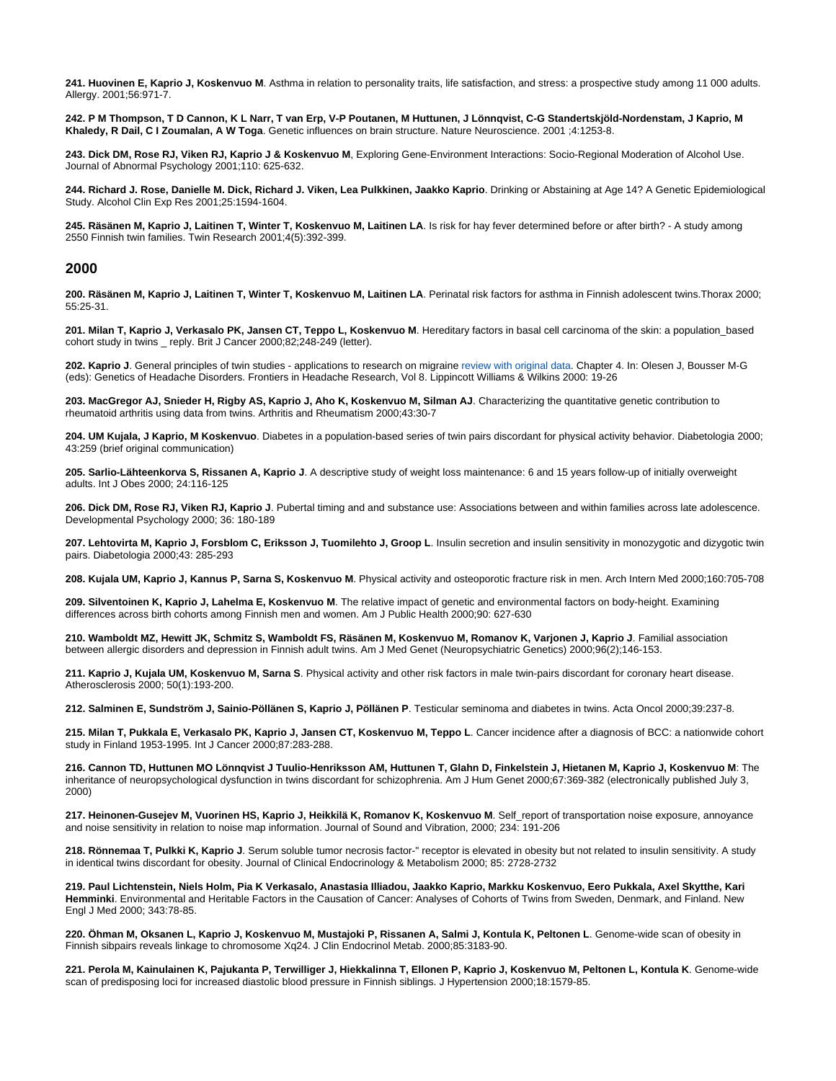241. Huovinen E, Kaprio J, Koskenvuo M. Asthma in relation to personality traits, life satisfaction, and stress: a prospective study among 11 000 adults. Allergy. 2001;56:971-7.

**242. P M Thompson, T D Cannon, K L Narr, T van Erp, V-P Poutanen, M Huttunen, J Lönnqvist, C-G Standertskjöld-Nordenstam, J Kaprio, M Khaledy, R Dail, C I Zoumalan, A W Toga**. Genetic influences on brain structure. Nature Neuroscience. 2001 ;4:1253-8.

**243. Dick DM, Rose RJ, Viken RJ, Kaprio J & Koskenvuo M**, Exploring Gene-Environment Interactions: Socio-Regional Moderation of Alcohol Use. Journal of Abnormal Psychology 2001;110: 625-632.

**244. Richard J. Rose, Danielle M. Dick, Richard J. Viken, Lea Pulkkinen, Jaakko Kaprio**. Drinking or Abstaining at Age 14? A Genetic Epidemiological Study. Alcohol Clin Exp Res 2001;25:1594-1604.

**245. Räsänen M, Kaprio J, Laitinen T, Winter T, Koskenvuo M, Laitinen LA**. Is risk for hay fever determined before or after birth? - A study among 2550 Finnish twin families. Twin Research 2001;4(5):392-399.

# <span id="page-19-0"></span>**2000**

**200. Räsänen M, Kaprio J, Laitinen T, Winter T, Koskenvuo M, Laitinen LA**. Perinatal risk factors for asthma in Finnish adolescent twins.Thorax 2000; 55:25-31.

**201. Milan T, Kaprio J, Verkasalo PK, Jansen CT, Teppo L, Koskenvuo M**. Hereditary factors in basal cell carcinoma of the skin: a population\_based cohort study in twins \_ reply. Brit J Cancer 2000;82;248-249 (letter).

**202. Kaprio J**. General principles of twin studies - applications to research on migraine review with original data. Chapter 4. In: Olesen J, Bousser M-G (eds): Genetics of Headache Disorders. Frontiers in Headache Research, Vol 8. Lippincott Williams & Wilkins 2000: 19-26

**203. MacGregor AJ, Snieder H, Rigby AS, Kaprio J, Aho K, Koskenvuo M, Silman AJ**. Characterizing the quantitative genetic contribution to rheumatoid arthritis using data from twins. Arthritis and Rheumatism 2000;43:30-7

**204. UM Kujala, J Kaprio, M Koskenvuo**. Diabetes in a population-based series of twin pairs discordant for physical activity behavior. Diabetologia 2000; 43:259 (brief original communication)

**205. Sarlio-Lähteenkorva S, Rissanen A, Kaprio J**. A descriptive study of weight loss maintenance: 6 and 15 years follow-up of initially overweight adults. Int J Obes 2000; 24:116-125

**206. Dick DM, Rose RJ, Viken RJ, Kaprio J**. Pubertal timing and and substance use: Associations between and within families across late adolescence. Developmental Psychology 2000; 36: 180-189

207. Lehtovirta M, Kaprio J, Forsblom C, Eriksson J, Tuomilehto J, Groop L. Insulin secretion and insulin sensitivity in monozygotic and dizygotic twin pairs. Diabetologia 2000;43: 285-293

**208. Kujala UM, Kaprio J, Kannus P, Sarna S, Koskenvuo M**. Physical activity and osteoporotic fracture risk in men. Arch Intern Med 2000;160:705-708

**209. Silventoinen K, Kaprio J, Lahelma E, Koskenvuo M**. The relative impact of genetic and environmental factors on body-height. Examining differences across birth cohorts among Finnish men and women. Am J Public Health 2000;90: 627-630

**210. Wamboldt MZ, Hewitt JK, Schmitz S, Wamboldt FS, Räsänen M, Koskenvuo M, Romanov K, Varjonen J, Kaprio J**. Familial association between allergic disorders and depression in Finnish adult twins. Am J Med Genet (Neuropsychiatric Genetics) 2000;96(2);146-153.

**211. Kaprio J, Kujala UM, Koskenvuo M, Sarna S**. Physical activity and other risk factors in male twin-pairs discordant for coronary heart disease. Atherosclerosis 2000; 50(1):193-200.

**212. Salminen E, Sundström J, Sainio-Pöllänen S, Kaprio J, Pöllänen P**. Testicular seminoma and diabetes in twins. Acta Oncol 2000;39:237-8.

**215. Milan T, Pukkala E, Verkasalo PK, Kaprio J, Jansen CT, Koskenvuo M, Teppo L**. Cancer incidence after a diagnosis of BCC: a nationwide cohort study in Finland 1953-1995. Int J Cancer 2000;87:283-288.

**216. Cannon TD, Huttunen MO Lönnqvist J Tuulio-Henriksson AM, Huttunen T, Glahn D, Finkelstein J, Hietanen M, Kaprio J, Koskenvuo M**: The inheritance of neuropsychological dysfunction in twins discordant for schizophrenia. Am J Hum Genet 2000;67:369-382 (electronically published July 3, 2000)

**217. Heinonen-Gusejev M, Vuorinen HS, Kaprio J, Heikkilä K, Romanov K, Koskenvuo M**. Self\_report of transportation noise exposure, annoyance and noise sensitivity in relation to noise map information. Journal of Sound and Vibration, 2000; 234: 191-206

**218. Rönnemaa T, Pulkki K, Kaprio J**. Serum soluble tumor necrosis factor-" receptor is elevated in obesity but not related to insulin sensitivity. A study in identical twins discordant for obesity. Journal of Clinical Endocrinology & Metabolism 2000; 85: 2728-2732

**219. Paul Lichtenstein, Niels Holm, Pia K Verkasalo, Anastasia Illiadou, Jaakko Kaprio, Markku Koskenvuo, Eero Pukkala, Axel Skytthe, Kari Hemminki**. Environmental and Heritable Factors in the Causation of Cancer: Analyses of Cohorts of Twins from Sweden, Denmark, and Finland. New Engl J Med 2000; 343:78-85.

**220. Öhman M, Oksanen L, Kaprio J, Koskenvuo M, Mustajoki P, Rissanen A, Salmi J, Kontula K, Peltonen L**. Genome-wide scan of obesity in Finnish sibpairs reveals linkage to chromosome Xq24. J Clin Endocrinol Metab. 2000;85:3183-90.

**221. Perola M, Kainulainen K, Pajukanta P, Terwilliger J, Hiekkalinna T, Ellonen P, Kaprio J, Koskenvuo M, Peltonen L, Kontula K**. Genome-wide scan of predisposing loci for increased diastolic blood pressure in Finnish siblings. J Hypertension 2000;18:1579-85.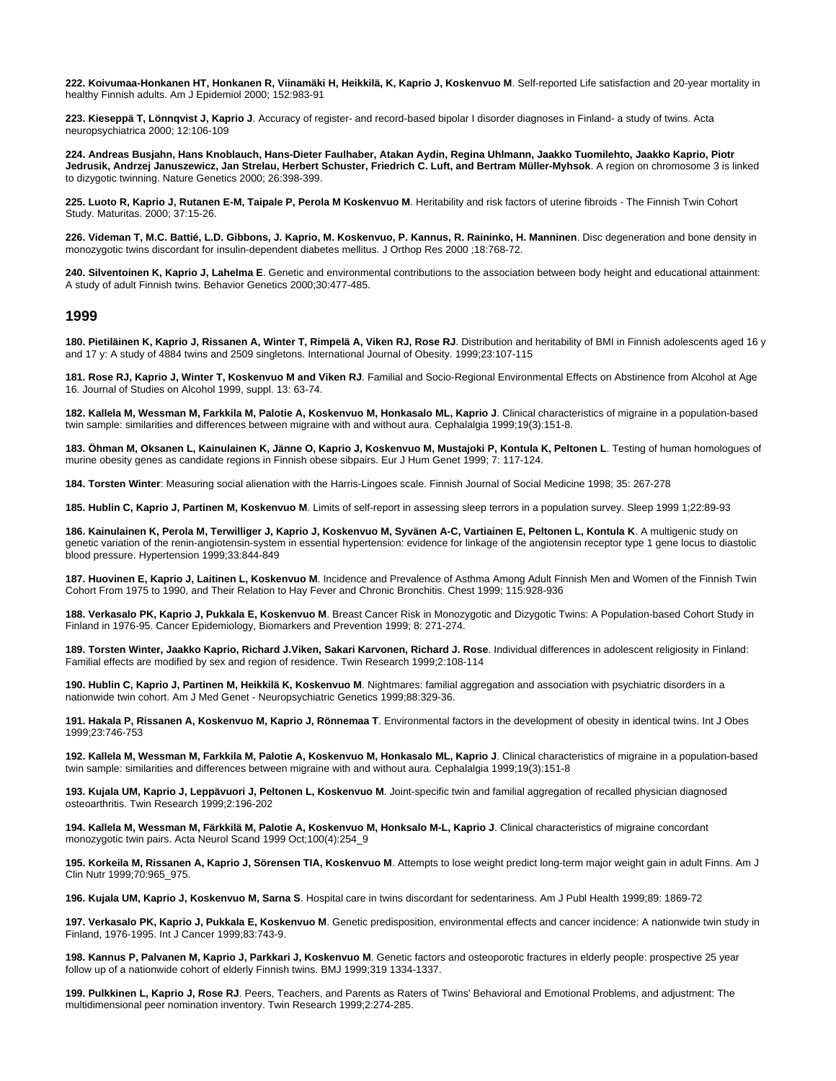**222. Koivumaa-Honkanen HT, Honkanen R, Viinamäki H, Heikkilä, K, Kaprio J, Koskenvuo M**. Self-reported Life satisfaction and 20-year mortality in healthy Finnish adults. Am J Epidemiol 2000; 152:983-91

**223. Kieseppä T, Lönnqvist J, Kaprio J**. Accuracy of register- and record-based bipolar I disorder diagnoses in Finland- a study of twins. Acta neuropsychiatrica 2000; 12:106-109

**224. Andreas Busjahn, Hans Knoblauch, Hans-Dieter Faulhaber, Atakan Aydin, Regina Uhlmann, Jaakko Tuomilehto, Jaakko Kaprio, Piotr Jedrusik, Andrzej Januszewicz, Jan Strelau, Herbert Schuster, Friedrich C. Luft, and Bertram Müller-Myhsok**. A region on chromosome 3 is linked to dizygotic twinning. Nature Genetics 2000; 26:398-399.

**225. Luoto R, Kaprio J, Rutanen E-M, Taipale P, Perola M Koskenvuo M**. Heritability and risk factors of uterine fibroids - The Finnish Twin Cohort Study. Maturitas. 2000; 37:15-26.

**226. Videman T, M.C. Battié, L.D. Gibbons, J. Kaprio, M. Koskenvuo, P. Kannus, R. Raininko, H. Manninen**. Disc degeneration and bone density in monozygotic twins discordant for insulin-dependent diabetes mellitus. J Orthop Res 2000 ;18:768-72.

**240. Silventoinen K, Kaprio J, Lahelma E**. Genetic and environmental contributions to the association between body height and educational attainment: A study of adult Finnish twins. Behavior Genetics 2000;30:477-485.

#### <span id="page-20-0"></span>**1999**

**180. Pietiläinen K, Kaprio J, Rissanen A, Winter T, Rimpelä A, Viken RJ, Rose RJ**. Distribution and heritability of BMI in Finnish adolescents aged 16 y and 17 y: A study of 4884 twins and 2509 singletons. International Journal of Obesity. 1999;23:107-115

**181. Rose RJ, Kaprio J, Winter T, Koskenvuo M and Viken RJ**. Familial and Socio-Regional Environmental Effects on Abstinence from Alcohol at Age 16. Journal of Studies on Alcohol 1999, suppl. 13: 63-74.

**182. Kallela M, Wessman M, Farkkila M, Palotie A, Koskenvuo M, Honkasalo ML, Kaprio J**. Clinical characteristics of migraine in a population-based twin sample: similarities and differences between migraine with and without aura. Cephalalgia 1999;19(3):151-8.

**183. Öhman M, Oksanen L, Kainulainen K, Jänne O, Kaprio J, Koskenvuo M, Mustajoki P, Kontula K, Peltonen L**. Testing of human homologues of murine obesity genes as candidate regions in Finnish obese sibpairs. Eur J Hum Genet 1999; 7: 117-124.

**184. Torsten Winter**: Measuring social alienation with the Harris-Lingoes scale. Finnish Journal of Social Medicine 1998; 35: 267-278

**185. Hublin C, Kaprio J, Partinen M, Koskenvuo M**. Limits of self-report in assessing sleep terrors in a population survey. Sleep 1999 1;22:89-93

**186. Kainulainen K, Perola M, Terwilliger J, Kaprio J, Koskenvuo M, Syvänen A-C, Vartiainen E, Peltonen L, Kontula K**. A multigenic study on genetic variation of the renin-angiotensin-system in essential hypertension: evidence for linkage of the angiotensin receptor type 1 gene locus to diastolic blood pressure. Hypertension 1999;33:844-849

**187. Huovinen E, Kaprio J, Laitinen L, Koskenvuo M**. Incidence and Prevalence of Asthma Among Adult Finnish Men and Women of the Finnish Twin Cohort From 1975 to 1990, and Their Relation to Hay Fever and Chronic Bronchitis. Chest 1999; 115:928-936

**188. Verkasalo PK, Kaprio J, Pukkala E, Koskenvuo M**. Breast Cancer Risk in Monozygotic and Dizygotic Twins: A Population-based Cohort Study in Finland in 1976-95. Cancer Epidemiology, Biomarkers and Prevention 1999; 8: 271-274.

**189. Torsten Winter, Jaakko Kaprio, Richard J.Viken, Sakari Karvonen, Richard J. Rose**. Individual differences in adolescent religiosity in Finland: Familial effects are modified by sex and region of residence. Twin Research 1999;2:108-114

**190. Hublin C, Kaprio J, Partinen M, Heikkilä K, Koskenvuo M**. Nightmares: familial aggregation and association with psychiatric disorders in a nationwide twin cohort. Am J Med Genet - Neuropsychiatric Genetics 1999;88:329-36.

**191. Hakala P, Rissanen A, Koskenvuo M, Kaprio J, Rönnemaa T**. Environmental factors in the development of obesity in identical twins. Int J Obes 1999;23:746-753

**192. Kallela M, Wessman M, Farkkila M, Palotie A, Koskenvuo M, Honkasalo ML, Kaprio J**. Clinical characteristics of migraine in a population-based twin sample: similarities and differences between migraine with and without aura. Cephalalgia 1999;19(3):151-8

**193. Kujala UM, Kaprio J, Leppävuori J, Peltonen L, Koskenvuo M**. Joint-specific twin and familial aggregation of recalled physician diagnosed osteoarthritis. Twin Research 1999;2:196-202

**194. Kallela M, Wessman M, Färkkilä M, Palotie A, Koskenvuo M, Honksalo M-L, Kaprio J**. Clinical characteristics of migraine concordant monozygotic twin pairs. Acta Neurol Scand 1999 Oct;100(4):254\_9

**195. Korkeila M, Rissanen A, Kaprio J, Sörensen TIA, Koskenvuo M**. Attempts to lose weight predict long-term major weight gain in adult Finns. Am J Clin Nutr 1999;70:965\_975.

**196. Kujala UM, Kaprio J, Koskenvuo M, Sarna S**. Hospital care in twins discordant for sedentariness. Am J Publ Health 1999;89: 1869-72

**197. Verkasalo PK, Kaprio J, Pukkala E, Koskenvuo M**. Genetic predisposition, environmental effects and cancer incidence: A nationwide twin study in Finland, 1976-1995. Int J Cancer 1999;83:743-9.

**198. Kannus P, Palvanen M, Kaprio J, Parkkari J, Koskenvuo M**. Genetic factors and osteoporotic fractures in elderly people: prospective 25 year follow up of a nationwide cohort of elderly Finnish twins. BMJ 1999;319 1334-1337.

**199. Pulkkinen L, Kaprio J, Rose RJ**. Peers, Teachers, and Parents as Raters of Twins' Behavioral and Emotional Problems, and adjustment: The multidimensional peer nomination inventory. Twin Research 1999;2:274-285.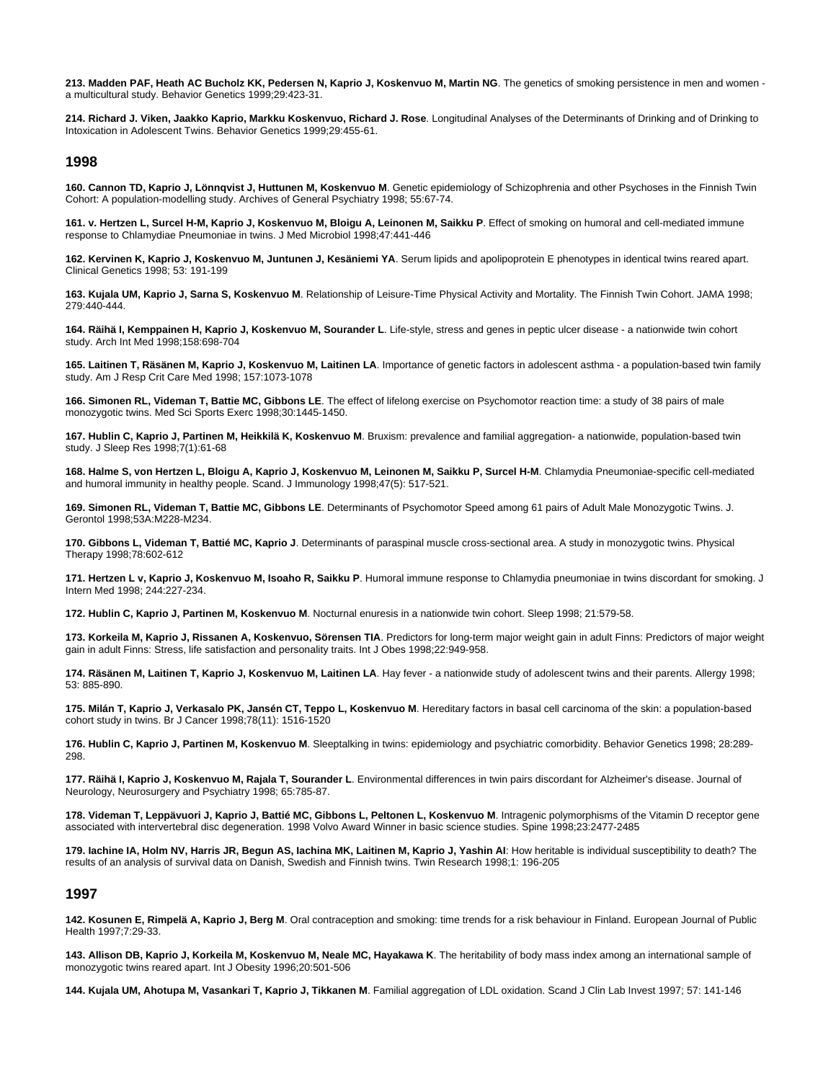**213. Madden PAF, Heath AC Bucholz KK, Pedersen N, Kaprio J, Koskenvuo M, Martin NG**. The genetics of smoking persistence in men and women a multicultural study. Behavior Genetics 1999;29:423-31.

**214. Richard J. Viken, Jaakko Kaprio, Markku Koskenvuo, Richard J. Rose**. Longitudinal Analyses of the Determinants of Drinking and of Drinking to Intoxication in Adolescent Twins. Behavior Genetics 1999;29:455-61.

#### <span id="page-21-0"></span>**1998**

**160. Cannon TD, Kaprio J, Lönnqvist J, Huttunen M, Koskenvuo M**. Genetic epidemiology of Schizophrenia and other Psychoses in the Finnish Twin Cohort: A population-modelling study. Archives of General Psychiatry 1998; 55:67-74.

**161. v. Hertzen L, Surcel H-M, Kaprio J, Koskenvuo M, Bloigu A, Leinonen M, Saikku P**. Effect of smoking on humoral and cell-mediated immune response to Chlamydiae Pneumoniae in twins. J Med Microbiol 1998;47:441-446

**162. Kervinen K, Kaprio J, Koskenvuo M, Juntunen J, Kesäniemi YA**. Serum lipids and apolipoprotein E phenotypes in identical twins reared apart. Clinical Genetics 1998; 53: 191-199

**163. Kujala UM, Kaprio J, Sarna S, Koskenvuo M**. Relationship of Leisure-Time Physical Activity and Mortality. The Finnish Twin Cohort. JAMA 1998; 279:440-444.

**164. Räihä I, Kemppainen H, Kaprio J, Koskenvuo M, Sourander L**. Life-style, stress and genes in peptic ulcer disease - a nationwide twin cohort study. Arch Int Med 1998;158:698-704

**165. Laitinen T, Räsänen M, Kaprio J, Koskenvuo M, Laitinen LA**. Importance of genetic factors in adolescent asthma - a population-based twin family study. Am J Resp Crit Care Med 1998; 157:1073-1078

**166. Simonen RL, Videman T, Battie MC, Gibbons LE**. The effect of lifelong exercise on Psychomotor reaction time: a study of 38 pairs of male monozygotic twins. Med Sci Sports Exerc 1998;30:1445-1450.

**167. Hublin C, Kaprio J, Partinen M, Heikkilä K, Koskenvuo M**. Bruxism: prevalence and familial aggregation- a nationwide, population-based twin study. J Sleep Res 1998;7(1):61-68

**168. Halme S, von Hertzen L, Bloigu A, Kaprio J, Koskenvuo M, Leinonen M, Saikku P, Surcel H-M**. Chlamydia Pneumoniae-specific cell-mediated and humoral immunity in healthy people. Scand. J Immunology 1998;47(5): 517-521.

**169. Simonen RL, Videman T, Battie MC, Gibbons LE**. Determinants of Psychomotor Speed among 61 pairs of Adult Male Monozygotic Twins. J. Gerontol 1998;53A:M228-M234.

**170. Gibbons L, Videman T, Battié MC, Kaprio J**. Determinants of paraspinal muscle cross-sectional area. A study in monozygotic twins. Physical Therapy 1998;78:602-612

**171. Hertzen L v, Kaprio J, Koskenvuo M, Isoaho R, Saikku P**. Humoral immune response to Chlamydia pneumoniae in twins discordant for smoking. J Intern Med 1998; 244:227-234.

**172. Hublin C, Kaprio J, Partinen M, Koskenvuo M**. Nocturnal enuresis in a nationwide twin cohort. Sleep 1998; 21:579-58.

**173. Korkeila M, Kaprio J, Rissanen A, Koskenvuo, Sörensen TIA**. Predictors for long-term major weight gain in adult Finns: Predictors of major weight gain in adult Finns: Stress, life satisfaction and personality traits. Int J Obes 1998;22:949-958.

**174. Räsänen M, Laitinen T, Kaprio J, Koskenvuo M, Laitinen LA**. Hay fever - a nationwide study of adolescent twins and their parents. Allergy 1998; 53: 885-890.

**175. Milán T, Kaprio J, Verkasalo PK, Jansén CT, Teppo L, Koskenvuo M**. Hereditary factors in basal cell carcinoma of the skin: a population-based cohort study in twins. Br J Cancer 1998;78(11): 1516-1520

**176. Hublin C, Kaprio J, Partinen M, Koskenvuo M**. Sleeptalking in twins: epidemiology and psychiatric comorbidity. Behavior Genetics 1998; 28:289- 298.

**177. Räihä I, Kaprio J, Koskenvuo M, Rajala T, Sourander L**. Environmental differences in twin pairs discordant for Alzheimer's disease. Journal of Neurology, Neurosurgery and Psychiatry 1998; 65:785-87.

**178. Videman T, Leppävuori J, Kaprio J, Battié MC, Gibbons L, Peltonen L, Koskenvuo M**. Intragenic polymorphisms of the Vitamin D receptor gene associated with intervertebral disc degeneration. 1998 Volvo Award Winner in basic science studies. Spine 1998;23:2477-2485

**179. Iachine IA, Holm NV, Harris JR, Begun AS, Iachina MK, Laitinen M, Kaprio J, Yashin AI**: How heritable is individual susceptibility to death? The results of an analysis of survival data on Danish, Swedish and Finnish twins. Twin Research 1998;1: 196-205

# <span id="page-21-1"></span>**1997**

**142. Kosunen E, Rimpelä A, Kaprio J, Berg M**. Oral contraception and smoking: time trends for a risk behaviour in Finland. European Journal of Public Health 1997;7:29-33.

**143. Allison DB, Kaprio J, Korkeila M, Koskenvuo M, Neale MC, Hayakawa K**. The heritability of body mass index among an international sample of monozygotic twins reared apart. Int J Obesity 1996;20:501-506

**144. Kujala UM, Ahotupa M, Vasankari T, Kaprio J, Tikkanen M**. Familial aggregation of LDL oxidation. Scand J Clin Lab Invest 1997; 57: 141-146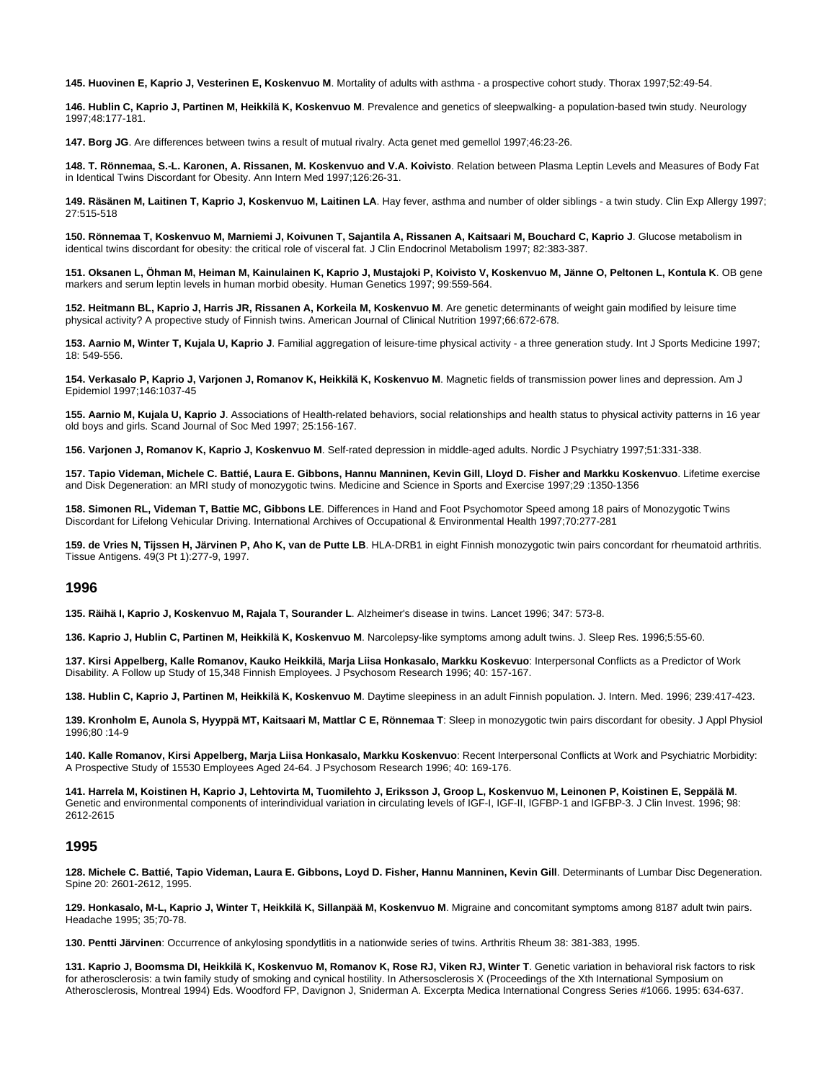**145. Huovinen E, Kaprio J, Vesterinen E, Koskenvuo M**. Mortality of adults with asthma - a prospective cohort study. Thorax 1997;52:49-54.

**146. Hublin C, Kaprio J, Partinen M, Heikkilä K, Koskenvuo M**. Prevalence and genetics of sleepwalking- a population-based twin study. Neurology 1997;48:177-181.

**147. Borg JG**. Are differences between twins a result of mutual rivalry. Acta genet med gemellol 1997;46:23-26.

**148. T. Rönnemaa, S.-L. Karonen, A. Rissanen, M. Koskenvuo and V.A. Koivisto**. Relation between Plasma Leptin Levels and Measures of Body Fat in Identical Twins Discordant for Obesity. Ann Intern Med 1997;126:26-31.

**149. Räsänen M, Laitinen T, Kaprio J, Koskenvuo M, Laitinen LA**. Hay fever, asthma and number of older siblings - a twin study. Clin Exp Allergy 1997; 27:515-518

**150. Rönnemaa T, Koskenvuo M, Marniemi J, Koivunen T, Sajantila A, Rissanen A, Kaitsaari M, Bouchard C, Kaprio J**. Glucose metabolism in identical twins discordant for obesity: the critical role of visceral fat. J Clin Endocrinol Metabolism 1997; 82:383-387.

**151. Oksanen L, Öhman M, Heiman M, Kainulainen K, Kaprio J, Mustajoki P, Koivisto V, Koskenvuo M, Jänne O, Peltonen L, Kontula K**. OB gene markers and serum leptin levels in human morbid obesity. Human Genetics 1997; 99:559-564.

**152. Heitmann BL, Kaprio J, Harris JR, Rissanen A, Korkeila M, Koskenvuo M**. Are genetic determinants of weight gain modified by leisure time physical activity? A propective study of Finnish twins. American Journal of Clinical Nutrition 1997;66:672-678.

**153. Aarnio M, Winter T, Kujala U, Kaprio J**. Familial aggregation of leisure-time physical activity - a three generation study. Int J Sports Medicine 1997; 18: 549-556.

**154. Verkasalo P, Kaprio J, Varjonen J, Romanov K, Heikkilä K, Koskenvuo M**. Magnetic fields of transmission power lines and depression. Am J Epidemiol 1997;146:1037-45

**155. Aarnio M, Kujala U, Kaprio J**. Associations of Health-related behaviors, social relationships and health status to physical activity patterns in 16 year old boys and girls. Scand Journal of Soc Med 1997; 25:156-167.

**156. Varjonen J, Romanov K, Kaprio J, Koskenvuo M**. Self-rated depression in middle-aged adults. Nordic J Psychiatry 1997;51:331-338.

**157. Tapio Videman, Michele C. Battié, Laura E. Gibbons, Hannu Manninen, Kevin Gill, Lloyd D. Fisher and Markku Koskenvuo**. Lifetime exercise and Disk Degeneration: an MRI study of monozygotic twins. Medicine and Science in Sports and Exercise 1997;29 :1350-1356

**158. Simonen RL, Videman T, Battie MC, Gibbons LE**. Differences in Hand and Foot Psychomotor Speed among 18 pairs of Monozygotic Twins Discordant for Lifelong Vehicular Driving. International Archives of Occupational & Environmental Health 1997;70:277-281

**159. de Vries N, Tijssen H, Järvinen P, Aho K, van de Putte LB**. HLA-DRB1 in eight Finnish monozygotic twin pairs concordant for rheumatoid arthritis. Tissue Antigens. 49(3 Pt 1):277-9, 1997.

### <span id="page-22-0"></span>**1996**

**135. Räihä I, Kaprio J, Koskenvuo M, Rajala T, Sourander L**. Alzheimer's disease in twins. Lancet 1996; 347: 573-8.

**136. Kaprio J, Hublin C, Partinen M, Heikkilä K, Koskenvuo M**. Narcolepsy-like symptoms among adult twins. J. Sleep Res. 1996;5:55-60.

**137. Kirsi Appelberg, Kalle Romanov, Kauko Heikkilä, Marja Liisa Honkasalo, Markku Koskevuo**: Interpersonal Conflicts as a Predictor of Work Disability. A Follow up Study of 15,348 Finnish Employees. J Psychosom Research 1996; 40: 157-167.

**138. Hublin C, Kaprio J, Partinen M, Heikkilä K, Koskenvuo M**. Daytime sleepiness in an adult Finnish population. J. Intern. Med. 1996; 239:417-423.

**139. Kronholm E, Aunola S, Hyyppä MT, Kaitsaari M, Mattlar C E, Rönnemaa T**: Sleep in monozygotic twin pairs discordant for obesity. J Appl Physiol 1996;80 :14-9

**140. Kalle Romanov, Kirsi Appelberg, Marja Liisa Honkasalo, Markku Koskenvuo**: Recent Interpersonal Conflicts at Work and Psychiatric Morbidity: A Prospective Study of 15530 Employees Aged 24-64. J Psychosom Research 1996; 40: 169-176.

**141. Harrela M, Koistinen H, Kaprio J, Lehtovirta M, Tuomilehto J, Eriksson J, Groop L, Koskenvuo M, Leinonen P, Koistinen E, Seppälä M**. Genetic and environmental components of interindividual variation in circulating levels of IGF-I, IGF-II, IGFBP-1 and IGFBP-3. J Clin Invest. 1996; 98: 2612-2615

# <span id="page-22-1"></span>**1995**

**128. Michele C. Battié, Tapio Videman, Laura E. Gibbons, Loyd D. Fisher, Hannu Manninen, Kevin Gill**. Determinants of Lumbar Disc Degeneration. Spine 20: 2601-2612, 1995.

**129. Honkasalo, M-L, Kaprio J, Winter T, Heikkilä K, Sillanpää M, Koskenvuo M**. Migraine and concomitant symptoms among 8187 adult twin pairs. Headache 1995; 35;70-78.

**130. Pentti Järvinen**: Occurrence of ankylosing spondytlitis in a nationwide series of twins. Arthritis Rheum 38: 381-383, 1995.

**131. Kaprio J, Boomsma DI, Heikkilä K, Koskenvuo M, Romanov K, Rose RJ, Viken RJ, Winter T**. Genetic variation in behavioral risk factors to risk for atherosclerosis: a twin family study of smoking and cynical hostility. In Athersosclerosis X (Proceedings of the Xth International Symposium on Atherosclerosis, Montreal 1994) Eds. Woodford FP, Davignon J, Sniderman A. Excerpta Medica International Congress Series #1066. 1995: 634-637.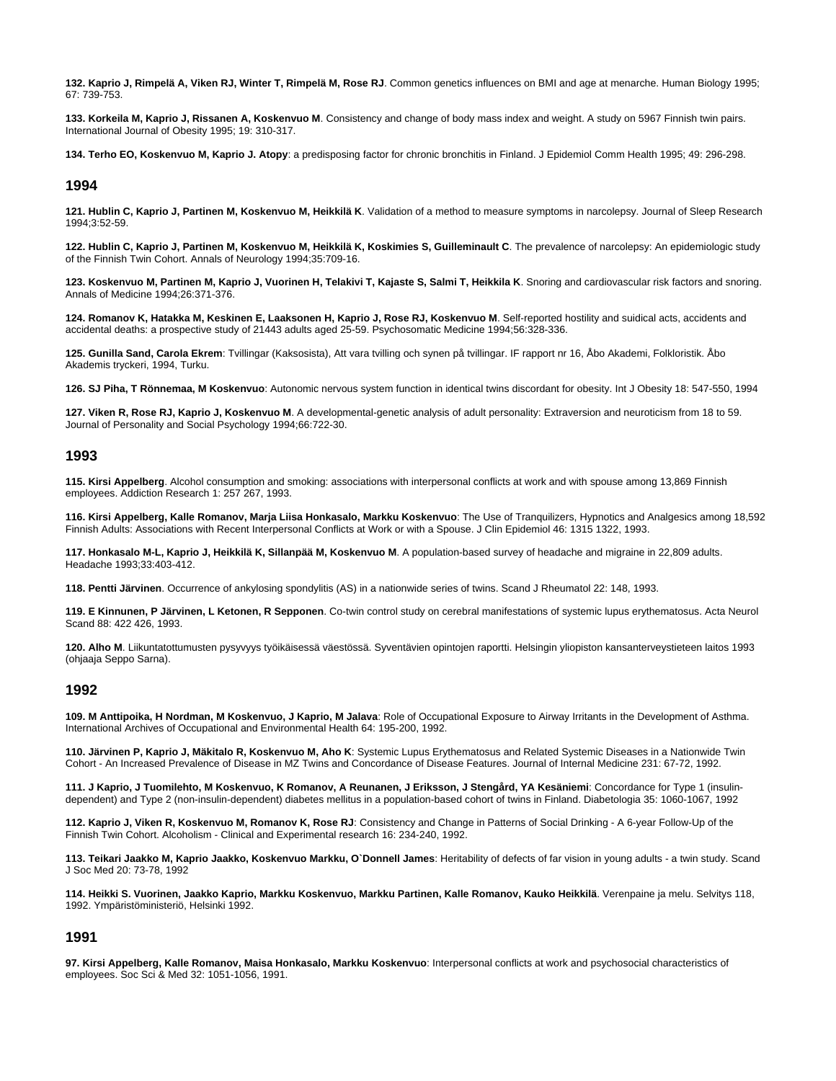**132. Kaprio J, Rimpelä A, Viken RJ, Winter T, Rimpelä M, Rose RJ**. Common genetics influences on BMI and age at menarche. Human Biology 1995; 67: 739-753.

**133. Korkeila M, Kaprio J, Rissanen A, Koskenvuo M**. Consistency and change of body mass index and weight. A study on 5967 Finnish twin pairs. International Journal of Obesity 1995; 19: 310-317.

**134. Terho EO, Koskenvuo M, Kaprio J. Atopy**: a predisposing factor for chronic bronchitis in Finland. J Epidemiol Comm Health 1995; 49: 296-298.

#### <span id="page-23-0"></span>**1994**

**121. Hublin C, Kaprio J, Partinen M, Koskenvuo M, Heikkilä K**. Validation of a method to measure symptoms in narcolepsy. Journal of Sleep Research 1994;3:52-59.

**122. Hublin C, Kaprio J, Partinen M, Koskenvuo M, Heikkilä K, Koskimies S, Guilleminault C**. The prevalence of narcolepsy: An epidemiologic study of the Finnish Twin Cohort. Annals of Neurology 1994;35:709-16.

**123. Koskenvuo M, Partinen M, Kaprio J, Vuorinen H, Telakivi T, Kajaste S, Salmi T, Heikkila K**. Snoring and cardiovascular risk factors and snoring. Annals of Medicine 1994;26:371-376.

**124. Romanov K, Hatakka M, Keskinen E, Laaksonen H, Kaprio J, Rose RJ, Koskenvuo M**. Self-reported hostility and suidical acts, accidents and accidental deaths: a prospective study of 21443 adults aged 25-59. Psychosomatic Medicine 1994;56:328-336.

**125. Gunilla Sand, Carola Ekrem**: Tvillingar (Kaksosista), Att vara tvilling och synen på tvillingar. IF rapport nr 16, Åbo Akademi, Folkloristik. Åbo Akademis tryckeri, 1994, Turku.

**126. SJ Piha, T Rönnemaa, M Koskenvuo**: Autonomic nervous system function in identical twins discordant for obesity. Int J Obesity 18: 547-550, 1994

**127. Viken R, Rose RJ, Kaprio J, Koskenvuo M**. A developmental-genetic analysis of adult personality: Extraversion and neuroticism from 18 to 59. Journal of Personality and Social Psychology 1994;66:722-30.

#### <span id="page-23-1"></span>**1993**

**115. Kirsi Appelberg**. Alcohol consumption and smoking: associations with interpersonal conflicts at work and with spouse among 13,869 Finnish employees. Addiction Research 1: 257 267, 1993.

**116. Kirsi Appelberg, Kalle Romanov, Marja Liisa Honkasalo, Markku Koskenvuo**: The Use of Tranquilizers, Hypnotics and Analgesics among 18,592 Finnish Adults: Associations with Recent Interpersonal Conflicts at Work or with a Spouse. J Clin Epidemiol 46: 1315 1322, 1993.

**117. Honkasalo M-L, Kaprio J, Heikkilä K, Sillanpää M, Koskenvuo M**. A population-based survey of headache and migraine in 22,809 adults. Headache 1993;33:403-412.

**118. Pentti Järvinen**. Occurrence of ankylosing spondylitis (AS) in a nationwide series of twins. Scand J Rheumatol 22: 148, 1993.

**119. E Kinnunen, P Järvinen, L Ketonen, R Sepponen**. Co-twin control study on cerebral manifestations of systemic lupus erythematosus. Acta Neurol Scand 88: 422 426, 1993.

**120. Alho M**. Liikuntatottumusten pysyvyys työikäisessä väestössä. Syventävien opintojen raportti. Helsingin yliopiston kansanterveystieteen laitos 1993 (ohjaaja Seppo Sarna).

# <span id="page-23-2"></span>**1992**

**109. M Anttipoika, H Nordman, M Koskenvuo, J Kaprio, M Jalava**: Role of Occupational Exposure to Airway Irritants in the Development of Asthma. International Archives of Occupational and Environmental Health 64: 195-200, 1992.

**110. Järvinen P, Kaprio J, Mäkitalo R, Koskenvuo M, Aho K**: Systemic Lupus Erythematosus and Related Systemic Diseases in a Nationwide Twin Cohort - An Increased Prevalence of Disease in MZ Twins and Concordance of Disease Features. Journal of Internal Medicine 231: 67-72, 1992.

**111. J Kaprio, J Tuomilehto, M Koskenvuo, K Romanov, A Reunanen, J Eriksson, J Stengård, YA Kesäniemi**: Concordance for Type 1 (insulindependent) and Type 2 (non-insulin-dependent) diabetes mellitus in a population-based cohort of twins in Finland. Diabetologia 35: 1060-1067, 1992

**112. Kaprio J, Viken R, Koskenvuo M, Romanov K, Rose RJ**: Consistency and Change in Patterns of Social Drinking - A 6-year Follow-Up of the Finnish Twin Cohort. Alcoholism - Clinical and Experimental research 16: 234-240, 1992.

**113. Teikari Jaakko M, Kaprio Jaakko, Koskenvuo Markku, O`Donnell James**: Heritability of defects of far vision in young adults - a twin study. Scand J Soc Med 20: 73-78, 1992

**114. Heikki S. Vuorinen, Jaakko Kaprio, Markku Koskenvuo, Markku Partinen, Kalle Romanov, Kauko Heikkilä**. Verenpaine ja melu. Selvitys 118, 1992. Ympäristöministeriö, Helsinki 1992.

# <span id="page-23-3"></span>**1991**

**97. Kirsi Appelberg, Kalle Romanov, Maisa Honkasalo, Markku Koskenvuo**: Interpersonal conflicts at work and psychosocial characteristics of employees. Soc Sci & Med 32: 1051-1056, 1991.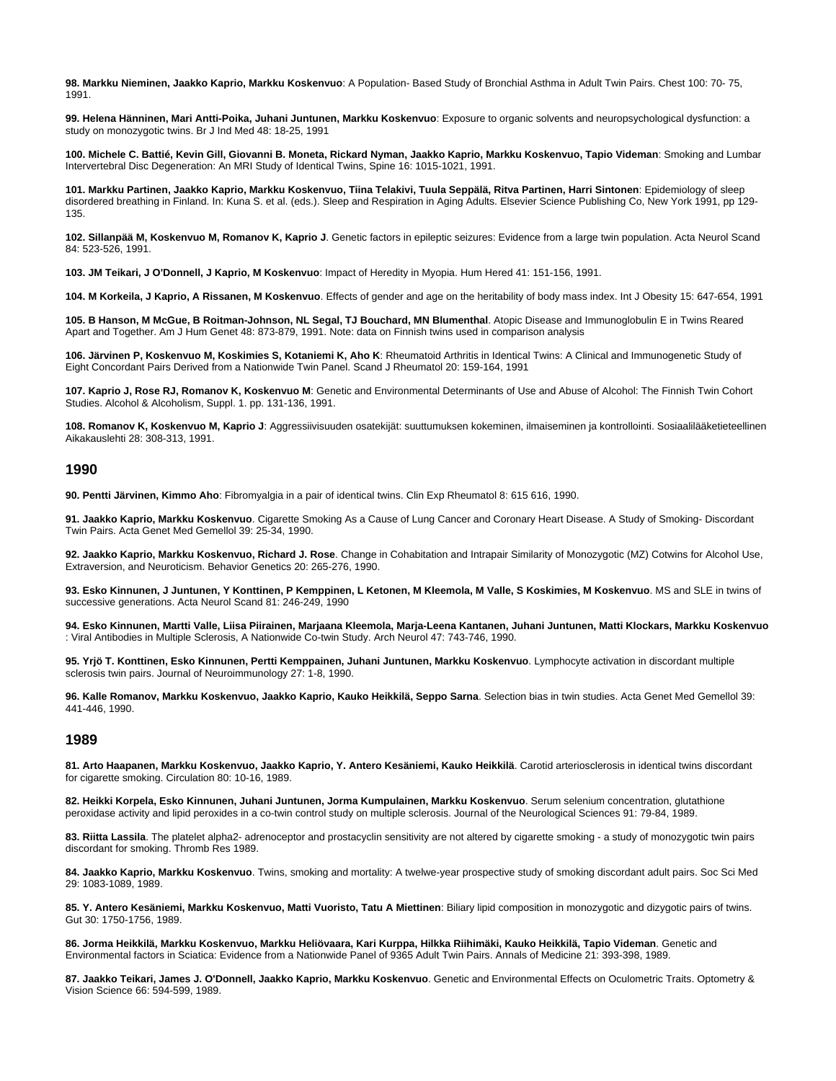**98. Markku Nieminen, Jaakko Kaprio, Markku Koskenvuo**: A Population- Based Study of Bronchial Asthma in Adult Twin Pairs. Chest 100: 70- 75, 1991.

**99. Helena Hänninen, Mari Antti-Poika, Juhani Juntunen, Markku Koskenvuo**: Exposure to organic solvents and neuropsychological dysfunction: a study on monozygotic twins. Br J Ind Med 48: 18-25, 1991

**100. Michele C. Battié, Kevin Gill, Giovanni B. Moneta, Rickard Nyman, Jaakko Kaprio, Markku Koskenvuo, Tapio Videman**: Smoking and Lumbar Intervertebral Disc Degeneration: An MRI Study of Identical Twins, Spine 16: 1015-1021, 1991.

**101. Markku Partinen, Jaakko Kaprio, Markku Koskenvuo, Tiina Telakivi, Tuula Seppälä, Ritva Partinen, Harri Sintonen**: Epidemiology of sleep disordered breathing in Finland. In: Kuna S. et al. (eds.). Sleep and Respiration in Aging Adults. Elsevier Science Publishing Co, New York 1991, pp 129- 135.

**102. Sillanpää M, Koskenvuo M, Romanov K, Kaprio J**. Genetic factors in epileptic seizures: Evidence from a large twin population. Acta Neurol Scand 84: 523-526, 1991.

**103. JM Teikari, J O'Donnell, J Kaprio, M Koskenvuo**: Impact of Heredity in Myopia. Hum Hered 41: 151-156, 1991.

**104. M Korkeila, J Kaprio, A Rissanen, M Koskenvuo**. Effects of gender and age on the heritability of body mass index. Int J Obesity 15: 647-654, 1991

**105. B Hanson, M McGue, B Roitman-Johnson, NL Segal, TJ Bouchard, MN Blumenthal**. Atopic Disease and Immunoglobulin E in Twins Reared Apart and Together. Am J Hum Genet 48: 873-879, 1991. Note: data on Finnish twins used in comparison analysis

**106. Järvinen P, Koskenvuo M, Koskimies S, Kotaniemi K, Aho K**: Rheumatoid Arthritis in Identical Twins: A Clinical and Immunogenetic Study of Eight Concordant Pairs Derived from a Nationwide Twin Panel. Scand J Rheumatol 20: 159-164, 1991

**107. Kaprio J, Rose RJ, Romanov K, Koskenvuo M**: Genetic and Environmental Determinants of Use and Abuse of Alcohol: The Finnish Twin Cohort Studies. Alcohol & Alcoholism, Suppl. 1. pp. 131-136, 1991.

**108. Romanov K, Koskenvuo M, Kaprio J**: Aggressiivisuuden osatekijät: suuttumuksen kokeminen, ilmaiseminen ja kontrollointi. Sosiaalilääketieteellinen Aikakauslehti 28: 308-313, 1991.

### <span id="page-24-0"></span>**1990**

**90. Pentti Järvinen, Kimmo Aho**: Fibromyalgia in a pair of identical twins. Clin Exp Rheumatol 8: 615 616, 1990.

**91. Jaakko Kaprio, Markku Koskenvuo**. Cigarette Smoking As a Cause of Lung Cancer and Coronary Heart Disease. A Study of Smoking- Discordant Twin Pairs. Acta Genet Med Gemellol 39: 25-34, 1990.

**92. Jaakko Kaprio, Markku Koskenvuo, Richard J. Rose**. Change in Cohabitation and Intrapair Similarity of Monozygotic (MZ) Cotwins for Alcohol Use, Extraversion, and Neuroticism. Behavior Genetics 20: 265-276, 1990.

**93. Esko Kinnunen, J Juntunen, Y Konttinen, P Kemppinen, L Ketonen, M Kleemola, M Valle, S Koskimies, M Koskenvuo**. MS and SLE in twins of successive generations. Acta Neurol Scand 81: 246-249, 1990

**94. Esko Kinnunen, Martti Valle, Liisa Piirainen, Marjaana Kleemola, Marja-Leena Kantanen, Juhani Juntunen, Matti Klockars, Markku Koskenvuo** : Viral Antibodies in Multiple Sclerosis, A Nationwide Co-twin Study. Arch Neurol 47: 743-746, 1990.

**95. Yrjö T. Konttinen, Esko Kinnunen, Pertti Kemppainen, Juhani Juntunen, Markku Koskenvuo**. Lymphocyte activation in discordant multiple sclerosis twin pairs. Journal of Neuroimmunology 27: 1-8, 1990.

**96. Kalle Romanov, Markku Koskenvuo, Jaakko Kaprio, Kauko Heikkilä, Seppo Sarna**. Selection bias in twin studies. Acta Genet Med Gemellol 39: 441-446, 1990.

# <span id="page-24-1"></span>**1989**

**81. Arto Haapanen, Markku Koskenvuo, Jaakko Kaprio, Y. Antero Kesäniemi, Kauko Heikkilä**. Carotid arteriosclerosis in identical twins discordant for cigarette smoking. Circulation 80: 10-16, 1989.

**82. Heikki Korpela, Esko Kinnunen, Juhani Juntunen, Jorma Kumpulainen, Markku Koskenvuo**. Serum selenium concentration, glutathione peroxidase activity and lipid peroxides in a co-twin control study on multiple sclerosis. Journal of the Neurological Sciences 91: 79-84, 1989.

**83. Riitta Lassila**. The platelet alpha2- adrenoceptor and prostacyclin sensitivity are not altered by cigarette smoking - a study of monozygotic twin pairs discordant for smoking. Thromb Res 1989.

**84. Jaakko Kaprio, Markku Koskenvuo**. Twins, smoking and mortality: A twelwe-year prospective study of smoking discordant adult pairs. Soc Sci Med 29: 1083-1089, 1989.

**85. Y. Antero Kesäniemi, Markku Koskenvuo, Matti Vuoristo, Tatu A Miettinen**: Biliary lipid composition in monozygotic and dizygotic pairs of twins. Gut 30: 1750-1756, 1989.

**86. Jorma Heikkilä, Markku Koskenvuo, Markku Heliövaara, Kari Kurppa, Hilkka Riihimäki, Kauko Heikkilä, Tapio Videman**. Genetic and Environmental factors in Sciatica: Evidence from a Nationwide Panel of 9365 Adult Twin Pairs. Annals of Medicine 21: 393-398, 1989.

**87. Jaakko Teikari, James J. O'Donnell, Jaakko Kaprio, Markku Koskenvuo**. Genetic and Environmental Effects on Oculometric Traits. Optometry & Vision Science 66: 594-599, 1989.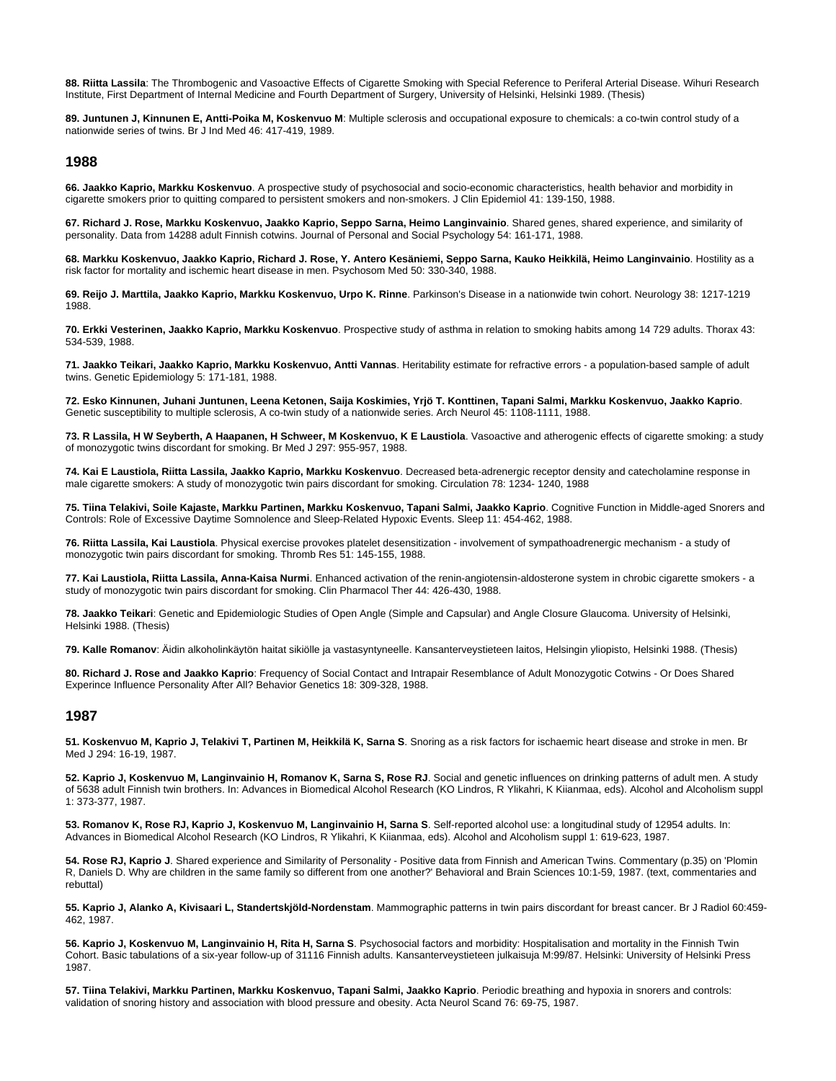**88. Riitta Lassila**: The Thrombogenic and Vasoactive Effects of Cigarette Smoking with Special Reference to Periferal Arterial Disease. Wihuri Research Institute, First Department of Internal Medicine and Fourth Department of Surgery, University of Helsinki, Helsinki 1989. (Thesis)

**89. Juntunen J, Kinnunen E, Antti-Poika M, Koskenvuo M**: Multiple sclerosis and occupational exposure to chemicals: a co-twin control study of a nationwide series of twins. Br J Ind Med 46: 417-419, 1989.

# <span id="page-25-0"></span>**1988**

**66. Jaakko Kaprio, Markku Koskenvuo**. A prospective study of psychosocial and socio-economic characteristics, health behavior and morbidity in cigarette smokers prior to quitting compared to persistent smokers and non-smokers. J Clin Epidemiol 41: 139-150, 1988.

**67. Richard J. Rose, Markku Koskenvuo, Jaakko Kaprio, Seppo Sarna, Heimo Langinvainio**. Shared genes, shared experience, and similarity of personality. Data from 14288 adult Finnish cotwins. Journal of Personal and Social Psychology 54: 161-171, 1988.

**68. Markku Koskenvuo, Jaakko Kaprio, Richard J. Rose, Y. Antero Kesäniemi, Seppo Sarna, Kauko Heikkilä, Heimo Langinvainio**. Hostility as a risk factor for mortality and ischemic heart disease in men. Psychosom Med 50: 330-340, 1988.

**69. Reijo J. Marttila, Jaakko Kaprio, Markku Koskenvuo, Urpo K. Rinne**. Parkinson's Disease in a nationwide twin cohort. Neurology 38: 1217-1219 1988.

**70. Erkki Vesterinen, Jaakko Kaprio, Markku Koskenvuo**. Prospective study of asthma in relation to smoking habits among 14 729 adults. Thorax 43: 534-539, 1988.

**71. Jaakko Teikari, Jaakko Kaprio, Markku Koskenvuo, Antti Vannas**. Heritability estimate for refractive errors - a population-based sample of adult twins. Genetic Epidemiology 5: 171-181, 1988.

**72. Esko Kinnunen, Juhani Juntunen, Leena Ketonen, Saija Koskimies, Yrjö T. Konttinen, Tapani Salmi, Markku Koskenvuo, Jaakko Kaprio**. Genetic susceptibility to multiple sclerosis, A co-twin study of a nationwide series. Arch Neurol 45: 1108-1111, 1988.

**73. R Lassila, H W Seyberth, A Haapanen, H Schweer, M Koskenvuo, K E Laustiola**. Vasoactive and atherogenic effects of cigarette smoking: a study of monozygotic twins discordant for smoking. Br Med J 297: 955-957, 1988.

**74. Kai E Laustiola, Riitta Lassila, Jaakko Kaprio, Markku Koskenvuo**. Decreased beta-adrenergic receptor density and catecholamine response in male cigarette smokers: A study of monozygotic twin pairs discordant for smoking. Circulation 78: 1234- 1240, 1988

**75. Tiina Telakivi, Soile Kajaste, Markku Partinen, Markku Koskenvuo, Tapani Salmi, Jaakko Kaprio**. Cognitive Function in Middle-aged Snorers and Controls: Role of Excessive Daytime Somnolence and Sleep-Related Hypoxic Events. Sleep 11: 454-462, 1988.

**76. Riitta Lassila, Kai Laustiola**. Physical exercise provokes platelet desensitization - involvement of sympathoadrenergic mechanism - a study of monozygotic twin pairs discordant for smoking. Thromb Res 51: 145-155, 1988.

**77. Kai Laustiola, Riitta Lassila, Anna-Kaisa Nurmi**. Enhanced activation of the renin-angiotensin-aldosterone system in chrobic cigarette smokers - a study of monozygotic twin pairs discordant for smoking. Clin Pharmacol Ther 44: 426-430, 1988.

**78. Jaakko Teikari**: Genetic and Epidemiologic Studies of Open Angle (Simple and Capsular) and Angle Closure Glaucoma. University of Helsinki, Helsinki 1988. (Thesis)

**79. Kalle Romanov**: Äidin alkoholinkäytön haitat sikiölle ja vastasyntyneelle. Kansanterveystieteen laitos, Helsingin yliopisto, Helsinki 1988. (Thesis)

**80. Richard J. Rose and Jaakko Kaprio**: Frequency of Social Contact and Intrapair Resemblance of Adult Monozygotic Cotwins - Or Does Shared Experince Influence Personality After All? Behavior Genetics 18: 309-328, 1988.

# <span id="page-25-1"></span>**1987**

**51. Koskenvuo M, Kaprio J, Telakivi T, Partinen M, Heikkilä K, Sarna S**. Snoring as a risk factors for ischaemic heart disease and stroke in men. Br Med J 294: 16-19, 1987.

**52. Kaprio J, Koskenvuo M, Langinvainio H, Romanov K, Sarna S, Rose RJ**. Social and genetic influences on drinking patterns of adult men. A study of 5638 adult Finnish twin brothers. In: Advances in Biomedical Alcohol Research (KO Lindros, R Ylikahri, K Kiianmaa, eds). Alcohol and Alcoholism suppl 1: 373-377, 1987.

**53. Romanov K, Rose RJ, Kaprio J, Koskenvuo M, Langinvainio H, Sarna S**. Self-reported alcohol use: a longitudinal study of 12954 adults. In: Advances in Biomedical Alcohol Research (KO Lindros, R Ylikahri, K Kiianmaa, eds). Alcohol and Alcoholism suppl 1: 619-623, 1987.

**54. Rose RJ, Kaprio J**. Shared experience and Similarity of Personality - Positive data from Finnish and American Twins. Commentary (p.35) on 'Plomin R, Daniels D. Why are children in the same family so different from one another?' Behavioral and Brain Sciences 10:1-59, 1987. (text, commentaries and rebuttal)

**55. Kaprio J, Alanko A, Kivisaari L, Standertskjöld-Nordenstam**. Mammographic patterns in twin pairs discordant for breast cancer. Br J Radiol 60:459- 462, 1987.

**56. Kaprio J, Koskenvuo M, Langinvainio H, Rita H, Sarna S**. Psychosocial factors and morbidity: Hospitalisation and mortality in the Finnish Twin Cohort. Basic tabulations of a six-year follow-up of 31116 Finnish adults. Kansanterveystieteen julkaisuja M:99/87. Helsinki: University of Helsinki Press 1987.

**57. Tiina Telakivi, Markku Partinen, Markku Koskenvuo, Tapani Salmi, Jaakko Kaprio**. Periodic breathing and hypoxia in snorers and controls: validation of snoring history and association with blood pressure and obesity. Acta Neurol Scand 76: 69-75, 1987.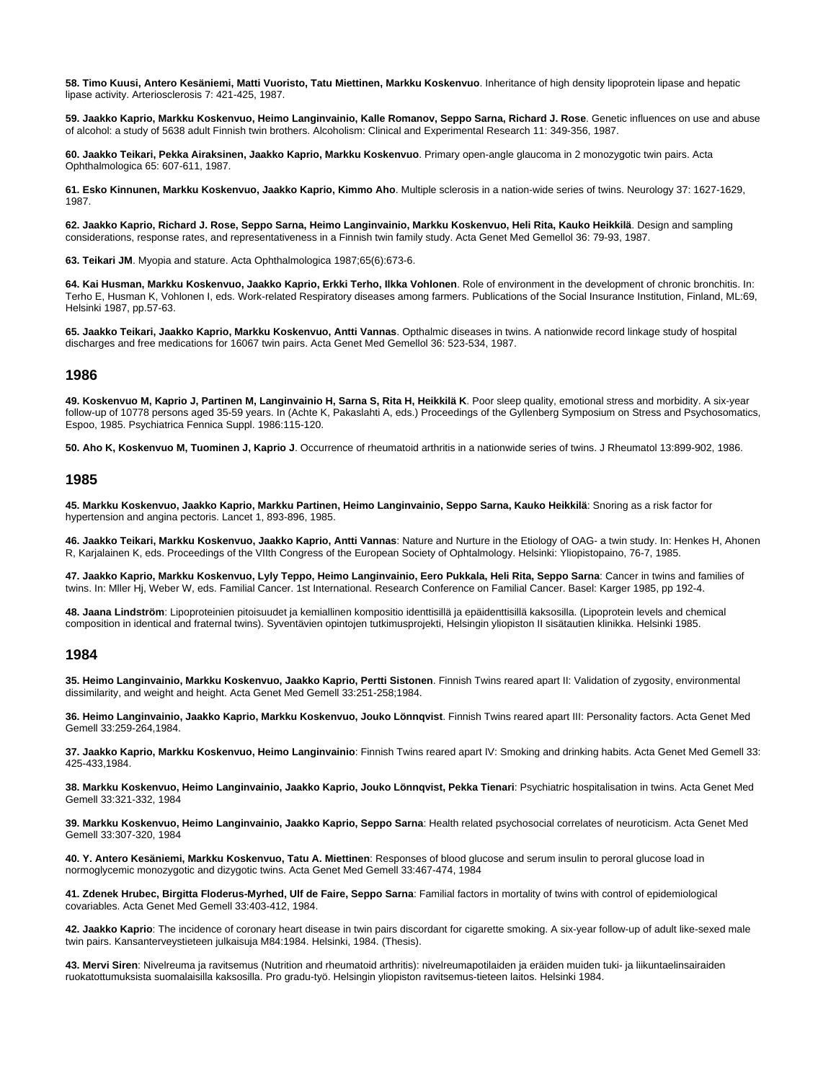**58. Timo Kuusi, Antero Kesäniemi, Matti Vuoristo, Tatu Miettinen, Markku Koskenvuo**. Inheritance of high density lipoprotein lipase and hepatic lipase activity. Arteriosclerosis 7: 421-425, 1987.

**59. Jaakko Kaprio, Markku Koskenvuo, Heimo Langinvainio, Kalle Romanov, Seppo Sarna, Richard J. Rose**. Genetic influences on use and abuse of alcohol: a study of 5638 adult Finnish twin brothers. Alcoholism: Clinical and Experimental Research 11: 349-356, 1987.

**60. Jaakko Teikari, Pekka Airaksinen, Jaakko Kaprio, Markku Koskenvuo**. Primary open-angle glaucoma in 2 monozygotic twin pairs. Acta Ophthalmologica 65: 607-611, 1987.

**61. Esko Kinnunen, Markku Koskenvuo, Jaakko Kaprio, Kimmo Aho**. Multiple sclerosis in a nation-wide series of twins. Neurology 37: 1627-1629, 1987.

**62. Jaakko Kaprio, Richard J. Rose, Seppo Sarna, Heimo Langinvainio, Markku Koskenvuo, Heli Rita, Kauko Heikkilä**. Design and sampling considerations, response rates, and representativeness in a Finnish twin family study. Acta Genet Med Gemellol 36: 79-93, 1987.

**63. Teikari JM**. Myopia and stature. Acta Ophthalmologica 1987;65(6):673-6.

**64. Kai Husman, Markku Koskenvuo, Jaakko Kaprio, Erkki Terho, Ilkka Vohlonen**. Role of environment in the development of chronic bronchitis. In: Terho E, Husman K, Vohlonen I, eds. Work-related Respiratory diseases among farmers. Publications of the Social Insurance Institution, Finland, ML:69, Helsinki 1987, pp.57-63.

**65. Jaakko Teikari, Jaakko Kaprio, Markku Koskenvuo, Antti Vannas**. Opthalmic diseases in twins. A nationwide record linkage study of hospital discharges and free medications for 16067 twin pairs. Acta Genet Med Gemellol 36: 523-534, 1987.

# <span id="page-26-0"></span>**1986**

**49. Koskenvuo M, Kaprio J, Partinen M, Langinvainio H, Sarna S, Rita H, Heikkilä K**. Poor sleep quality, emotional stress and morbidity. A six-year follow-up of 10778 persons aged 35-59 years. In (Achte K, Pakaslahti A, eds.) Proceedings of the Gyllenberg Symposium on Stress and Psychosomatics, Espoo, 1985. Psychiatrica Fennica Suppl. 1986:115-120.

**50. Aho K, Koskenvuo M, Tuominen J, Kaprio J**. Occurrence of rheumatoid arthritis in a nationwide series of twins. J Rheumatol 13:899-902, 1986.

# <span id="page-26-1"></span>**1985**

**45. Markku Koskenvuo, Jaakko Kaprio, Markku Partinen, Heimo Langinvainio, Seppo Sarna, Kauko Heikkilä**: Snoring as a risk factor for hypertension and angina pectoris. Lancet 1, 893-896, 1985.

**46. Jaakko Teikari, Markku Koskenvuo, Jaakko Kaprio, Antti Vannas**: Nature and Nurture in the Etiology of OAG- a twin study. In: Henkes H, Ahonen R, Karjalainen K, eds. Proceedings of the VIIth Congress of the European Society of Ophtalmology. Helsinki: Yliopistopaino, 76-7, 1985.

**47. Jaakko Kaprio, Markku Koskenvuo, Lyly Teppo, Heimo Langinvainio, Eero Pukkala, Heli Rita, Seppo Sarna**: Cancer in twins and families of twins. In: Mller Hj, Weber W, eds. Familial Cancer. 1st International. Research Conference on Familial Cancer. Basel: Karger 1985, pp 192-4.

**48. Jaana Lindström**: Lipoproteinien pitoisuudet ja kemiallinen kompositio identtisillä ja epäidenttisillä kaksosilla. (Lipoprotein levels and chemical composition in identical and fraternal twins). Syventävien opintojen tutkimusprojekti, Helsingin yliopiston II sisätautien klinikka. Helsinki 1985.

# <span id="page-26-2"></span>**1984**

**35. Heimo Langinvainio, Markku Koskenvuo, Jaakko Kaprio, Pertti Sistonen**. Finnish Twins reared apart II: Validation of zygosity, environmental dissimilarity, and weight and height. Acta Genet Med Gemell 33:251-258;1984.

**36. Heimo Langinvainio, Jaakko Kaprio, Markku Koskenvuo, Jouko Lönnqvist**. Finnish Twins reared apart III: Personality factors. Acta Genet Med Gemell 33:259-264,1984.

**37. Jaakko Kaprio, Markku Koskenvuo, Heimo Langinvainio**: Finnish Twins reared apart IV: Smoking and drinking habits. Acta Genet Med Gemell 33: 425-433,1984.

**38. Markku Koskenvuo, Heimo Langinvainio, Jaakko Kaprio, Jouko Lönnqvist, Pekka Tienari**: Psychiatric hospitalisation in twins. Acta Genet Med Gemell 33:321-332, 1984

**39. Markku Koskenvuo, Heimo Langinvainio, Jaakko Kaprio, Seppo Sarna**: Health related psychosocial correlates of neuroticism. Acta Genet Med Gemell 33:307-320, 1984

**40. Y. Antero Kesäniemi, Markku Koskenvuo, Tatu A. Miettinen**: Responses of blood glucose and serum insulin to peroral glucose load in normoglycemic monozygotic and dizygotic twins. Acta Genet Med Gemell 33:467-474, 1984

**41. Zdenek Hrubec, Birgitta Floderus-Myrhed, Ulf de Faire, Seppo Sarna**: Familial factors in mortality of twins with control of epidemiological covariables. Acta Genet Med Gemell 33:403-412, 1984.

**42. Jaakko Kaprio**: The incidence of coronary heart disease in twin pairs discordant for cigarette smoking. A six-year follow-up of adult like-sexed male twin pairs. Kansanterveystieteen julkaisuja M84:1984. Helsinki, 1984. (Thesis).

**43. Mervi Siren**: Nivelreuma ja ravitsemus (Nutrition and rheumatoid arthritis): nivelreumapotilaiden ja eräiden muiden tuki- ja liikuntaelinsairaiden ruokatottumuksista suomalaisilla kaksosilla. Pro gradu-työ. Helsingin yliopiston ravitsemus-tieteen laitos. Helsinki 1984.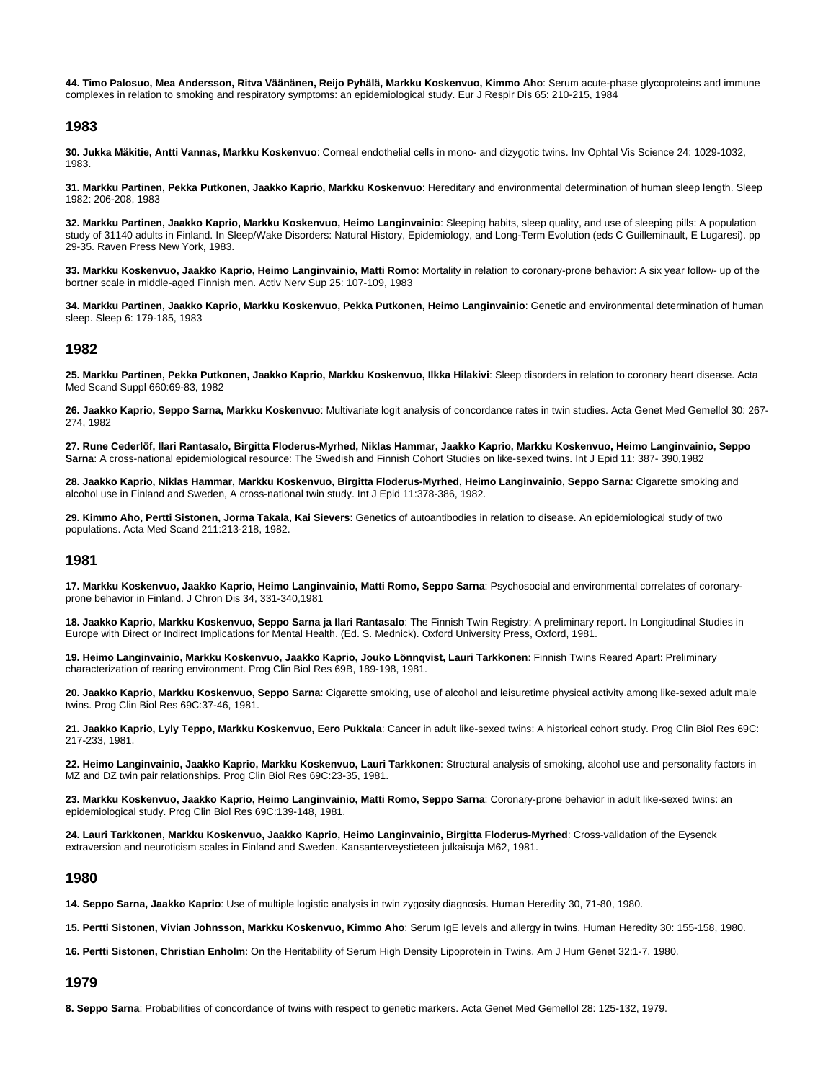**44. Timo Palosuo, Mea Andersson, Ritva Väänänen, Reijo Pyhälä, Markku Koskenvuo, Kimmo Aho**: Serum acute-phase glycoproteins and immune complexes in relation to smoking and respiratory symptoms: an epidemiological study. Eur J Respir Dis 65: 210-215, 1984

# <span id="page-27-0"></span>**1983**

**30. Jukka Mäkitie, Antti Vannas, Markku Koskenvuo**: Corneal endothelial cells in mono- and dizygotic twins. Inv Ophtal Vis Science 24: 1029-1032, 1983.

**31. Markku Partinen, Pekka Putkonen, Jaakko Kaprio, Markku Koskenvuo**: Hereditary and environmental determination of human sleep length. Sleep 1982: 206-208, 1983

**32. Markku Partinen, Jaakko Kaprio, Markku Koskenvuo, Heimo Langinvainio**: Sleeping habits, sleep quality, and use of sleeping pills: A population study of 31140 adults in Finland. In Sleep/Wake Disorders: Natural History, Epidemiology, and Long-Term Evolution (eds C Guilleminault, E Lugaresi). pp 29-35. Raven Press New York, 1983.

**33. Markku Koskenvuo, Jaakko Kaprio, Heimo Langinvainio, Matti Romo**: Mortality in relation to coronary-prone behavior: A six year follow- up of the bortner scale in middle-aged Finnish men. Activ Nerv Sup 25: 107-109, 1983

**34. Markku Partinen, Jaakko Kaprio, Markku Koskenvuo, Pekka Putkonen, Heimo Langinvainio**: Genetic and environmental determination of human sleep. Sleep 6: 179-185, 1983

# <span id="page-27-1"></span>**1982**

**25. Markku Partinen, Pekka Putkonen, Jaakko Kaprio, Markku Koskenvuo, Ilkka Hilakivi**: Sleep disorders in relation to coronary heart disease. Acta Med Scand Suppl 660:69-83, 1982

**26. Jaakko Kaprio, Seppo Sarna, Markku Koskenvuo**: Multivariate logit analysis of concordance rates in twin studies. Acta Genet Med Gemellol 30: 267- 274, 1982

**27. Rune Cederlöf, Ilari Rantasalo, Birgitta Floderus-Myrhed, Niklas Hammar, Jaakko Kaprio, Markku Koskenvuo, Heimo Langinvainio, Seppo Sarna**: A cross-national epidemiological resource: The Swedish and Finnish Cohort Studies on like-sexed twins. Int J Epid 11: 387- 390,1982

**28. Jaakko Kaprio, Niklas Hammar, Markku Koskenvuo, Birgitta Floderus-Myrhed, Heimo Langinvainio, Seppo Sarna**: Cigarette smoking and alcohol use in Finland and Sweden, A cross-national twin study. Int J Epid 11:378-386, 1982.

**29. Kimmo Aho, Pertti Sistonen, Jorma Takala, Kai Sievers**: Genetics of autoantibodies in relation to disease. An epidemiological study of two populations. Acta Med Scand 211:213-218, 1982.

# <span id="page-27-2"></span>**1981**

**17. Markku Koskenvuo, Jaakko Kaprio, Heimo Langinvainio, Matti Romo, Seppo Sarna**: Psychosocial and environmental correlates of coronaryprone behavior in Finland. J Chron Dis 34, 331-340,1981

**18. Jaakko Kaprio, Markku Koskenvuo, Seppo Sarna ja Ilari Rantasalo**: The Finnish Twin Registry: A preliminary report. In Longitudinal Studies in Europe with Direct or Indirect Implications for Mental Health. (Ed. S. Mednick). Oxford University Press, Oxford, 1981.

**19. Heimo Langinvainio, Markku Koskenvuo, Jaakko Kaprio, Jouko Lönnqvist, Lauri Tarkkonen**: Finnish Twins Reared Apart: Preliminary characterization of rearing environment. Prog Clin Biol Res 69B, 189-198, 1981.

**20. Jaakko Kaprio, Markku Koskenvuo, Seppo Sarna**: Cigarette smoking, use of alcohol and leisuretime physical activity among like-sexed adult male twins. Prog Clin Biol Res 69C:37-46, 1981.

**21. Jaakko Kaprio, Lyly Teppo, Markku Koskenvuo, Eero Pukkala**: Cancer in adult like-sexed twins: A historical cohort study. Prog Clin Biol Res 69C: 217-233, 1981.

**22. Heimo Langinvainio, Jaakko Kaprio, Markku Koskenvuo, Lauri Tarkkonen**: Structural analysis of smoking, alcohol use and personality factors in MZ and DZ twin pair relationships. Prog Clin Biol Res 69C:23-35, 1981.

**23. Markku Koskenvuo, Jaakko Kaprio, Heimo Langinvainio, Matti Romo, Seppo Sarna**: Coronary-prone behavior in adult like-sexed twins: an epidemiological study. Prog Clin Biol Res 69C:139-148, 1981.

**24. Lauri Tarkkonen, Markku Koskenvuo, Jaakko Kaprio, Heimo Langinvainio, Birgitta Floderus-Myrhed**: Cross-validation of the Eysenck extraversion and neuroticism scales in Finland and Sweden. Kansanterveystieteen julkaisuja M62, 1981.

# <span id="page-27-3"></span>**1980**

**14. Seppo Sarna, Jaakko Kaprio**: Use of multiple logistic analysis in twin zygosity diagnosis. Human Heredity 30, 71-80, 1980.

**15. Pertti Sistonen, Vivian Johnsson, Markku Koskenvuo, Kimmo Aho**: Serum IgE levels and allergy in twins. Human Heredity 30: 155-158, 1980.

**16. Pertti Sistonen, Christian Enholm**: On the Heritability of Serum High Density Lipoprotein in Twins. Am J Hum Genet 32:1-7, 1980.

# <span id="page-27-4"></span>**1979**

**8. Seppo Sarna**: Probabilities of concordance of twins with respect to genetic markers. Acta Genet Med Gemellol 28: 125-132, 1979.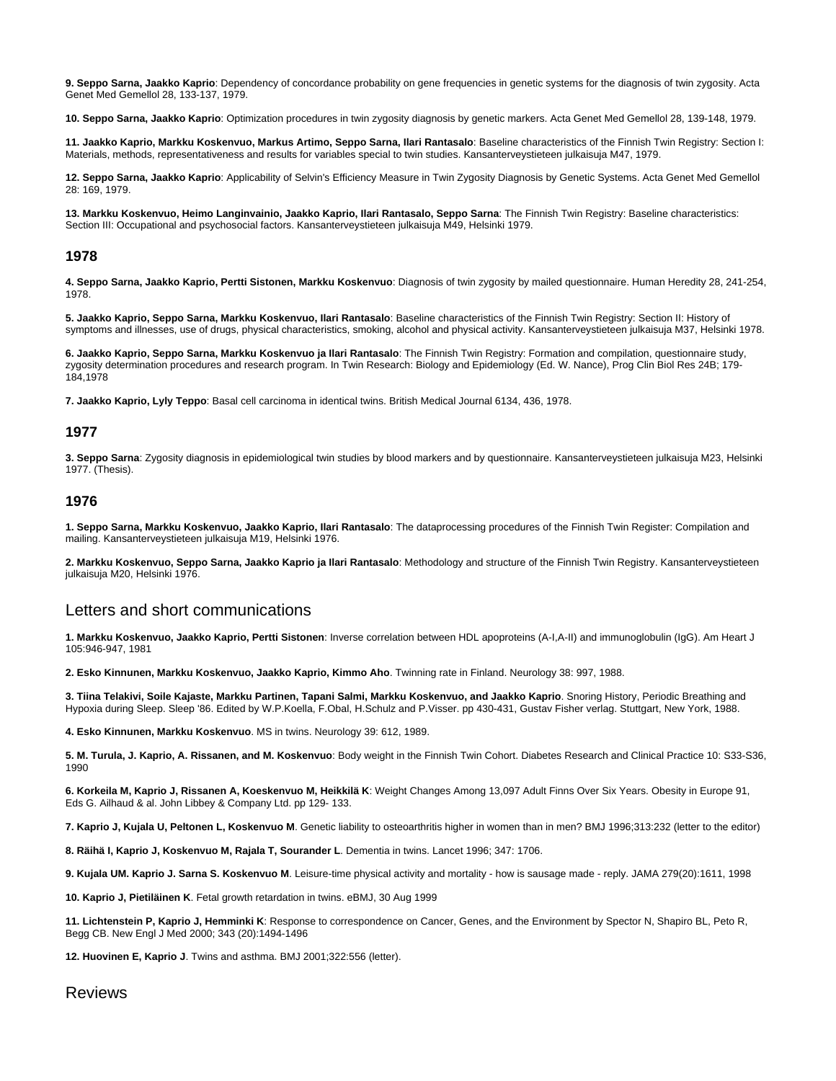**9. Seppo Sarna, Jaakko Kaprio**: Dependency of concordance probability on gene frequencies in genetic systems for the diagnosis of twin zygosity. Acta Genet Med Gemellol 28, 133-137, 1979.

**10. Seppo Sarna, Jaakko Kaprio**: Optimization procedures in twin zygosity diagnosis by genetic markers. Acta Genet Med Gemellol 28, 139-148, 1979.

**11. Jaakko Kaprio, Markku Koskenvuo, Markus Artimo, Seppo Sarna, Ilari Rantasalo**: Baseline characteristics of the Finnish Twin Registry: Section I: Materials, methods, representativeness and results for variables special to twin studies. Kansanterveystieteen julkaisuja M47, 1979.

**12. Seppo Sarna, Jaakko Kaprio**: Applicability of Selvin's Efficiency Measure in Twin Zygosity Diagnosis by Genetic Systems. Acta Genet Med Gemellol 28: 169, 1979.

**13. Markku Koskenvuo, Heimo Langinvainio, Jaakko Kaprio, Ilari Rantasalo, Seppo Sarna**: The Finnish Twin Registry: Baseline characteristics: Section III: Occupational and psychosocial factors. Kansanterveystieteen julkaisuja M49, Helsinki 1979.

# <span id="page-28-0"></span>**1978**

**4. Seppo Sarna, Jaakko Kaprio, Pertti Sistonen, Markku Koskenvuo**: Diagnosis of twin zygosity by mailed questionnaire. Human Heredity 28, 241-254, 1978.

**5. Jaakko Kaprio, Seppo Sarna, Markku Koskenvuo, Ilari Rantasalo**: Baseline characteristics of the Finnish Twin Registry: Section II: History of symptoms and illnesses, use of drugs, physical characteristics, smoking, alcohol and physical activity. Kansanterveystieteen julkaisuja M37, Helsinki 1978.

**6. Jaakko Kaprio, Seppo Sarna, Markku Koskenvuo ja Ilari Rantasalo**: The Finnish Twin Registry: Formation and compilation, questionnaire study, zygosity determination procedures and research program. In Twin Research: Biology and Epidemiology (Ed. W. Nance), Prog Clin Biol Res 24B; 179- 184,1978

**7. Jaakko Kaprio, Lyly Teppo**: Basal cell carcinoma in identical twins. British Medical Journal 6134, 436, 1978.

# <span id="page-28-1"></span>**1977**

**3. Seppo Sarna**: Zygosity diagnosis in epidemiological twin studies by blood markers and by questionnaire. Kansanterveystieteen julkaisuja M23, Helsinki 1977. (Thesis).

# <span id="page-28-2"></span>**1976**

**1. Seppo Sarna, Markku Koskenvuo, Jaakko Kaprio, Ilari Rantasalo**: The dataprocessing procedures of the Finnish Twin Register: Compilation and mailing. Kansanterveystieteen julkaisuja M19, Helsinki 1976.

**2. Markku Koskenvuo, Seppo Sarna, Jaakko Kaprio ja Ilari Rantasalo**: Methodology and structure of the Finnish Twin Registry. Kansanterveystieteen julkaisuja M20, Helsinki 1976.

# Letters and short communications

**1. Markku Koskenvuo, Jaakko Kaprio, Pertti Sistonen**: Inverse correlation between HDL apoproteins (A-I,A-II) and immunoglobulin (IgG). Am Heart J 105:946-947, 1981

**2. Esko Kinnunen, Markku Koskenvuo, Jaakko Kaprio, Kimmo Aho**. Twinning rate in Finland. Neurology 38: 997, 1988.

**3. Tiina Telakivi, Soile Kajaste, Markku Partinen, Tapani Salmi, Markku Koskenvuo, and Jaakko Kaprio**. Snoring History, Periodic Breathing and Hypoxia during Sleep. Sleep '86. Edited by W.P.Koella, F.Obal, H.Schulz and P.Visser. pp 430-431, Gustav Fisher verlag. Stuttgart, New York, 1988.

**4. Esko Kinnunen, Markku Koskenvuo**. MS in twins. Neurology 39: 612, 1989.

**5. M. Turula, J. Kaprio, A. Rissanen, and M. Koskenvuo**: Body weight in the Finnish Twin Cohort. Diabetes Research and Clinical Practice 10: S33-S36, 1990

**6. Korkeila M, Kaprio J, Rissanen A, Koeskenvuo M, Heikkilä K**: Weight Changes Among 13,097 Adult Finns Over Six Years. Obesity in Europe 91, Eds G. Ailhaud & al. John Libbey & Company Ltd. pp 129- 133.

**7. Kaprio J, Kujala U, Peltonen L, Koskenvuo M**. Genetic liability to osteoarthritis higher in women than in men? BMJ 1996;313:232 (letter to the editor)

**8. Räihä I, Kaprio J, Koskenvuo M, Rajala T, Sourander L**. Dementia in twins. Lancet 1996; 347: 1706.

**9. Kujala UM. Kaprio J. Sarna S. Koskenvuo M**. Leisure-time physical activity and mortality - how is sausage made - reply. JAMA 279(20):1611, 1998

**10. Kaprio J, Pietiläinen K**. Fetal growth retardation in twins. eBMJ, 30 Aug 1999

**11. Lichtenstein P, Kaprio J, Hemminki K**: Response to correspondence on Cancer, Genes, and the Environment by Spector N, Shapiro BL, Peto R, Begg CB. New Engl J Med 2000; 343 (20):1494-1496

**12. Huovinen E, Kaprio J**. Twins and asthma. BMJ 2001;322:556 (letter).